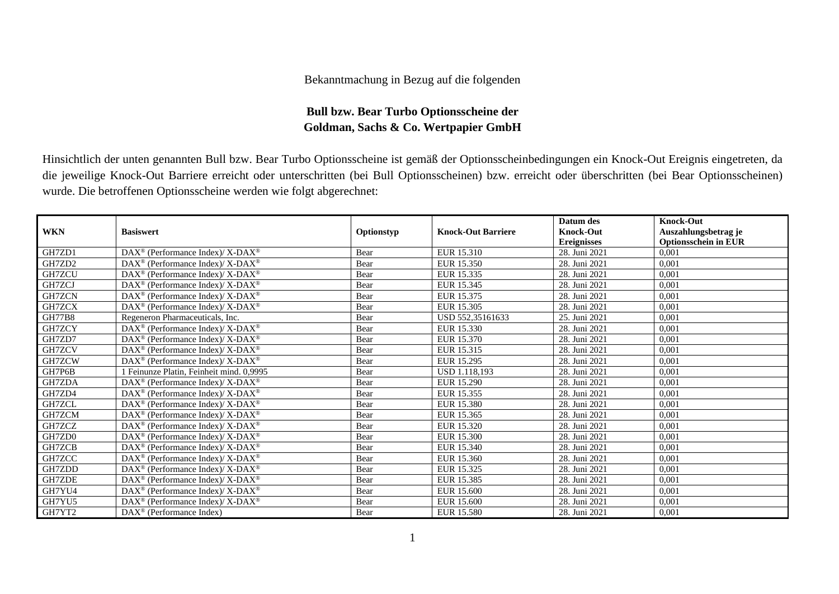## Bekanntmachung in Bezug auf die folgenden

## **Bull bzw. Bear Turbo Optionsscheine der Goldman, Sachs & Co. Wertpapier GmbH**

Hinsichtlich der unten genannten Bull bzw. Bear Turbo Optionsscheine ist gemäß der Optionsscheinbedingungen ein Knock-Out Ereignis eingetreten, da die jeweilige Knock-Out Barriere erreicht oder unterschritten (bei Bull Optionsscheinen) bzw. erreicht oder überschritten (bei Bear Optionsscheinen) wurde. Die betroffenen Optionsscheine werden wie folgt abgerechnet:

|               |                                                                    |            |                           | Datum des          | <b>Knock-Out</b>            |
|---------------|--------------------------------------------------------------------|------------|---------------------------|--------------------|-----------------------------|
| <b>WKN</b>    | <b>Basiswert</b>                                                   | Optionstyp | <b>Knock-Out Barriere</b> | <b>Knock-Out</b>   | Auszahlungsbetrag je        |
|               |                                                                    |            |                           | <b>Ereignisses</b> | <b>Optionsschein in EUR</b> |
| GH7ZD1        | DAX <sup>®</sup> (Performance Index)/ X-DAX <sup>®</sup>           | Bear       | EUR 15.310                | 28. Juni 2021      | 0.001                       |
| GH7ZD2        | DAX <sup>®</sup> (Performance Index)/X-DAX <sup>®</sup>            | Bear       | EUR 15.350                | 28. Juni 2021      | 0,001                       |
| GH7ZCU        | $\text{DAX}^{\circledast}$ (Performance Index)/X-DAX <sup>®</sup>  | Bear       | EUR 15.335                | 28. Juni 2021      | 0.001                       |
| GH7ZCJ        | $\text{DAX}^{\circledast}$ (Performance Index)/X-DAX <sup>®</sup>  | Bear       | EUR 15.345                | 28. Juni 2021      | 0.001                       |
| GH7ZCN        | DAX <sup>®</sup> (Performance Index)/X-DAX <sup>®</sup>            | Bear       | EUR 15.375                | 28. Juni 2021      | 0.001                       |
| GH7ZCX        | $DAX^{\circledast}$ (Performance Index)/X-DAX <sup>®</sup>         | Bear       | EUR 15.305                | 28. Juni 2021      | 0.001                       |
| <b>GH77B8</b> | Regeneron Pharmaceuticals, Inc.                                    | Bear       | USD 552,35161633          | 25. Juni 2021      | 0,001                       |
| GH7ZCY        | DAX <sup>®</sup> (Performance Index)/X-DAX <sup>®</sup>            | Bear       | EUR 15.330                | 28. Juni 2021      | 0.001                       |
| GH7ZD7        | DAX <sup>®</sup> (Performance Index)/X-DAX <sup>®</sup>            | Bear       | EUR 15.370                | 28. Juni 2021      | 0.001                       |
| GH7ZCV        | DAX <sup>®</sup> (Performance Index)/X-DAX <sup>®</sup>            | Bear       | EUR 15.315                | 28. Juni 2021      | 0,001                       |
| GH7ZCW        | $\text{DAX}^{\circledast}$ (Performance Index)/ X-DAX <sup>®</sup> | Bear       | EUR 15.295                | 28. Juni 2021      | 0.001                       |
| GH7P6B        | 1 Feinunze Platin, Feinheit mind. 0,9995                           | Bear       | <b>USD 1.118.193</b>      | 28. Juni 2021      | 0.001                       |
| GH7ZDA        | DAX <sup>®</sup> (Performance Index)/X-DAX <sup>®</sup>            | Bear       | EUR 15.290                | 28. Juni 2021      | 0.001                       |
| GH7ZD4        | $\text{DAX}^{\circledast}$ (Performance Index)/X-DAX <sup>®</sup>  | Bear       | EUR 15.355                | 28. Juni 2021      | 0,001                       |
| GH7ZCL        | DAX <sup>®</sup> (Performance Index)/X-DAX <sup>®</sup>            | Bear       | EUR 15.380                | 28. Juni 2021      | 0,001                       |
| GH7ZCM        | $\text{DAX}^{\circledast}$ (Performance Index)/X-DAX <sup>®</sup>  | Bear       | EUR 15.365                | 28. Juni 2021      | 0.001                       |
| GH7ZCZ        | $DAX^{\circledast}$ (Performance Index)/X-DAX <sup>®</sup>         | Bear       | EUR 15.320                | 28. Juni 2021      | 0.001                       |
| GH7ZD0        | DAX <sup>®</sup> (Performance Index)/X-DAX <sup>®</sup>            | Bear       | EUR 15.300                | 28. Juni 2021      | 0,001                       |
| GH7ZCB        | DAX <sup>®</sup> (Performance Index)/X-DAX <sup>®</sup>            | Bear       | EUR 15.340                | 28. Juni 2021      | 0.001                       |
| GH7ZCC        | $\text{DAX}^{\circledast}$ (Performance Index)/ X-DAX <sup>®</sup> | Bear       | EUR 15.360                | 28. Juni 2021      | 0.001                       |
| GH7ZDD        | DAX <sup>®</sup> (Performance Index)/X-DAX <sup>®</sup>            | Bear       | EUR 15.325                | 28. Juni 2021      | 0.001                       |
| GH7ZDE        | $DAX^{\circledast}$ (Performance Index)/X-DAX <sup>®</sup>         | Bear       | EUR 15.385                | 28. Juni 2021      | 0.001                       |
| GH7YU4        | $DAX^{\circledast}$ (Performance Index)/X-DAX <sup>®</sup>         | Bear       | EUR 15.600                | 28. Juni 2021      | 0.001                       |
| GH7YU5        | DAX <sup>®</sup> (Performance Index)/X-DAX <sup>®</sup>            | Bear       | <b>EUR 15.600</b>         | 28. Juni 2021      | 0,001                       |
| GH7YT2        | $DAX^{\circledcirc}$ (Performance Index)                           | Bear       | <b>EUR 15.580</b>         | 28. Juni 2021      | 0,001                       |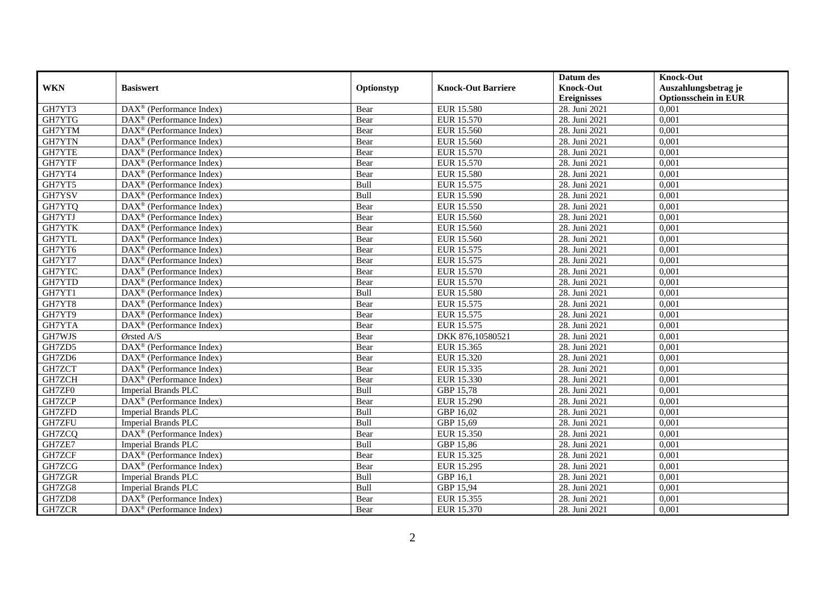|            |                                                                 |            |                           | Datum des          | <b>Knock-Out</b>            |
|------------|-----------------------------------------------------------------|------------|---------------------------|--------------------|-----------------------------|
| <b>WKN</b> | <b>Basiswert</b>                                                | Optionstyp | <b>Knock-Out Barriere</b> | <b>Knock-Out</b>   | Auszahlungsbetrag je        |
|            |                                                                 |            |                           | <b>Ereignisses</b> | <b>Optionsschein in EUR</b> |
| GH7YT3     | $\overline{\text{DAX}}^{\textcirc}$ (Performance Index)         | Bear       | EUR 15.580                | 28. Juni 2021      | 0,001                       |
| GH7YTG     | $DAX^{\circledR}$ (Performance Index)                           | Bear       | EUR 15.570                | 28. Juni 2021      | 0,001                       |
| GH7YTM     | DAX <sup>®</sup> (Performance Index)                            | Bear       | EUR 15.560                | 28. Juni 2021      | 0,001                       |
| GH7YTN     | $DAX^{\circledast}$ (Performance Index)                         | Bear       | EUR 15.560                | 28. Juni 2021      | 0,001                       |
| GH7YTE     | $DAX^{\circledast}$ (Performance Index)                         | Bear       | EUR 15.570                | 28. Juni 2021      | 0,001                       |
| GH7YTF     | $\text{DAX}^{\textcircled{}}$ (Performance Index)               | Bear       | <b>EUR 15.570</b>         | 28. Juni 2021      | 0,001                       |
| GH7YT4     | DAX <sup>®</sup> (Performance Index)                            | Bear       | <b>EUR 15.580</b>         | 28. Juni 2021      | 0,001                       |
| GH7YT5     | $\overline{\text{DAX}}^{\textcirc}$ (Performance Index)         | Bull       | EUR 15.575                | 28. Juni 2021      | 0,001                       |
| GH7YSV     | $DAX^{\circledast}$ (Performance Index)                         | Bull       | EUR 15.590                | 28. Juni 2021      | 0,001                       |
| GH7YTQ     | DAX <sup>®</sup> (Performance Index)                            | Bear       | EUR 15.550                | 28. Juni 2021      | 0,001                       |
| GH7YTJ     | $\overline{\text{DAX}^{\otimes}}$ (Performance Index)           | Bear       | EUR 15.560                | 28. Juni 2021      | 0,001                       |
| GH7YTK     | DAX <sup>®</sup> (Performance Index)                            | Bear       | EUR 15.560                | 28. Juni 2021      | 0,001                       |
| GH7YTL     | $DAX^{\circledast}$ (Performance Index)                         | Bear       | EUR 15.560                | 28. Juni 2021      | 0,001                       |
| GH7YT6     | DAX <sup>®</sup> (Performance Index)                            | Bear       | EUR 15.575                | 28. Juni 2021      | 0,001                       |
| GH7YT7     | DAX <sup>®</sup> (Performance Index)                            | Bear       | EUR 15.575                | 28. Juni 2021      | 0,001                       |
| GH7YTC     | $\overline{\text{DAX}}^{\textcirc}$ (Performance Index)         | Bear       | <b>EUR 15.570</b>         | 28. Juni 2021      | 0,001                       |
| GH7YTD     | $DAX^{\circledR}$ (Performance Index)                           | Bear       | EUR 15.570                | 28. Juni 2021      | 0,001                       |
| GH7YT1     | $\overline{\text{DAX}^{\otimes}}$ (Performance Index)           | Bull       | <b>EUR 15.580</b>         | 28. Juni 2021      | 0,001                       |
| GH7YT8     | $DAX^{\circledast}$ (Performance Index)                         | Bear       | EUR 15.575                | 28. Juni 2021      | 0,001                       |
| GH7YT9     | $DAX^{\circledast}$ (Performance Index)                         | Bear       | EUR 15.575                | 28. Juni 2021      | 0,001                       |
| GH7YTA     | DAX <sup>®</sup> (Performance Index)                            | Bear       | EUR 15.575                | 28. Juni 2021      | 0,001                       |
| GH7WJS     | Ørsted A/S                                                      | Bear       | DKK 876,10580521          | 28. Juni 2021      | 0,001                       |
| GH7ZD5     | DAX <sup>®</sup> (Performance Index)                            | Bear       | EUR 15.365                | 28. Juni 2021      | 0,001                       |
| GH7ZD6     | $DAX^{\circledR}$ (Performance Index)                           | Bear       | EUR 15.320                | 28. Juni 2021      | 0,001                       |
| GH7ZCT     | $DAX^{\circledcirc}$ (Performance Index)                        | Bear       | EUR 15.335                | 28. Juni 2021      | 0,001                       |
| GH7ZCH     | DAX <sup>®</sup> (Performance Index)                            | Bear       | EUR 15.330                | 28. Juni 2021      | 0,001                       |
| GH7ZF0     | <b>Imperial Brands PLC</b>                                      | Bull       | GBP 15,78                 | 28. Juni 2021      | 0,001                       |
| GH7ZCP     | $\overline{\text{DAX}^{\otimes}}$ (Performance Index)           | Bear       | <b>EUR 15.290</b>         | 28. Juni 2021      | 0,001                       |
| GH7ZFD     | <b>Imperial Brands PLC</b>                                      | Bull       | GBP 16,02                 | 28. Juni 2021      | 0,001                       |
| GH7ZFU     | <b>Imperial Brands PLC</b>                                      | Bull       | GBP 15,69                 | 28. Juni 2021      | 0,001                       |
| GH7ZCQ     | $\overline{\text{DAX}^{\otimes}}$ (Performance Index)           | Bear       | EUR 15.350                | 28. Juni 2021      | 0,001                       |
| GH7ZE7     | <b>Imperial Brands PLC</b>                                      | Bull       | GBP 15,86                 | 28. Juni 2021      | 0,001                       |
| GH7ZCF     | $\overline{\text{DAX}^{\otimes}}$ (Performance Index)           | Bear       | EUR 15.325                | 28. Juni 2021      | 0,001                       |
| GH7ZCG     | $DAX^{\circledast}$ (Performance Index)                         | Bear       | EUR 15.295                | 28. Juni 2021      | 0,001                       |
| GH7ZGR     | <b>Imperial Brands PLC</b>                                      | Bull       | GBP 16,1                  | 28. Juni 2021      | 0,001                       |
| GH7ZG8     | <b>Imperial Brands PLC</b>                                      | Bull       | GBP 15,94                 | 28. Juni 2021      | 0,001                       |
| GH7ZD8     | DAX <sup>®</sup> (Performance Index)                            | Bear       | EUR 15.355                | 28. Juni 2021      | 0,001                       |
| GH7ZCR     | $\overline{\text{DAX}^{\circledast}(\text{Performance Index})}$ | Bear       | EUR 15.370                | 28. Juni 2021      | 0,001                       |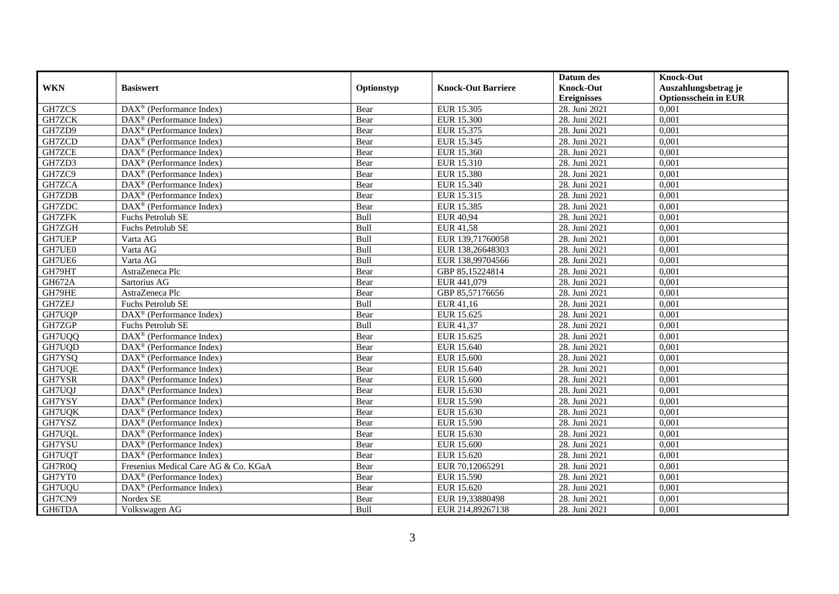|               |                                                         |            |                           | Datum des          | <b>Knock-Out</b>            |
|---------------|---------------------------------------------------------|------------|---------------------------|--------------------|-----------------------------|
| <b>WKN</b>    | <b>Basiswert</b>                                        | Optionstyp | <b>Knock-Out Barriere</b> | <b>Knock-Out</b>   | Auszahlungsbetrag je        |
|               |                                                         |            |                           | <b>Ereignisses</b> | <b>Optionsschein in EUR</b> |
| GH7ZCS        | $\overline{\text{DAX}}^{\textcirc}$ (Performance Index) | Bear       | EUR 15.305                | 28. Juni 2021      | 0,001                       |
| GH7ZCK        | $DAX^{\circledR}$ (Performance Index)                   | Bear       | <b>EUR 15.300</b>         | 28. Juni 2021      | 0,001                       |
| GH7ZD9        | DAX <sup>®</sup> (Performance Index)                    | Bear       | EUR 15.375                | 28. Juni 2021      | 0,001                       |
| GH7ZCD        | $DAX^{\circledast}$ (Performance Index)                 | Bear       | EUR 15.345                | 28. Juni 2021      | 0,001                       |
| GH7ZCE        | $DAX^{\circledast}$ (Performance Index)                 | Bear       | EUR 15.360                | 28. Juni 2021      | 0,001                       |
| GH7ZD3        | $\text{DAX}^{\textcircled{}}$ (Performance Index)       | Bear       | EUR 15.310                | 28. Juni 2021      | 0,001                       |
| GH7ZC9        | DAX <sup>®</sup> (Performance Index)                    | Bear       | <b>EUR 15.380</b>         | 28. Juni 2021      | 0,001                       |
| GH7ZCA        | $\overline{\text{DAX}}^{\textcirc}$ (Performance Index) | Bear       | EUR 15.340                | 28. Juni 2021      | 0,001                       |
| GH7ZDB        | $DAX^{\circledast}$ (Performance Index)                 | Bear       | EUR 15.315                | 28. Juni 2021      | 0,001                       |
| GH7ZDC        | $\overline{\text{DAX}^{\otimes}}$ (Performance Index)   | Bear       | EUR 15.385                | 28. Juni 2021      | 0,001                       |
| <b>GH7ZFK</b> | Fuchs Petrolub SE                                       | Bull       | <b>EUR 40,94</b>          | 28. Juni 2021      | 0,001                       |
| GH7ZGH        | Fuchs Petrolub SE                                       | Bull       | <b>EUR 41,58</b>          | 28. Juni 2021      | 0,001                       |
| <b>GH7UEP</b> | Varta AG                                                | Bull       | EUR 139,71760058          | 28. Juni 2021      | 0,001                       |
| GH7UE0        | Varta AG                                                | Bull       | EUR 138,26648303          | 28. Juni 2021      | 0,001                       |
| GH7UE6        | Varta AG                                                | Bull       | EUR 138,99704566          | 28. Juni 2021      | 0,001                       |
| GH79HT        | AstraZeneca Plc                                         | Bear       | GBP 85,15224814           | 28. Juni 2021      | 0,001                       |
| <b>GH672A</b> | Sartorius AG                                            | Bear       | EUR 441,079               | 28. Juni 2021      | 0,001                       |
| GH79HE        | AstraZeneca Plc                                         | Bear       | GBP 85,57176656           | 28. Juni 2021      | 0,001                       |
| GH7ZEJ        | Fuchs Petrolub SE                                       | Bull       | EUR 41,16                 | 28. Juni 2021      | 0,001                       |
| GH7UQP        | $\text{DAX}^{\textcircled{}}$ (Performance Index)       | Bear       | EUR 15.625                | 28. Juni 2021      | 0,001                       |
| GH7ZGP        | <b>Fuchs Petrolub SE</b>                                | Bull       | EUR 41,37                 | 28. Juni 2021      | 0,001                       |
| GH7UQQ        | $DAX^{\circledcirc}$ (Performance Index)                | Bear       | EUR 15.625                | 28. Juni 2021      | 0,001                       |
| GH7UQD        | $\overline{\text{DAX}}^{\textcirc}$ (Performance Index) | Bear       | EUR 15.640                | 28. Juni 2021      | 0,001                       |
| GH7YSQ        | $DAX^{\circledR}$ (Performance Index)                   | Bear       | <b>EUR 15.600</b>         | 28. Juni 2021      | 0,001                       |
| GH7UQE        | $DAX^{\circledcirc}$ (Performance Index)                | Bear       | EUR 15.640                | 28. Juni 2021      | 0,001                       |
| GH7YSR        | $\text{DAX}^{\circledast}$ (Performance Index)          | Bear       | <b>EUR 15.600</b>         | 28. Juni 2021      | 0,001                       |
| GH7UQJ        | $\overline{\text{DAX}^{\otimes}}$ (Performance Index)   | Bear       | EUR 15.630                | 28. Juni 2021      | 0,001                       |
| GH7YSY        | DAX <sup>®</sup> (Performance Index)                    | Bear       | EUR 15.590                | 28. Juni 2021      | 0,001                       |
| GH7UQK        | $DAX^{\circledast}$ (Performance Index)                 | Bear       | EUR 15.630                | 28. Juni 2021      | 0,001                       |
| GH7YSZ        | $\overline{\text{DAX}}^{\textcirc}$ (Performance Index) | Bear       | EUR 15.590                | 28. Juni 2021      | 0,001                       |
| GH7UQL        | $\overline{\text{DAX}^{\otimes}}$ (Performance Index)   | Bear       | EUR 15.630                | 28. Juni 2021      | 0,001                       |
| GH7YSU        | $\overline{\text{DAX}^{\otimes}}$ (Performance Index)   | Bear       | <b>EUR 15.600</b>         | 28. Juni 2021      | 0,001                       |
| GH7UQT        | DAX <sup>®</sup> (Performance Index)                    | Bear       | EUR 15.620                | 28. Juni 2021      | 0,001                       |
| GH7R0Q        | Fresenius Medical Care AG & Co. KGaA                    | Bear       | EUR 70,12065291           | 28. Juni 2021      | 0,001                       |
| GH7YT0        | DAX <sup>®</sup> (Performance Index)                    | Bear       | EUR 15.590                | 28. Juni 2021      | 0,001                       |
| GH7UQU        | $DAX^{\circledast}$ (Performance Index)                 | Bear       | EUR 15.620                | 28. Juni 2021      | 0,001                       |
| GH7CN9        | Nordex SE                                               | Bear       | EUR 19,33880498           | 28. Juni 2021      | 0,001                       |
| GH6TDA        | Volkswagen AG                                           | Bull       | EUR 214,89267138          | 28. Juni 2021      | 0,001                       |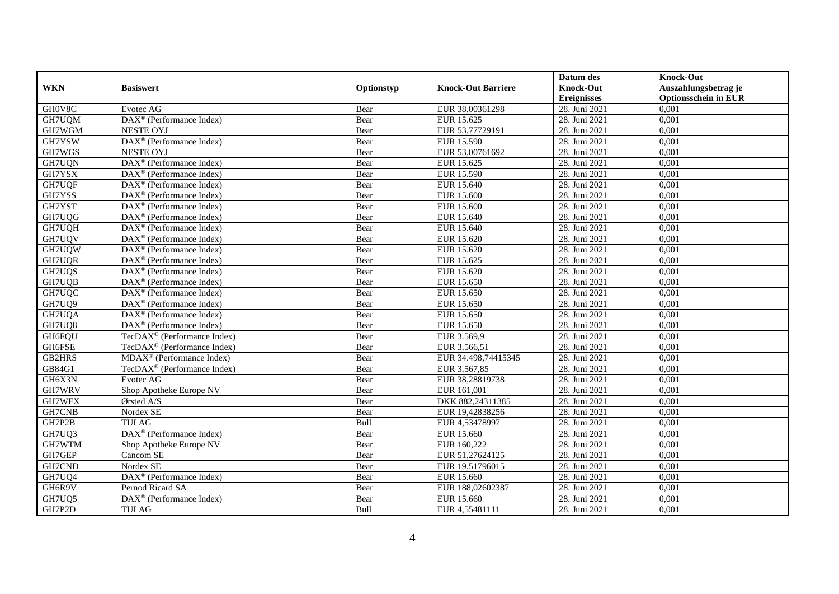|               |                                                         |            |                           | Datum des          | <b>Knock-Out</b>            |
|---------------|---------------------------------------------------------|------------|---------------------------|--------------------|-----------------------------|
| <b>WKN</b>    | <b>Basiswert</b>                                        | Optionstyp | <b>Knock-Out Barriere</b> | <b>Knock-Out</b>   | Auszahlungsbetrag je        |
|               |                                                         |            |                           | <b>Ereignisses</b> | <b>Optionsschein in EUR</b> |
| GH0V8C        | Evotec AG                                               | Bear       | EUR 38,00361298           | 28. Juni 2021      | 0,001                       |
| GH7UQM        | DAX <sup>®</sup> (Performance Index)                    | Bear       | EUR 15.625                | 28. Juni 2021      | 0,001                       |
| GH7WGM        | <b>NESTE OYJ</b>                                        | Bear       | EUR 53,77729191           | 28. Juni 2021      | 0,001                       |
| GH7YSW        | DAX <sup>®</sup> (Performance Index)                    | Bear       | EUR 15.590                | 28. Juni 2021      | 0,001                       |
| GH7WGS        | <b>NESTE OYJ</b>                                        | Bear       | EUR 53,00761692           | 28. Juni 2021      | 0,001                       |
| GH7UQN        | DAX <sup>®</sup> (Performance Index)                    | Bear       | EUR 15.625                | 28. Juni 2021      | 0,001                       |
| GH7YSX        | $\text{DAX}^{\circledR}$ (Performance Index)            | Bear       | EUR 15.590                | 28. Juni 2021      | 0,001                       |
| GH7UQF        | $DAX^{\circledR}$ (Performance Index)                   | Bear       | EUR 15.640                | 28. Juni 2021      | 0,001                       |
| GH7YSS        | DAX <sup>®</sup> (Performance Index)                    | Bear       | <b>EUR 15.600</b>         | 28. Juni 2021      | 0,001                       |
| GH7YST        | DAX <sup>®</sup> (Performance Index)                    | Bear       | <b>EUR 15.600</b>         | 28. Juni 2021      | 0,001                       |
| GH7UQG        | $DAX^{\circledR}$ (Performance Index)                   | Bear       | EUR 15.640                | 28. Juni 2021      | 0,001                       |
| GH7UQH        | DAX <sup>®</sup> (Performance Index)                    | Bear       | EUR 15.640                | 28. Juni 2021      | 0,001                       |
| GH7UQV        | $DAX^{\circledast}$ (Performance Index)                 | Bear       | EUR 15.620                | 28. Juni 2021      | 0,001                       |
| GH7UQW        | DAX <sup>®</sup> (Performance Index)                    | Bear       | EUR 15.620                | 28. Juni 2021      | 0,001                       |
| GH7UQR        | $\overline{\text{DAX}^{\otimes}}$ (Performance Index)   | Bear       | EUR 15.625                | 28. Juni 2021      | 0,001                       |
| GH7UQS        | $\overline{\text{DAX}}^{\textcirc}$ (Performance Index) | Bear       | EUR 15.620                | 28. Juni 2021      | 0,001                       |
| GH7UQB        | $DAX^{\circledR}$ (Performance Index)                   | Bear       | EUR 15.650                | 28. Juni 2021      | 0,001                       |
| GH7UQC        | $\overline{\text{DAX}^{\otimes}}$ (Performance Index)   | Bear       | EUR 15.650                | 28. Juni 2021      | 0,001                       |
| GH7UQ9        | $\text{DAX}^{\textcircled{}}$ (Performance Index)       | Bear       | EUR 15.650                | 28. Juni 2021      | 0,001                       |
| GH7UQA        | $\text{DAX}^{\textcircled{}}$ (Performance Index)       | Bear       | EUR 15.650                | 28. Juni 2021      | 0,001                       |
| GH7UQ8        | DAX <sup>®</sup> (Performance Index)                    | Bear       | EUR 15.650                | 28. Juni 2021      | 0,001                       |
| GH6FQU        | TecDAX <sup>®</sup> (Performance Index)                 | Bear       | EUR 3.569,9               | 28. Juni 2021      | 0,001                       |
| GH6FSE        | TecDAX <sup>®</sup> (Performance Index)                 | Bear       | EUR 3.566,51              | 28. Juni 2021      | 0,001                       |
| <b>GB2HRS</b> | MDAX <sup>®</sup> (Performance Index)                   | Bear       | EUR 34.498,74415345       | 28. Juni 2021      | 0,001                       |
| GB84G1        | TecDAX <sup>®</sup> (Performance Index)                 | Bear       | EUR 3.567,85              | 28. Juni 2021      | 0,001                       |
| GH6X3N        | Evotec AG                                               | Bear       | EUR 38,28819738           | 28. Juni 2021      | 0,001                       |
| GH7WRV        | Shop Apotheke Europe NV                                 | Bear       | EUR 161,001               | 28. Juni 2021      | 0,001                       |
| GH7WFX        | Ørsted A/S                                              | Bear       | DKK 882,24311385          | 28. Juni 2021      | 0,001                       |
| GH7CNB        | Nordex SE                                               | Bear       | EUR 19,42838256           | 28. Juni 2021      | 0,001                       |
| GH7P2B        | <b>TUI AG</b>                                           | Bull       | EUR 4,53478997            | 28. Juni 2021      | 0,001                       |
| GH7UQ3        | DAX <sup>®</sup> (Performance Index)                    | Bear       | EUR 15.660                | 28. Juni 2021      | 0,001                       |
| GH7WTM        | Shop Apotheke Europe NV                                 | Bear       | EUR 160,222               | 28. Juni 2021      | 0,001                       |
| GH7GEP        | Cancom SE                                               | Bear       | EUR 51,27624125           | 28. Juni 2021      | 0,001                       |
| GH7CND        | Nordex SE                                               | Bear       | EUR 19,51796015           | 28. Juni 2021      | 0,001                       |
| GH7UQ4        | DAX <sup>®</sup> (Performance Index)                    | Bear       | EUR 15.660                | 28. Juni 2021      | 0,001                       |
| GH6R9V        | Pernod Ricard SA                                        | Bear       | EUR 188,02602387          | 28. Juni 2021      | 0,001                       |
| GH7UQ5        | $\text{DAX}^{\circledast}$ (Performance Index)          | Bear       | EUR 15.660                | 28. Juni 2021      | 0,001                       |
| GH7P2D        | TUI AG                                                  | Bull       | EUR 4,55481111            | 28. Juni 2021      | 0,001                       |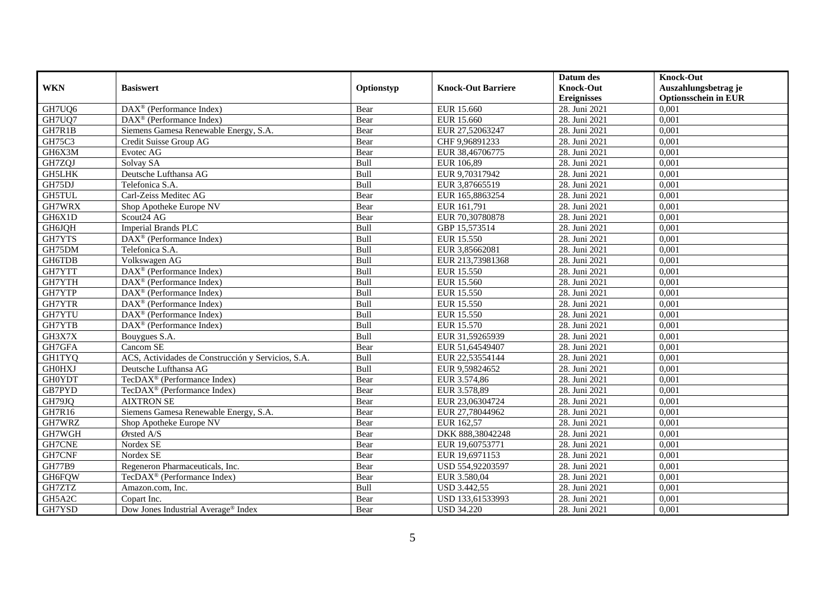|               |                                                       |            |                           | Datum des          | <b>Knock-Out</b>            |
|---------------|-------------------------------------------------------|------------|---------------------------|--------------------|-----------------------------|
| <b>WKN</b>    | <b>Basiswert</b>                                      | Optionstyp | <b>Knock-Out Barriere</b> | <b>Knock-Out</b>   | Auszahlungsbetrag je        |
|               |                                                       |            |                           | <b>Ereignisses</b> | <b>Optionsschein in EUR</b> |
| GH7UQ6        | $\overline{\text{DAX}^{\otimes}}$ (Performance Index) | Bear       | EUR 15.660                | 28. Juni 2021      | 0,001                       |
| GH7UQ7        | $DAX^{\circledR}$ (Performance Index)                 | Bear       | EUR 15.660                | 28. Juni 2021      | 0,001                       |
| GH7R1B        | Siemens Gamesa Renewable Energy, S.A.                 | Bear       | EUR 27,52063247           | 28. Juni 2021      | 0,001                       |
| GH75C3        | Credit Suisse Group AG                                | Bear       | CHF 9,96891233            | 28. Juni 2021      | 0,001                       |
| GH6X3M        | Evotec AG                                             | Bear       | EUR 38,46706775           | 28. Juni 2021      | 0,001                       |
| GH7ZQJ        | Solvay SA                                             | Bull       | EUR 106,89                | 28. Juni 2021      | 0,001                       |
| <b>GH5LHK</b> | Deutsche Lufthansa AG                                 | Bull       | EUR 9,70317942            | 28. Juni 2021      | 0,001                       |
| GH75DJ        | Telefonica S.A.                                       | Bull       | EUR 3,87665519            | 28. Juni 2021      | 0,001                       |
| GH5TUL        | Carl-Zeiss Meditec AG                                 | Bear       | EUR 165,8863254           | 28. Juni 2021      | 0,001                       |
| GH7WRX        | Shop Apotheke Europe NV                               | Bear       | EUR 161,791               | 28. Juni 2021      | 0,001                       |
| GH6X1D        | Scout24 AG                                            | Bear       | EUR 70,30780878           | 28. Juni 2021      | 0,001                       |
| GH6JQH        | <b>Imperial Brands PLC</b>                            | Bull       | GBP 15,573514             | 28. Juni 2021      | 0,001                       |
| GH7YTS        | DAX <sup>®</sup> (Performance Index)                  | Bull       | EUR 15.550                | 28. Juni 2021      | 0,001                       |
| GH75DM        | Telefonica S.A.                                       | Bull       | EUR 3,85662081            | 28. Juni 2021      | 0,001                       |
| GH6TDB        | Volkswagen AG                                         | Bull       | EUR 213,73981368          | 28. Juni 2021      | 0,001                       |
| GH7YTT        | DAX <sup>®</sup> (Performance Index)                  | Bull       | <b>EUR 15.550</b>         | 28. Juni 2021      | 0,001                       |
| GH7YTH        | $DAX^{\circledR}$ (Performance Index)                 | Bull       | <b>EUR 15.560</b>         | 28. Juni 2021      | 0,001                       |
| GH7YTP        | $\overline{\text{DAX}^{\otimes}}$ (Performance Index) | Bull       | EUR 15.550                | 28. Juni 2021      | 0,001                       |
| GH7YTR        | DAX <sup>®</sup> (Performance Index)                  | Bull       | EUR 15.550                | 28. Juni 2021      | 0,001                       |
| GH7YTU        | DAX <sup>®</sup> (Performance Index)                  | Bull       | EUR 15.550                | 28. Juni 2021      | 0,001                       |
| GH7YTB        | DAX <sup>®</sup> (Performance Index)                  | Bull       | EUR 15.570                | 28. Juni 2021      | 0,001                       |
| GH3X7X        | Bouygues S.A.                                         | Bull       | EUR 31,59265939           | 28. Juni 2021      | 0,001                       |
| GH7GFA        | Cancom SE                                             | Bear       | EUR 51,64549407           | 28. Juni 2021      | 0,001                       |
| <b>GH1TYQ</b> | ACS, Actividades de Construcción y Servicios, S.A.    | Bull       | EUR 22,53554144           | 28. Juni 2021      | 0,001                       |
| <b>GH0HXJ</b> | Deutsche Lufthansa AG                                 | Bull       | EUR 9,59824652            | 28. Juni 2021      | 0,001                       |
| <b>GH0YDT</b> | TecDAX <sup>®</sup> (Performance Index)               | Bear       | EUR 3.574,86              | 28. Juni 2021      | 0,001                       |
| GB7PYD        | TecDAX <sup>®</sup> (Performance Index)               | Bear       | EUR 3.578,89              | 28. Juni 2021      | 0,001                       |
| GH79JQ        | <b>AIXTRON SE</b>                                     | Bear       | EUR 23,06304724           | 28. Juni 2021      | 0,001                       |
| GH7R16        | Siemens Gamesa Renewable Energy, S.A.                 | Bear       | EUR 27,78044962           | 28. Juni 2021      | 0,001                       |
| GH7WRZ        | Shop Apotheke Europe NV                               | Bear       | EUR 162,57                | 28. Juni 2021      | 0,001                       |
| GH7WGH        | Ørsted A/S                                            | Bear       | DKK 888,38042248          | 28. Juni 2021      | 0,001                       |
| GH7CNE        | Nordex SE                                             | Bear       | EUR 19,60753771           | 28. Juni 2021      | 0,001                       |
| GH7CNF        | Nordex SE                                             | Bear       | EUR 19,6971153            | 28. Juni 2021      | 0,001                       |
| <b>GH77B9</b> | Regeneron Pharmaceuticals, Inc.                       | Bear       | USD 554,92203597          | 28. Juni 2021      | 0,001                       |
| GH6FQW        | TecDAX <sup>®</sup> (Performance Index)               | Bear       | EUR 3.580,04              | 28. Juni 2021      | 0,001                       |
| GH7ZTZ        | Amazon.com, Inc.                                      | Bull       | <b>USD 3.442,55</b>       | 28. Juni 2021      | 0,001                       |
| GH5A2C        | Copart Inc.                                           | Bear       | USD 133,61533993          | 28. Juni 2021      | 0,001                       |
| GH7YSD        | Dow Jones Industrial Average <sup>®</sup> Index       | Bear       | <b>USD 34.220</b>         | 28. Juni 2021      | 0,001                       |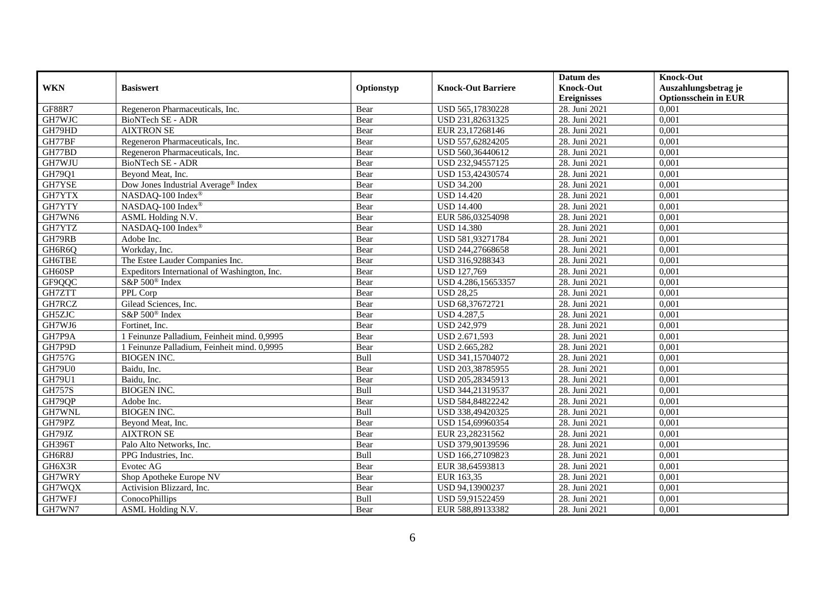|               |                                              |            |                           | Datum des          | <b>Knock-Out</b>            |
|---------------|----------------------------------------------|------------|---------------------------|--------------------|-----------------------------|
| <b>WKN</b>    | <b>Basiswert</b>                             | Optionstyp | <b>Knock-Out Barriere</b> | <b>Knock-Out</b>   | Auszahlungsbetrag je        |
|               |                                              |            |                           | <b>Ereignisses</b> | <b>Optionsschein in EUR</b> |
| <b>GF88R7</b> | Regeneron Pharmaceuticals, Inc.              | Bear       | USD 565,17830228          | 28. Juni 2021      | 0,001                       |
| GH7WJC        | BioNTech SE - ADR                            | Bear       | USD 231,82631325          | 28. Juni 2021      | 0,001                       |
| GH79HD        | <b>AIXTRON SE</b>                            | Bear       | EUR 23,17268146           | 28. Juni 2021      | 0,001                       |
| GH77BF        | Regeneron Pharmaceuticals, Inc.              | Bear       | USD 557,62824205          | 28. Juni 2021      | 0,001                       |
| GH77BD        | Regeneron Pharmaceuticals, Inc.              | Bear       | USD 560,36440612          | 28. Juni 2021      | 0,001                       |
| GH7WJU        | BioNTech SE - ADR                            | Bear       | USD 232,94557125          | 28. Juni 2021      | 0,001                       |
| GH79Q1        | Beyond Meat, Inc.                            | Bear       | USD 153,42430574          | 28. Juni 2021      | 0,001                       |
| GH7YSE        | Dow Jones Industrial Average® Index          | Bear       | <b>USD 34.200</b>         | 28. Juni 2021      | 0,001                       |
| GH7YTX        | NASDAQ-100 Index <sup>®</sup>                | Bear       | <b>USD 14.420</b>         | 28. Juni 2021      | 0,001                       |
| GH7YTY        | NASDAQ-100 Index®                            | Bear       | <b>USD 14.400</b>         | 28. Juni 2021      | 0,001                       |
| GH7WN6        | ASML Holding N.V.                            | Bear       | EUR 586,03254098          | 28. Juni 2021      | 0,001                       |
| GH7YTZ        | NASDAQ-100 Index®                            | Bear       | <b>USD 14.380</b>         | 28. Juni 2021      | 0,001                       |
| GH79RB        | Adobe Inc.                                   | Bear       | USD 581,93271784          | 28. Juni 2021      | 0,001                       |
| GH6R6Q        | Workday, Inc.                                | Bear       | USD 244,27668658          | 28. Juni 2021      | 0,001                       |
| GH6TBE        | The Estee Lauder Companies Inc.              | Bear       | USD 316,9288343           | 28. Juni 2021      | 0,001                       |
| GH60SP        | Expeditors International of Washington, Inc. | Bear       | <b>USD 127,769</b>        | 28. Juni 2021      | 0,001                       |
| GF9QQC        | S&P 500 <sup>®</sup> Index                   | Bear       | USD 4.286,15653357        | 28. Juni 2021      | 0,001                       |
| GH7ZTT        | PPL Corp                                     | Bear       | <b>USD 28.25</b>          | 28. Juni 2021      | 0,001                       |
| GH7RCZ        | Gilead Sciences, Inc.                        | Bear       | USD 68,37672721           | 28. Juni 2021      | 0,001                       |
| GH5ZJC        | S&P 500 <sup>®</sup> Index                   | Bear       | <b>USD 4.287,5</b>        | 28. Juni 2021      | 0,001                       |
| GH7WJ6        | Fortinet, Inc.                               | Bear       | <b>USD 242,979</b>        | 28. Juni 2021      | 0,001                       |
| GH7P9A        | 1 Feinunze Palladium, Feinheit mind. 0,9995  | Bear       | USD 2.671,593             | 28. Juni 2021      | 0,001                       |
| GH7P9D        | 1 Feinunze Palladium, Feinheit mind. 0,9995  | Bear       | USD 2.665,282             | 28. Juni 2021      | 0,001                       |
| GH757G        | <b>BIOGEN INC.</b>                           | Bull       | USD 341,15704072          | 28. Juni 2021      | 0,001                       |
| <b>GH79U0</b> | Baidu, Inc.                                  | Bear       | USD 203,38785955          | 28. Juni 2021      | 0,001                       |
| <b>GH79U1</b> | Baidu. Inc.                                  | Bear       | USD 205,28345913          | 28. Juni 2021      | 0,001                       |
| <b>GH757S</b> | <b>BIOGEN INC.</b>                           | Bull       | USD 344,21319537          | 28. Juni 2021      | 0,001                       |
| GH79QP        | Adobe Inc.                                   | Bear       | USD 584,84822242          | 28. Juni 2021      | 0,001                       |
| GH7WNL        | <b>BIOGEN INC.</b>                           | Bull       | USD 338,49420325          | 28. Juni 2021      | 0,001                       |
| GH79PZ        | Beyond Meat, Inc.                            | Bear       | USD 154,69960354          | 28. Juni 2021      | 0,001                       |
| GH79JZ        | <b>AIXTRON SE</b>                            | Bear       | EUR 23,28231562           | 28. Juni 2021      | 0,001                       |
| <b>GH396T</b> | Palo Alto Networks, Inc.                     | Bear       | USD 379,90139596          | 28. Juni 2021      | 0.001                       |
| GH6R8J        | PPG Industries, Inc.                         | Bull       | USD 166,27109823          | 28. Juni 2021      | 0,001                       |
| GH6X3R        | Evotec AG                                    | Bear       | EUR 38,64593813           | 28. Juni 2021      | 0,001                       |
| GH7WRY        | Shop Apotheke Europe NV                      | Bear       | EUR 163,35                | 28. Juni 2021      | 0,001                       |
| GH7WQX        | Activision Blizzard, Inc.                    | Bear       | USD 94,13900237           | 28. Juni 2021      | 0,001                       |
| GH7WFJ        | ConocoPhillips                               | Bull       | USD 59,91522459           | 28. Juni 2021      | 0,001                       |
| GH7WN7        | ASML Holding N.V.                            | Bear       | EUR 588,89133382          | 28. Juni 2021      | 0,001                       |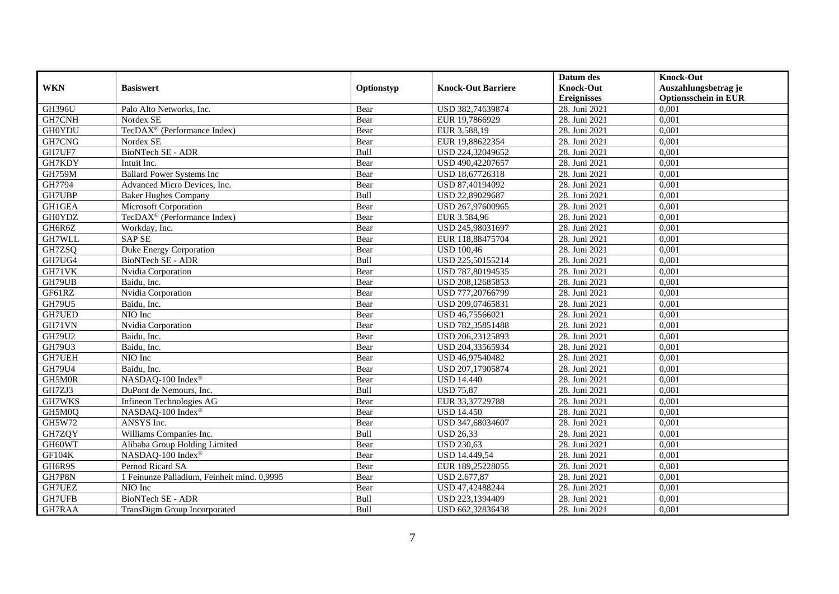|               |                                             |            |                           | Datum des          | <b>Knock-Out</b>            |
|---------------|---------------------------------------------|------------|---------------------------|--------------------|-----------------------------|
| <b>WKN</b>    | <b>Basiswert</b>                            | Optionstyp | <b>Knock-Out Barriere</b> | <b>Knock-Out</b>   | Auszahlungsbetrag je        |
|               |                                             |            |                           | <b>Ereignisses</b> | <b>Optionsschein in EUR</b> |
| <b>GH396U</b> | Palo Alto Networks, Inc.                    | Bear       | USD 382,74639874          | 28. Juni 2021      | 0,001                       |
| GH7CNH        | Nordex SE                                   | Bear       | EUR 19,7866929            | 28. Juni 2021      | 0,001                       |
| <b>GH0YDU</b> | TecDAX <sup>®</sup> (Performance Index)     | Bear       | EUR 3.588,19              | 28. Juni 2021      | 0,001                       |
| GH7CNG        | Nordex SE                                   | Bear       | EUR 19,88622354           | 28. Juni 2021      | 0,001                       |
| GH7UF7        | <b>BioNTech SE - ADR</b>                    | Bull       | USD 224,32049652          | 28. Juni 2021      | 0,001                       |
| GH7KDY        | Intuit Inc.                                 | Bear       | USD 490,42207657          | 28. Juni 2021      | 0,001                       |
| <b>GH759M</b> | <b>Ballard Power Systems Inc</b>            | Bear       | USD 18,67726318           | 28. Juni 2021      | 0,001                       |
| GH7794        | Advanced Micro Devices, Inc.                | Bear       | USD 87,40194092           | 28. Juni 2021      | 0,001                       |
| GH7UBP        | <b>Baker Hughes Company</b>                 | Bull       | USD 22,89029687           | 28. Juni 2021      | 0,001                       |
| GH1GEA        | Microsoft Corporation                       | Bear       | USD 267,97600965          | 28. Juni 2021      | 0,001                       |
| <b>GH0YDZ</b> | TecDAX <sup>®</sup> (Performance Index)     | Bear       | EUR 3.584,96              | 28. Juni 2021      | 0,001                       |
| GH6R6Z        | Workday, Inc.                               | Bear       | USD 245,98031697          | 28. Juni 2021      | 0,001                       |
| GH7WLL        | <b>SAPSE</b>                                | Bear       | EUR 118,88475704          | 28. Juni 2021      | 0,001                       |
| GH7ZSQ        | Duke Energy Corporation                     | Bear       | <b>USD 100,46</b>         | 28. Juni 2021      | 0,001                       |
| GH7UG4        | BioNTech SE - ADR                           | Bull       | USD 225,50155214          | 28. Juni 2021      | 0,001                       |
| GH71VK        | Nvidia Corporation                          | Bear       | USD 787,80194535          | 28. Juni 2021      | 0,001                       |
| GH79UB        | Baidu, Inc.                                 | Bear       | USD 208,12685853          | 28. Juni 2021      | 0,001                       |
| GF61RZ        | Nvidia Corporation                          | Bear       | USD 777,20766799          | 28. Juni 2021      | 0,001                       |
| GH79U5        | Baidu, Inc.                                 | Bear       | USD 209,07465831          | 28. Juni 2021      | 0,001                       |
| <b>GH7UED</b> | NIO Inc                                     | Bear       | USD 46,75566021           | 28. Juni 2021      | 0,001                       |
| GH71VN        | Nvidia Corporation                          | Bear       | USD 782,35851488          | 28. Juni 2021      | 0,001                       |
| GH79U2        | Baidu, Inc.                                 | Bear       | USD 206,23125893          | 28. Juni 2021      | 0,001                       |
| GH79U3        | Baidu, Inc.                                 | Bear       | USD 204,33565934          | 28. Juni 2021      | 0,001                       |
| GH7UEH        | NIO Inc                                     | Bear       | USD 46,97540482           | 28. Juni 2021      | 0,001                       |
| <b>GH79U4</b> | Baidu. Inc.                                 | Bear       | USD 207.17905874          | 28. Juni 2021      | 0.001                       |
| GH5M0R        | NASDAQ-100 Index®                           | Bear       | <b>USD 14.440</b>         | 28. Juni 2021      | 0,001                       |
| GH7ZJ3        | DuPont de Nemours, Inc.                     | Bull       | <b>USD 75,87</b>          | 28. Juni 2021      | 0,001                       |
| GH7WKS        | Infineon Technologies AG                    | Bear       | EUR 33,37729788           | 28. Juni 2021      | 0,001                       |
| GH5M0Q        | NASDAQ-100 Index®                           | Bear       | <b>USD 14.450</b>         | 28. Juni 2021      | 0,001                       |
| GH5W72        | ANSYS Inc.                                  | Bear       | USD 347,68034607          | 28. Juni 2021      | 0,001                       |
| GH7ZQY        | Williams Companies Inc.                     | Bull       | <b>USD 26,33</b>          | 28. Juni 2021      | 0,001                       |
| GH60WT        | Alibaba Group Holding Limited               | Bear       | <b>USD 230.63</b>         | 28. Juni 2021      | 0,001                       |
| GF104K        | NASDAQ-100 Index®                           | Bear       | <b>USD 14.449,54</b>      | 28. Juni 2021      | 0,001                       |
| GH6R9S        | Pernod Ricard SA                            | Bear       | EUR 189,25228055          | 28. Juni 2021      | 0,001                       |
| GH7P8N        | 1 Feinunze Palladium, Feinheit mind. 0,9995 | Bear       | <b>USD 2.677,87</b>       | 28. Juni 2021      | 0,001                       |
| GH7UEZ        | NIO Inc                                     | Bear       | USD 47,42488244           | 28. Juni 2021      | 0,001                       |
| GH7UFB        | <b>BioNTech SE - ADR</b>                    | Bull       | USD 223,1394409           | 28. Juni 2021      | 0,001                       |
| GH7RAA        | TransDigm Group Incorporated                | Bull       | USD 662,32836438          | 28. Juni 2021      | 0,001                       |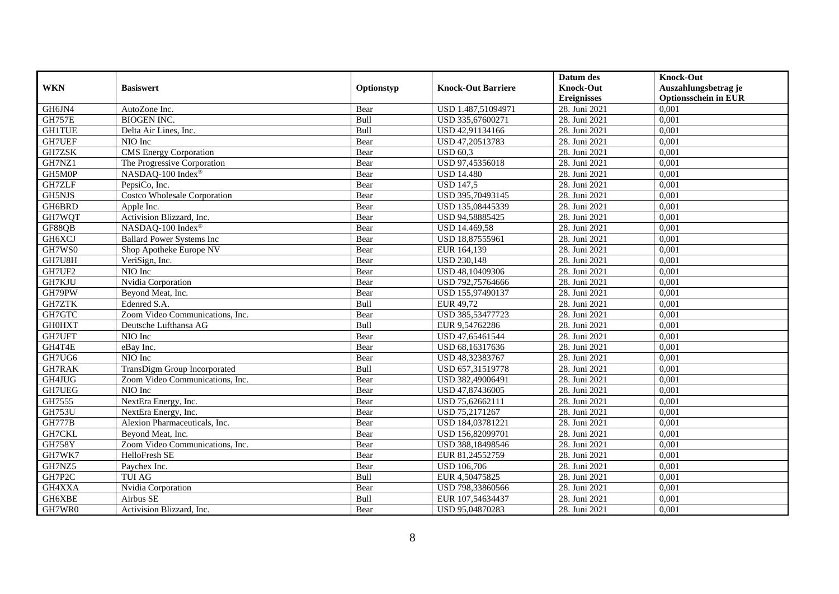|               |                                     |            |                           | Datum des          | <b>Knock-Out</b>            |
|---------------|-------------------------------------|------------|---------------------------|--------------------|-----------------------------|
| <b>WKN</b>    | <b>Basiswert</b>                    | Optionstyp | <b>Knock-Out Barriere</b> | <b>Knock-Out</b>   | Auszahlungsbetrag je        |
|               |                                     |            |                           | <b>Ereignisses</b> | <b>Optionsschein in EUR</b> |
| GH6JN4        | AutoZone Inc.                       | Bear       | USD 1.487,51094971        | 28. Juni 2021      | 0,001                       |
| <b>GH757E</b> | <b>BIOGEN INC.</b>                  | Bull       | USD 335,67600271          | 28. Juni 2021      | 0,001                       |
| <b>GH1TUE</b> | Delta Air Lines, Inc.               | Bull       | USD 42,91134166           | 28. Juni 2021      | 0,001                       |
| GH7UEF        | NIO Inc                             | Bear       | USD 47,20513783           | 28. Juni 2021      | 0,001                       |
| GH7ZSK        | <b>CMS</b> Energy Corporation       | Bear       | <b>USD 60,3</b>           | 28. Juni 2021      | 0,001                       |
| GH7NZ1        | The Progressive Corporation         | Bear       | USD 97,45356018           | 28. Juni 2021      | 0,001                       |
| GH5M0P        | NASDAQ-100 Index®                   | Bear       | <b>USD 14.480</b>         | 28. Juni 2021      | 0,001                       |
| GH7ZLF        | PepsiCo, Inc.                       | Bear       | <b>USD 147,5</b>          | 28. Juni 2021      | 0,001                       |
| GH5NJS        | <b>Costco Wholesale Corporation</b> | Bear       | USD 395,70493145          | 28. Juni 2021      | 0,001                       |
| GH6BRD        | Apple Inc.                          | Bear       | USD 135,08445339          | 28. Juni 2021      | 0,001                       |
| GH7WQT        | Activision Blizzard, Inc.           | Bear       | USD 94,58885425           | 28. Juni 2021      | 0,001                       |
| GF88QB        | NASDAQ-100 Index®                   | Bear       | <b>USD 14.469,58</b>      | 28. Juni 2021      | 0,001                       |
| GH6XCJ        | <b>Ballard Power Systems Inc</b>    | Bear       | USD 18,87555961           | 28. Juni 2021      | 0,001                       |
| GH7WS0        | Shop Apotheke Europe NV             | Bear       | EUR 164,139               | 28. Juni 2021      | 0.001                       |
| GH7U8H        | VeriSign, Inc.                      | Bear       | <b>USD 230,148</b>        | 28. Juni 2021      | 0,001                       |
| GH7UF2        | NIO Inc                             | Bear       | USD 48,10409306           | 28. Juni 2021      | 0,001                       |
| GH7KJU        | Nvidia Corporation                  | Bear       | USD 792,75764666          | 28. Juni 2021      | 0,001                       |
| GH79PW        | Beyond Meat, Inc.                   | Bear       | USD 155,97490137          | 28. Juni 2021      | 0,001                       |
| GH7ZTK        | Edenred S.A.                        | Bull       | EUR 49,72                 | 28. Juni 2021      | 0,001                       |
| GH7GTC        | Zoom Video Communications, Inc.     | Bear       | USD 385,53477723          | 28. Juni 2021      | 0,001                       |
| <b>GH0HXT</b> | Deutsche Lufthansa AG               | Bull       | EUR 9,54762286            | 28. Juni 2021      | 0,001                       |
| GH7UFT        | NIO Inc                             | Bear       | USD 47,65461544           | 28. Juni 2021      | 0,001                       |
| GH4T4E        | eBay Inc.                           | Bear       | USD 68,16317636           | 28. Juni 2021      | 0,001                       |
| GH7UG6        | NIO Inc                             | Bear       | USD 48,32383767           | 28. Juni 2021      | 0,001                       |
| GH7RAK        | TransDigm Group Incorporated        | Bull       | USD 657,31519778          | 28. Juni 2021      | 0,001                       |
| GH4JUG        | Zoom Video Communications, Inc.     | Bear       | USD 382,49006491          | 28. Juni 2021      | 0,001                       |
| <b>GH7UEG</b> | NIO Inc                             | Bear       | USD 47,87436005           | 28. Juni 2021      | 0,001                       |
| GH7555        | NextEra Energy, Inc.                | Bear       | USD 75,62662111           | 28. Juni 2021      | 0,001                       |
| <b>GH753U</b> | NextEra Energy, Inc.                | Bear       | USD 75,2171267            | 28. Juni 2021      | 0,001                       |
| <b>GH777B</b> | Alexion Pharmaceuticals, Inc.       | Bear       | USD 184,03781221          | 28. Juni 2021      | 0,001                       |
| GH7CKL        | Beyond Meat, Inc.                   | Bear       | USD 156,82099701          | 28. Juni 2021      | 0,001                       |
| <b>GH758Y</b> | Zoom Video Communications, Inc.     | Bear       | USD 388,18498546          | 28. Juni 2021      | 0,001                       |
| GH7WK7        | HelloFresh SE                       | Bear       | EUR 81,24552759           | 28. Juni 2021      | 0,001                       |
| GH7NZ5        | Paychex Inc.                        | Bear       | <b>USD 106,706</b>        | 28. Juni 2021      | 0,001                       |
| GH7P2C        | <b>TUI AG</b>                       | Bull       | EUR 4,50475825            | 28. Juni 2021      | 0,001                       |
| GH4XXA        | Nvidia Corporation                  | Bear       | USD 798,33860566          | 28. Juni 2021      | 0,001                       |
| GH6XBE        | Airbus SE                           | Bull       | EUR 107,54634437          | 28. Juni 2021      | 0,001                       |
| GH7WR0        | Activision Blizzard, Inc.           | Bear       | USD 95,04870283           | 28. Juni 2021      | 0,001                       |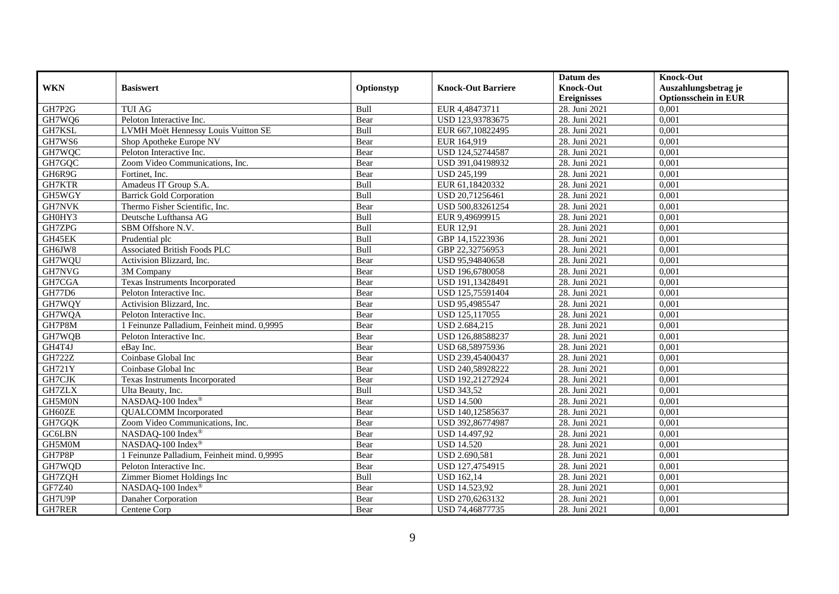|               |                                             |             |                           | Datum des          | <b>Knock-Out</b>            |
|---------------|---------------------------------------------|-------------|---------------------------|--------------------|-----------------------------|
| <b>WKN</b>    | <b>Basiswert</b>                            | Optionstyp  | <b>Knock-Out Barriere</b> | <b>Knock-Out</b>   | Auszahlungsbetrag je        |
|               |                                             |             |                           | <b>Ereignisses</b> | <b>Optionsschein in EUR</b> |
| GH7P2G        | <b>TUI AG</b>                               | Bull        | EUR 4,48473711            | 28. Juni 2021      | 0,001                       |
| GH7WQ6        | Peloton Interactive Inc.                    | Bear        | USD 123,93783675          | 28. Juni 2021      | 0,001                       |
| GH7KSL        | LVMH Moët Hennessy Louis Vuitton SE         | Bull        | EUR 667,10822495          | 28. Juni 2021      | 0,001                       |
| GH7WS6        | Shop Apotheke Europe NV                     | Bear        | EUR 164,919               | 28. Juni 2021      | 0,001                       |
| GH7WQC        | Peloton Interactive Inc.                    | Bear        | USD 124,52744587          | 28. Juni 2021      | 0,001                       |
| GH7GQC        | Zoom Video Communications, Inc.             | Bear        | USD 391,04198932          | 28. Juni 2021      | 0,001                       |
| GH6R9G        | Fortinet. Inc.                              | Bear        | <b>USD 245,199</b>        | 28. Juni 2021      | 0,001                       |
| GH7KTR        | Amadeus IT Group S.A.                       | Bull        | EUR 61,18420332           | 28. Juni 2021      | 0,001                       |
| GH5WGY        | <b>Barrick Gold Corporation</b>             | Bull        | USD 20,71256461           | 28. Juni 2021      | 0,001                       |
| <b>GH7NVK</b> | Thermo Fisher Scientific, Inc.              | Bear        | USD 500,83261254          | 28. Juni 2021      | 0,001                       |
| GH0HY3        | Deutsche Lufthansa AG                       | Bull        | EUR 9,49699915            | 28. Juni 2021      | 0,001                       |
| GH7ZPG        | SBM Offshore N.V.                           | Bull        | <b>EUR 12,91</b>          | 28. Juni 2021      | 0,001                       |
| GH45EK        | Prudential plc                              | Bull        | GBP 14,15223936           | 28. Juni 2021      | 0,001                       |
| GH6JW8        | <b>Associated British Foods PLC</b>         | <b>Bull</b> | GBP 22,32756953           | 28. Juni 2021      | 0.001                       |
| GH7WQU        | Activision Blizzard, Inc.                   | Bear        | USD 95,94840658           | 28. Juni 2021      | 0,001                       |
| GH7NVG        | 3M Company                                  | Bear        | USD 196,6780058           | 28. Juni 2021      | 0,001                       |
| GH7CGA        | <b>Texas Instruments Incorporated</b>       | Bear        | USD 191,13428491          | 28. Juni 2021      | 0,001                       |
| GH77D6        | Peloton Interactive Inc.                    | Bear        | USD 125,75591404          | 28. Juni 2021      | 0,001                       |
| GH7WQY        | Activision Blizzard, Inc.                   | Bear        | USD 95,4985547            | 28. Juni 2021      | 0,001                       |
| GH7WQA        | Peloton Interactive Inc.                    | Bear        | USD 125,117055            | 28. Juni 2021      | 0,001                       |
| GH7P8M        | 1 Feinunze Palladium, Feinheit mind. 0,9995 | Bear        | USD 2.684,215             | 28. Juni 2021      | 0,001                       |
| GH7WQB        | Peloton Interactive Inc.                    | Bear        | USD 126,88588237          | 28. Juni 2021      | 0,001                       |
| GH4T4J        | eBav Inc.                                   | Bear        | USD 68,58975936           | 28. Juni 2021      | 0,001                       |
| <b>GH722Z</b> | Coinbase Global Inc                         | Bear        | USD 239,45400437          | 28. Juni 2021      | 0,001                       |
| <b>GH721Y</b> | Coinbase Global Inc                         | Bear        | USD 240,58928222          | 28. Juni 2021      | 0,001                       |
| GH7CJK        | <b>Texas Instruments Incorporated</b>       | Bear        | USD 192,21272924          | 28. Juni 2021      | 0,001                       |
| <b>GH7ZLX</b> | Ulta Beauty, Inc.                           | Bull        | <b>USD 343,52</b>         | 28. Juni 2021      | 0,001                       |
| GH5M0N        | NASDAQ-100 Index®                           | Bear        | <b>USD 14.500</b>         | 28. Juni 2021      | 0,001                       |
| GH60ZE        | <b>QUALCOMM</b> Incorporated                | Bear        | USD 140,12585637          | 28. Juni 2021      | 0,001                       |
| GH7GQK        | Zoom Video Communications, Inc.             | Bear        | USD 392,86774987          | 28. Juni 2021      | 0,001                       |
| <b>GC6LBN</b> | NASDAQ-100 Index <sup>®</sup>               | Bear        | USD 14.497,92             | 28. Juni 2021      | 0,001                       |
| GH5M0M        | NASDAQ-100 Index®                           | Bear        | <b>USD 14.520</b>         | 28. Juni 2021      | 0,001                       |
| GH7P8P        | 1 Feinunze Palladium, Feinheit mind. 0,9995 | Bear        | USD 2.690,581             | 28. Juni 2021      | 0,001                       |
| GH7WQD        | Peloton Interactive Inc.                    | Bear        | USD 127,4754915           | 28. Juni 2021      | 0,001                       |
| GH7ZQH        | Zimmer Biomet Holdings Inc                  | Bull        | <b>USD 162,14</b>         | 28. Juni 2021      | 0,001                       |
| <b>GF7Z40</b> | NASDAQ-100 Index®                           | Bear        | USD 14.523,92             | 28. Juni 2021      | 0,001                       |
| GH7U9P        | Danaher Corporation                         | Bear        | USD 270,6263132           | 28. Juni 2021      | 0,001                       |
| GH7RER        | Centene Corp                                | Bear        | USD 74,46877735           | 28. Juni 2021      | 0,001                       |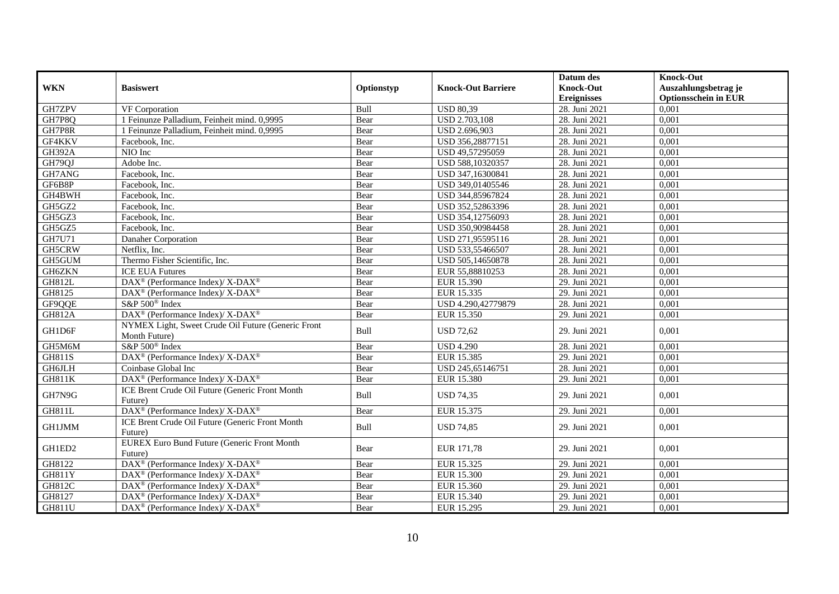|               |                                                                     |            |                           | Datum des          | <b>Knock-Out</b>            |
|---------------|---------------------------------------------------------------------|------------|---------------------------|--------------------|-----------------------------|
| <b>WKN</b>    | <b>Basiswert</b>                                                    | Optionstyp | <b>Knock-Out Barriere</b> | <b>Knock-Out</b>   | Auszahlungsbetrag je        |
|               |                                                                     |            |                           | <b>Ereignisses</b> | <b>Optionsschein in EUR</b> |
| GH7ZPV        | VF Corporation                                                      | Bull       | <b>USD 80,39</b>          | 28. Juni 2021      | 0,001                       |
| GH7P8Q        | 1 Feinunze Palladium, Feinheit mind. 0,9995                         | Bear       | <b>USD 2.703,108</b>      | 28. Juni 2021      | 0,001                       |
| GH7P8R        | 1 Feinunze Palladium, Feinheit mind. 0,9995                         | Bear       | USD 2.696,903             | 28. Juni 2021      | 0,001                       |
| GF4KKV        | Facebook, Inc.                                                      | Bear       | USD 356,28877151          | 28. Juni 2021      | 0,001                       |
| <b>GH392A</b> | NIO Inc                                                             | Bear       | USD 49,57295059           | 28. Juni 2021      | 0,001                       |
| GH79QJ        | Adobe Inc.                                                          | Bear       | USD 588,10320357          | 28. Juni 2021      | 0,001                       |
| GH7ANG        | Facebook. Inc.                                                      | Bear       | USD 347,16300841          | 28. Juni 2021      | 0,001                       |
| GF6B8P        | Facebook, Inc.                                                      | Bear       | USD 349,01405546          | 28. Juni 2021      | 0,001                       |
| GH4BWH        | Facebook, Inc.                                                      | Bear       | USD 344,85967824          | 28. Juni 2021      | 0,001                       |
| GH5GZ2        | Facebook, Inc.                                                      | Bear       | USD 352,52863396          | 28. Juni 2021      | 0,001                       |
| GH5GZ3        | Facebook, Inc.                                                      | Bear       | USD 354,12756093          | 28. Juni 2021      | 0,001                       |
| GH5GZ5        | Facebook, Inc.                                                      | Bear       | USD 350,90984458          | 28. Juni 2021      | 0,001                       |
| <b>GH7U71</b> | Danaher Corporation                                                 | Bear       | USD 271,95595116          | 28. Juni 2021      | 0,001                       |
| GH5CRW        | Netflix, Inc.                                                       | Bear       | USD 533,55466507          | 28. Juni 2021      | 0,001                       |
| GH5GUM        | Thermo Fisher Scientific, Inc.                                      | Bear       | USD 505,14650878          | 28. Juni 2021      | 0,001                       |
| GH6ZKN        | <b>ICE EUA Futures</b>                                              | Bear       | EUR 55,88810253           | 28. Juni 2021      | 0,001                       |
| <b>GH812L</b> | DAX <sup>®</sup> (Performance Index)/X-DAX <sup>®</sup>             | Bear       | EUR 15.390                | 29. Juni 2021      | 0,001                       |
| GH8125        | DAX <sup>®</sup> (Performance Index)/X-DAX <sup>®</sup>             | Bear       | EUR 15.335                | 29. Juni 2021      | 0,001                       |
| GF9QQE        | S&P 500 <sup>®</sup> Index                                          | Bear       | USD 4.290,42779879        | 28. Juni 2021      | 0,001                       |
| <b>GH812A</b> | DAX <sup>®</sup> (Performance Index)/X-DAX <sup>®</sup>             | Bear       | EUR 15.350                | 29. Juni 2021      | 0,001                       |
| GH1D6F        | NYMEX Light, Sweet Crude Oil Future (Generic Front<br>Month Future) | Bull       | <b>USD 72,62</b>          | 29. Juni 2021      | 0,001                       |
| GH5M6M        | S&P 500 <sup>®</sup> Index                                          | Bear       | <b>USD 4.290</b>          | 28. Juni 2021      | 0,001                       |
| <b>GH811S</b> | DAX <sup>®</sup> (Performance Index)/ X-DAX <sup>®</sup>            | Bear       | EUR 15.385                | 29. Juni 2021      | 0,001                       |
| <b>GH6JLH</b> | Coinbase Global Inc                                                 | Bear       | USD 245,65146751          | 28. Juni 2021      | 0,001                       |
| <b>GH811K</b> | DAX <sup>®</sup> (Performance Index)/X-DAX <sup>®</sup>             | Bear       | EUR 15.380                | 29. Juni 2021      | 0.001                       |
| GH7N9G        | ICE Brent Crude Oil Future (Generic Front Month<br>Future)          | Bull       | <b>USD 74,35</b>          | 29. Juni 2021      | 0.001                       |
| GH811L        | DAX <sup>®</sup> (Performance Index)/X-DAX <sup>®</sup>             | Bear       | EUR 15.375                | 29. Juni 2021      | 0,001                       |
| GH1JMM        | ICE Brent Crude Oil Future (Generic Front Month<br>Future)          | Bull       | <b>USD 74,85</b>          | 29. Juni 2021      | 0,001                       |
| GH1ED2        | <b>EUREX Euro Bund Future (Generic Front Month</b><br>Future)       | Bear       | EUR 171,78                | 29. Juni 2021      | 0.001                       |
| GH8122        | DAX <sup>®</sup> (Performance Index)/X-DAX <sup>®</sup>             | Bear       | EUR 15.325                | 29. Juni 2021      | 0,001                       |
| <b>GH811Y</b> | DAX <sup>®</sup> (Performance Index)/ X-DAX <sup>®</sup>            | Bear       | <b>EUR 15.300</b>         | 29. Juni 2021      | 0,001                       |
| GH812C        | $DAX^{\circledcirc}$ (Performance Index)/ X-DAX <sup>®</sup>        | Bear       | EUR 15.360                | 29. Juni 2021      | 0,001                       |
| GH8127        | DAX <sup>®</sup> (Performance Index)/ X-DAX <sup>®</sup>            | Bear       | EUR 15.340                | 29. Juni 2021      | 0,001                       |
| <b>GH811U</b> | $DAX^{\circledast}$ (Performance Index)/ X-DAX <sup>®</sup>         | Bear       | EUR 15.295                | 29. Juni 2021      | 0,001                       |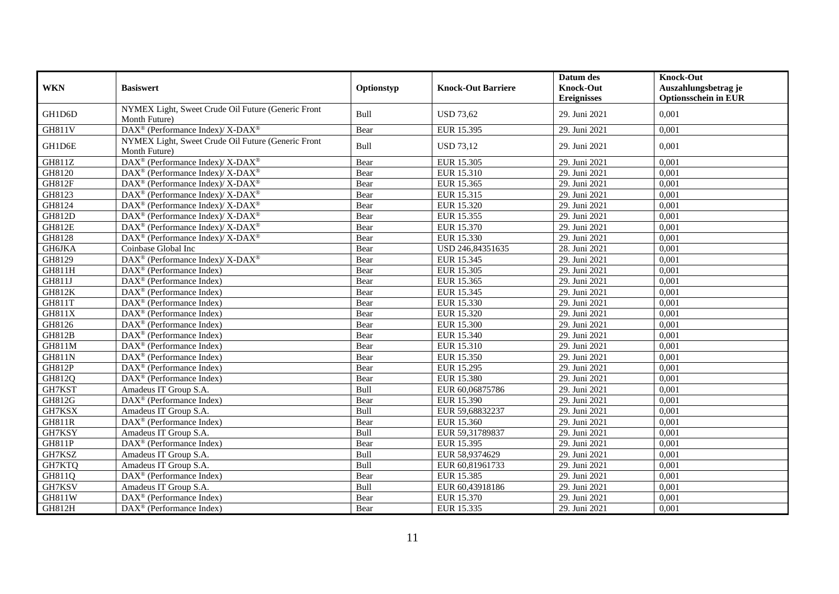| <b>WKN</b>          |                                                                           |            | <b>Knock-Out Barriere</b> | Datum des<br><b>Knock-Out</b> | <b>Knock-Out</b>                                    |
|---------------------|---------------------------------------------------------------------------|------------|---------------------------|-------------------------------|-----------------------------------------------------|
|                     | <b>Basiswert</b>                                                          | Optionstyp |                           | <b>Ereignisses</b>            | Auszahlungsbetrag je<br><b>Optionsschein in EUR</b> |
| GH1D6D              | NYMEX Light, Sweet Crude Oil Future (Generic Front<br>Month Future)       | Bull       | <b>USD 73,62</b>          | 29. Juni 2021                 | 0,001                                               |
| $\overline{GH811V}$ | DAX <sup>®</sup> (Performance Index)/X-DAX <sup>®</sup>                   | Bear       | EUR 15.395                | 29. Juni 2021                 | 0,001                                               |
| GH1D6E              | NYMEX Light, Sweet Crude Oil Future (Generic Front<br>Month Future)       | Bull       | <b>USD 73,12</b>          | 29. Juni 2021                 | 0,001                                               |
| GH811Z              | $\overline{\text{DAX}^{\otimes}}$ (Performance Index)/X-DAX <sup>®</sup>  | Bear       | EUR 15.305                | 29. Juni 2021                 | 0,001                                               |
| GH8120              | DAX <sup>®</sup> (Performance Index)/ X-DAX <sup>®</sup>                  | Bear       | EUR 15.310                | 29. Juni 2021                 | 0,001                                               |
| <b>GH812F</b>       | DAX <sup>®</sup> (Performance Index)/ X-DAX <sup>®</sup>                  | Bear       | EUR 15.365                | 29. Juni 2021                 | 0,001                                               |
| GH8123              | DAX <sup>®</sup> (Performance Index)/X-DAX <sup>®</sup>                   | Bear       | EUR 15.315                | 29. Juni 2021                 | 0,001                                               |
| GH8124              | DAX <sup>®</sup> (Performance Index)/ X-DAX <sup>®</sup>                  | Bear       | EUR 15.320                | 29. Juni 2021                 | 0,001                                               |
| <b>GH812D</b>       | $DAX^{\circledast}$ (Performance Index)/ X-DAX <sup>®</sup>               | Bear       | EUR 15.355                | 29. Juni 2021                 | 0,001                                               |
| <b>GH812E</b>       | $DAX^{\circledast}$ (Performance Index)/X-DAX <sup>®</sup>                | Bear       | EUR 15.370                | 29. Juni 2021                 | 0,001                                               |
| GH8128              | DAX <sup>®</sup> (Performance Index)/ X-DAX <sup>®</sup>                  | Bear       | EUR 15.330                | 29. Juni 2021                 | 0,001                                               |
| GH6JKA              | Coinbase Global Inc                                                       | Bear       | USD 246,84351635          | 28. Juni 2021                 | 0,001                                               |
| GH8129              | $DAX^{\circledast}$ (Performance Index)/ $\overline{X-DAX^{\circledast}}$ | Bear       | EUR 15.345                | 29. Juni 2021                 | 0,001                                               |
| GH811H              | $DAX^{\circledcirc}$ (Performance Index)                                  | Bear       | EUR 15.305                | 29. Juni 2021                 | 0,001                                               |
| <b>GH811J</b>       | $\overline{\text{DAX}^{\otimes}}$ (Performance Index)                     | Bear       | EUR 15.365                | 29. Juni 2021                 | 0,001                                               |
| <b>GH812K</b>       | $\text{DAX}^{\otimes}$ (Performance Index)                                | Bear       | EUR 15.345                | 29. Juni 2021                 | 0,001                                               |
| GH811T              | $DAX^{\circledast}$ (Performance Index)                                   | Bear       | EUR 15.330                | 29. Juni 2021                 | 0,001                                               |
| GH811X              | $DAX^{\circledcirc}$ (Performance Index)                                  | Bear       | EUR 15.320                | 29. Juni 2021                 | 0,001                                               |
| GH8126              | $\overline{\text{DAX}}^{\textcirc}$ (Performance Index)                   | Bear       | <b>EUR 15.300</b>         | 29. Juni 2021                 | 0,001                                               |
| <b>GH812B</b>       | $\overline{\text{DAX}^{\otimes}}$ (Performance Index)                     | Bear       | EUR 15.340                | 29. Juni 2021                 | 0,001                                               |
| <b>GH811M</b>       | $DAX^{\circledast}$ (Performance Index)                                   | Bear       | EUR 15.310                | 29. Juni 2021                 | 0,001                                               |
| <b>GH811N</b>       | DAX <sup>®</sup> (Performance Index)                                      | Bear       | EUR 15.350                | 29. Juni 2021                 | 0,001                                               |
| GH812P              | DAX <sup>®</sup> (Performance Index)                                      | Bear       | EUR 15.295                | 29. Juni 2021                 | 0,001                                               |
| GH812Q              | DAX <sup>®</sup> (Performance Index)                                      | Bear       | <b>EUR 15.380</b>         | 29. Juni 2021                 | 0,001                                               |
| GH7KST              | Amadeus IT Group S.A.                                                     | Bull       | EUR 60,06875786           | 29. Juni 2021                 | 0,001                                               |
| GH812G              | $\overline{\text{DAX}^{\otimes}}$ (Performance Index)                     | Bear       | EUR 15.390                | 29. Juni 2021                 | 0,001                                               |
| GH7KSX              | Amadeus IT Group S.A.                                                     | Bull       | EUR 59,68832237           | 29. Juni 2021                 | 0,001                                               |
| <b>GH811R</b>       | $DAX^{\circledR}$ (Performance Index)                                     | Bear       | EUR 15.360                | 29. Juni 2021                 | 0,001                                               |
| GH7KSY              | Amadeus IT Group S.A.                                                     | Bull       | EUR 59,31789837           | 29. Juni 2021                 | 0,001                                               |
| GH811P              | $DAX^{\circledast}$ (Performance Index)                                   | Bear       | EUR 15.395                | 29. Juni 2021                 | 0,001                                               |
| GH7KSZ              | Amadeus IT Group S.A.                                                     | Bull       | EUR 58,9374629            | 29. Juni 2021                 | 0,001                                               |
| GH7KTQ              | Amadeus IT Group S.A.                                                     | Bull       | EUR 60,81961733           | 29. Juni 2021                 | 0,001                                               |
| GH811Q              | DAX <sup>®</sup> (Performance Index)                                      | Bear       | <b>EUR 15.385</b>         | 29. Juni 2021                 | 0,001                                               |
| GH7KSV              | Amadeus IT Group S.A                                                      | Bull       | EUR 60,43918186           | 29. Juni 2021                 | 0,001                                               |
| GH811W              | DAX <sup>®</sup> (Performance Index)                                      | Bear       | EUR 15.370                | 29. Juni 2021                 | 0,001                                               |
| GH812H              | $\text{DAX}^{\otimes}$ (Performance Index)                                | Bear       | EUR 15.335                | 29. Juni 2021                 | 0,001                                               |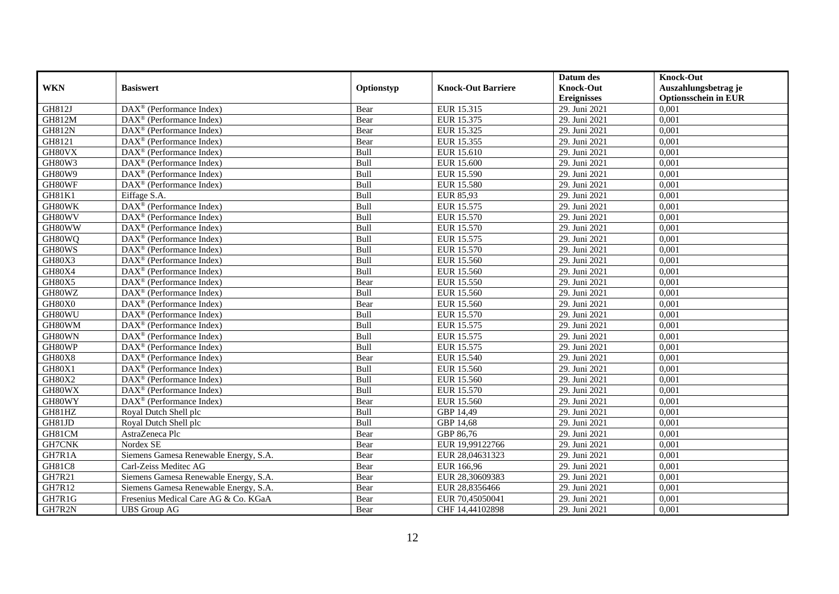|               |                                                              |            |                           | Datum des          | <b>Knock-Out</b>            |
|---------------|--------------------------------------------------------------|------------|---------------------------|--------------------|-----------------------------|
| <b>WKN</b>    | <b>Basiswert</b>                                             | Optionstyp | <b>Knock-Out Barriere</b> | <b>Knock-Out</b>   | Auszahlungsbetrag je        |
|               |                                                              |            |                           | <b>Ereignisses</b> | <b>Optionsschein in EUR</b> |
| GH812J        | $\overline{\text{DAX}}^{\textcircled{}}$ (Performance Index) | Bear       | EUR 15.315                | 29. Juni 2021      | 0,001                       |
| <b>GH812M</b> | DAX <sup>®</sup> (Performance Index)                         | Bear       | EUR 15.375                | 29. Juni 2021      | 0,001                       |
| <b>GH812N</b> | DAX <sup>®</sup> (Performance Index)                         | Bear       | EUR 15.325                | 29. Juni 2021      | 0,001                       |
| GH8121        | DAX <sup>®</sup> (Performance Index)                         | Bear       | EUR 15.355                | 29. Juni 2021      | 0,001                       |
| GH80VX        | $DAX^{\circledast}$ (Performance Index)                      | Bull       | EUR 15.610                | 29. Juni 2021      | 0,001                       |
| GH80W3        | $\overline{\text{DAX}^{\otimes}}$ (Performance Index)        | Bull       | <b>EUR 15.600</b>         | 29. Juni 2021      | 0,001                       |
| GH80W9        | $\text{DAX}^{\circledR}$ (Performance Index)                 | Bull       | EUR 15.590                | 29. Juni 2021      | 0,001                       |
| GH80WF        | DAX <sup>®</sup> (Performance Index)                         | Bull       | <b>EUR 15.580</b>         | 29. Juni 2021      | 0,001                       |
| GH81K1        | Eiffage S.A.                                                 | Bull       | <b>EUR 85,93</b>          | 29. Juni 2021      | 0,001                       |
| GH80WK        | DAX <sup>®</sup> (Performance Index)                         | Bull       | EUR 15.575                | 29. Juni 2021      | 0,001                       |
| GH80WV        | $\overline{\text{DAX}^{\otimes}}$ (Performance Index)        | Bull       | EUR 15.570                | 29. Juni 2021      | 0,001                       |
| GH80WW        | DAX <sup>®</sup> (Performance Index)                         | Bull       | EUR 15.570                | 29. Juni 2021      | 0,001                       |
| GH80WQ        | $DAX^{\circledast}$ (Performance Index)                      | Bull       | EUR 15.575                | 29. Juni 2021      | 0,001                       |
| GH80WS        | DAX <sup>®</sup> (Performance Index)                         | Bull       | EUR 15.570                | 29. Juni 2021      | 0,001                       |
| GH80X3        | DAX <sup>®</sup> (Performance Index)                         | Bull       | EUR 15.560                | 29. Juni 2021      | 0,001                       |
| GH80X4        | DAX <sup>®</sup> (Performance Index)                         | Bull       | <b>EUR 15.560</b>         | 29. Juni 2021      | 0,001                       |
| GH80X5        | $DAX^{\circledR}$ (Performance Index)                        | Bear       | EUR 15.550                | 29. Juni 2021      | 0,001                       |
| GH80WZ        | $\overline{\text{DAX}^{\otimes}}$ (Performance Index)        | Bull       | EUR 15.560                | 29. Juni 2021      | 0,001                       |
| GH80X0        | $DAX^{\circledast}$ (Performance Index)                      | Bear       | EUR 15.560                | 29. Juni 2021      | 0,001                       |
| GH80WU        | $DAX^{\circledast}$ (Performance Index)                      | Bull       | EUR 15.570                | 29. Juni 2021      | 0,001                       |
| GH80WM        | $DAX^{\circledast}$ (Performance Index)                      | Bull       | EUR 15.575                | 29. Juni 2021      | 0,001                       |
| GH80WN        | $\overline{\text{DAX}}^{\textcirc}$ (Performance Index)      | Bull       | EUR 15.575                | 29. Juni 2021      | 0,001                       |
| GH80WP        | $\overline{\text{DAX}}^{\textcirc}$ (Performance Index)      | Bull       | EUR 15.575                | 29. Juni 2021      | 0,001                       |
| GH80X8        | DAX <sup>®</sup> (Performance Index)                         | Bear       | EUR 15.540                | 29. Juni 2021      | 0,001                       |
| GH80X1        | $DAX^{\circledcirc}$ (Performance Index)                     | Bull       | EUR 15.560                | 29. Juni 2021      | 0,001                       |
| GH80X2        | $DAX^{\circledast}$ (Performance Index)                      | Bull       | EUR 15.560                | 29. Juni 2021      | 0,001                       |
| GH80WX        | DAX <sup>®</sup> (Performance Index)                         | Bull       | EUR 15.570                | 29. Juni 2021      | 0,001                       |
| GH80WY        | $\overline{\text{DAX}^{\otimes}}$ (Performance Index)        | Bear       | EUR 15.560                | 29. Juni 2021      | 0,001                       |
| GH81HZ        | Royal Dutch Shell plc                                        | Bull       | GBP 14,49                 | 29. Juni 2021      | 0,001                       |
| GH81JD        | Royal Dutch Shell plc                                        | Bull       | GBP 14,68                 | 29. Juni 2021      | 0,001                       |
| GH81CM        | AstraZeneca Plc                                              | Bear       | GBP 86,76                 | 29. Juni 2021      | 0,001                       |
| GH7CNK        | Nordex SE                                                    | Bear       | EUR 19,99122766           | 29. Juni 2021      | 0,001                       |
| GH7R1A        | Siemens Gamesa Renewable Energy, S.A.                        | Bear       | EUR 28,04631323           | 29. Juni 2021      | 0,001                       |
| GH81C8        | Carl-Zeiss Meditec AG                                        | Bear       | EUR 166,96                | 29. Juni 2021      | 0,001                       |
| GH7R21        | Siemens Gamesa Renewable Energy, S.A.                        | Bear       | EUR 28,30609383           | 29. Juni 2021      | 0,001                       |
| GH7R12        | Siemens Gamesa Renewable Energy, S.A.                        | Bear       | EUR 28,8356466            | 29. Juni 2021      | 0,001                       |
| GH7R1G        | Fresenius Medical Care AG & Co. KGaA                         | Bear       | EUR 70,45050041           | 29. Juni 2021      | 0,001                       |
| GH7R2N        | <b>UBS</b> Group AG                                          | Bear       | CHF 14,44102898           | 29. Juni 2021      | 0,001                       |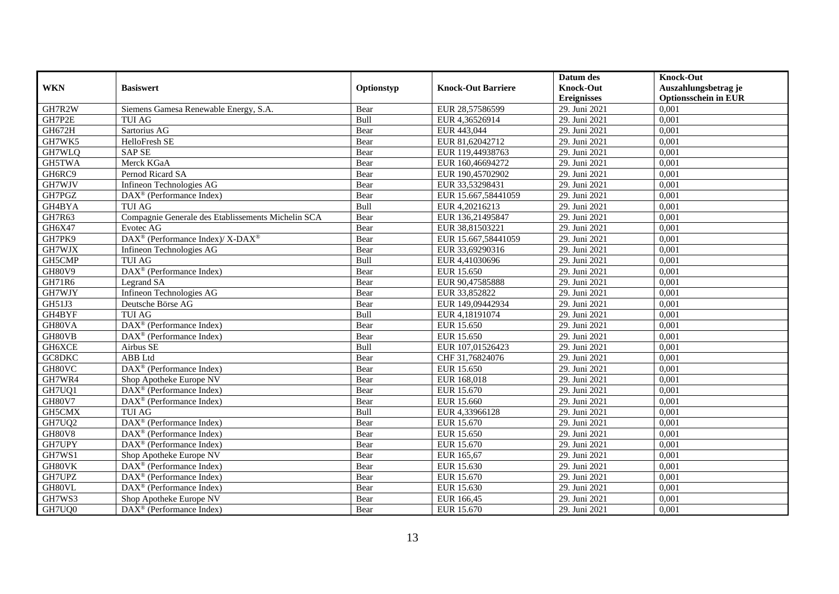|               |                                                         |            |                           | Datum des          | <b>Knock-Out</b>            |
|---------------|---------------------------------------------------------|------------|---------------------------|--------------------|-----------------------------|
| <b>WKN</b>    | <b>Basiswert</b>                                        | Optionstyp | <b>Knock-Out Barriere</b> | <b>Knock-Out</b>   | Auszahlungsbetrag je        |
|               |                                                         |            |                           | <b>Ereignisses</b> | <b>Optionsschein in EUR</b> |
| GH7R2W        | Siemens Gamesa Renewable Energy, S.A.                   | Bear       | EUR 28,57586599           | 29. Juni 2021      | 0,001                       |
| GH7P2E        | <b>TUI AG</b>                                           | Bull       | EUR 4,36526914            | 29. Juni 2021      | 0,001                       |
| GH672H        | Sartorius AG                                            | Bear       | EUR 443,044               | 29. Juni 2021      | 0,001                       |
| GH7WK5        | HelloFresh SE                                           | Bear       | EUR 81,62042712           | 29. Juni 2021      | 0,001                       |
| GH7WLQ        | <b>SAP SE</b>                                           | Bear       | EUR 119,44938763          | 29. Juni 2021      | 0,001                       |
| GH5TWA        | Merck KGaA                                              | Bear       | EUR 160,46694272          | 29. Juni 2021      | 0,001                       |
| GH6RC9        | Pernod Ricard SA                                        | Bear       | EUR 190,45702902          | 29. Juni 2021      | 0,001                       |
| GH7WJV        | Infineon Technologies AG                                | Bear       | EUR 33,53298431           | 29. Juni 2021      | 0,001                       |
| GH7PGZ        | $DAX^{\circledast}$ (Performance Index)                 | Bear       | EUR 15.667,58441059       | 29. Juni 2021      | 0,001                       |
| GH4BYA        | <b>TUI AG</b>                                           | Bull       | EUR 4,20216213            | 29. Juni 2021      | 0,001                       |
| <b>GH7R63</b> | Compagnie Generale des Etablissements Michelin SCA      | Bear       | EUR 136,21495847          | 29. Juni 2021      | 0,001                       |
| GH6X47        | Evotec AG                                               | Bear       | EUR 38,81503221           | 29. Juni 2021      | 0,001                       |
| GH7PK9        | DAX <sup>®</sup> (Performance Index)/X-DAX <sup>®</sup> | Bear       | EUR 15.667,58441059       | 29. Juni 2021      | 0,001                       |
| GH7WJX        | Infineon Technologies AG                                | Bear       | EUR 33,69290316           | 29. Juni 2021      | 0,001                       |
| GH5CMP        | <b>TUI AG</b>                                           | Bull       | EUR 4,41030696            | 29. Juni 2021      | 0,001                       |
| <b>GH80V9</b> | DAX <sup>®</sup> (Performance Index)                    | Bear       | EUR 15.650                | 29. Juni 2021      | 0,001                       |
| GH71R6        | Legrand SA                                              | Bear       | EUR 90,47585888           | 29. Juni 2021      | 0,001                       |
| GH7WJY        | Infineon Technologies AG                                | Bear       | EUR 33,852822             | 29. Juni 2021      | 0,001                       |
| GH51J3        | Deutsche Börse AG                                       | Bear       | EUR 149,09442934          | 29. Juni 2021      | 0,001                       |
| GH4BYF        | <b>TUI AG</b>                                           | Bull       | EUR 4,18191074            | 29. Juni 2021      | 0,001                       |
| GH80VA        | DAX <sup>®</sup> (Performance Index)                    | Bear       | EUR 15.650                | 29. Juni 2021      | 0,001                       |
| GH80VB        | $\overline{\text{DAX}}^{\textcirc}$ (Performance Index) | Bear       | EUR 15.650                | 29. Juni 2021      | 0,001                       |
| GH6XCE        | Airbus SE                                               | Bull       | EUR 107,01526423          | 29. Juni 2021      | 0,001                       |
| GC8DKC        | ABB Ltd                                                 | Bear       | CHF 31,76824076           | 29. Juni 2021      | 0,001                       |
| GH80VC        | $\text{DAX}^{\textcircled{}}$ (Performance Index)       | Bear       | EUR 15.650                | 29. Juni 2021      | 0,001                       |
| GH7WR4        | Shop Apotheke Europe NV                                 | Bear       | EUR 168,018               | 29. Juni 2021      | 0,001                       |
| GH7UQ1        | DAX <sup>®</sup> (Performance Index)                    | Bear       | EUR 15.670                | 29. Juni 2021      | 0,001                       |
| <b>GH80V7</b> | DAX <sup>®</sup> (Performance Index)                    | Bear       | EUR 15.660                | 29. Juni 2021      | 0,001                       |
| GH5CMX        | <b>TUI AG</b>                                           | Bull       | EUR 4,33966128            | 29. Juni 2021      | 0,001                       |
| GH7UQ2        | $\overline{\text{DAX}^{\otimes}}$ (Performance Index)   | Bear       | EUR 15.670                | 29. Juni 2021      | 0,001                       |
| <b>GH80V8</b> | DAX <sup>®</sup> (Performance Index)                    | Bear       | EUR 15.650                | 29. Juni 2021      | 0,001                       |
| GH7UPY        | $DAX^{\circledcirc}$ (Performance Index)                | Bear       | EUR 15.670                | 29. Juni 2021      | 0.001                       |
| GH7WS1        | Shop Apotheke Europe NV                                 | Bear       | EUR 165,67                | 29. Juni 2021      | 0,001                       |
| GH80VK        | DAX <sup>®</sup> (Performance Index)                    | Bear       | EUR 15.630                | 29. Juni 2021      | 0,001                       |
| GH7UPZ        | DAX <sup>®</sup> (Performance Index)                    | Bear       | EUR 15.670                | 29. Juni 2021      | 0,001                       |
| GH80VL        | DAX <sup>®</sup> (Performance Index)                    | Bear       | EUR 15.630                | 29. Juni 2021      | 0,001                       |
| GH7WS3        | Shop Apotheke Europe NV                                 | Bear       | EUR 166,45                | 29. Juni 2021      | 0,001                       |
| GH7UQ0        | DAX <sup>®</sup> (Performance Index)                    | Bear       | EUR 15.670                | 29. Juni 2021      | 0,001                       |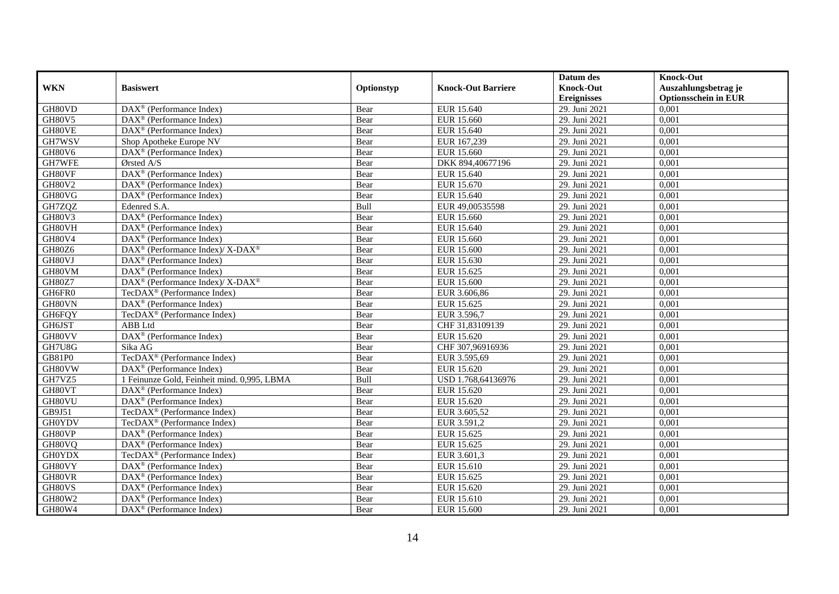|               |                                                              |            |                           | Datum des          | <b>Knock-Out</b>            |
|---------------|--------------------------------------------------------------|------------|---------------------------|--------------------|-----------------------------|
| <b>WKN</b>    | <b>Basiswert</b>                                             | Optionstyp | <b>Knock-Out Barriere</b> | <b>Knock-Out</b>   | Auszahlungsbetrag je        |
|               |                                                              |            |                           | <b>Ereignisses</b> | <b>Optionsschein in EUR</b> |
| GH80VD        | $\overline{\text{DAX}^{\otimes}}$ (Performance Index)        | Bear       | EUR 15.640                | 29. Juni 2021      | 0,001                       |
| <b>GH80V5</b> | $DAX^{\circledR}$ (Performance Index)                        | Bear       | EUR 15.660                | 29. Juni 2021      | 0,001                       |
| GH80VE        | $\text{DAX}^{\otimes}$ (Performance Index)                   | Bear       | EUR 15.640                | 29. Juni 2021      | 0,001                       |
| GH7WSV        | Shop Apotheke Europe NV                                      | Bear       | EUR 167,239               | 29. Juni 2021      | 0,001                       |
| <b>GH80V6</b> | DAX <sup>®</sup> (Performance Index)                         | Bear       | <b>EUR 15.660</b>         | 29. Juni 2021      | 0,001                       |
| GH7WFE        | Ørsted A/S                                                   | Bear       | DKK 894,40677196          | 29. Juni 2021      | 0,001                       |
| GH80VF        | $\text{DAX}^{\circledR}$ (Performance Index)                 | Bear       | EUR 15.640                | 29. Juni 2021      | 0,001                       |
| <b>GH80V2</b> | $DAX^{\circledast}$ (Performance Index)                      | Bear       | EUR 15.670                | 29. Juni 2021      | 0,001                       |
| GH80VG        | DAX <sup>®</sup> (Performance Index)                         | Bear       | EUR 15.640                | 29. Juni 2021      | 0,001                       |
| GH7ZQZ        | Edenred S.A.                                                 | Bull       | EUR 49,00535598           | 29. Juni 2021      | 0,001                       |
| <b>GH80V3</b> | DAX <sup>®</sup> (Performance Index)                         | Bear       | <b>EUR 15.660</b>         | 29. Juni 2021      | 0,001                       |
| GH80VH        | DAX <sup>®</sup> (Performance Index)                         | Bear       | EUR 15.640                | 29. Juni 2021      | 0,001                       |
| <b>GH80V4</b> | $DAX^{\circledast}$ (Performance Index)                      | Bear       | EUR 15.660                | 29. Juni 2021      | 0,001                       |
| GH80Z6        | $DAX^{\circledcirc}$ (Performance Index)/X-DAX <sup>®</sup>  | Bear       | <b>EUR 15.600</b>         | 29. Juni 2021      | 0,001                       |
| GH80VJ        | DAX <sup>®</sup> (Performance Index)                         | Bear       | EUR 15.630                | 29. Juni 2021      | 0,001                       |
| GH80VM        | $DAX^{\circledR}$ (Performance Index)                        | Bear       | EUR 15.625                | 29. Juni 2021      | 0,001                       |
| GH80Z7        | DAX <sup>®</sup> (Performance Index)/X-DAX <sup>®</sup>      | Bear       | <b>EUR 15.600</b>         | 29. Juni 2021      | 0,001                       |
| GH6FR0        | TecDAX <sup>®</sup> (Performance Index)                      | Bear       | EUR 3.606,86              | 29. Juni 2021      | 0,001                       |
| GH80VN        | $DAX^{\circledast}$ (Performance Index)                      | Bear       | EUR 15.625                | 29. Juni 2021      | 0,001                       |
| GH6FQY        | TecDAX <sup>®</sup> (Performance Index)                      | Bear       | EUR 3.596,7               | 29. Juni 2021      | 0,001                       |
| GH6JST        | ABB Ltd                                                      | Bear       | CHF 31,83109139           | 29. Juni 2021      | 0,001                       |
| GH80VV        | $\overline{\text{DAX}^{\otimes}}$ (Performance Index)        | Bear       | EUR 15.620                | 29. Juni 2021      | 0,001                       |
| GH7U8G        | Sika AG                                                      | Bear       | CHF 307,96916936          | 29. Juni 2021      | 0,001                       |
| GB81P0        | TecDAX <sup>®</sup> (Performance Index)                      | Bear       | EUR 3.595,69              | 29. Juni 2021      | 0,001                       |
| GH80VW        | $DAX^{\circledcirc}$ (Performance Index)                     | Bear       | EUR 15.620                | 29. Juni 2021      | 0,001                       |
| GH7VZ5        | 1 Feinunze Gold, Feinheit mind. 0,995, LBMA                  | Bull       | USD 1.768,64136976        | 29. Juni 2021      | 0,001                       |
| GH80VT        | DAX <sup>®</sup> (Performance Index)                         | Bear       | EUR 15.620                | 29. Juni 2021      | 0,001                       |
| GH80VU        | DAX <sup>®</sup> (Performance Index)                         | Bear       | EUR 15.620                | 29. Juni 2021      | 0,001                       |
| GB9J51        | TecDAX <sup>®</sup> (Performance Index)                      | Bear       | EUR 3.605,52              | 29. Juni 2021      | 0,001                       |
| <b>GH0YDV</b> | TecDAX <sup>®</sup> (Performance Index)                      | Bear       | EUR 3.591,2               | 29. Juni 2021      | 0,001                       |
| GH80VP        | $\overline{\text{DAX}^{\otimes}}$ (Performance Index)        | Bear       | EUR 15.625                | 29. Juni 2021      | 0,001                       |
| GH80VQ        | DAX <sup>®</sup> (Performance Index)                         | Bear       | EUR 15.625                | 29. Juni 2021      | 0,001                       |
| <b>GH0YDX</b> | TecDAX <sup>®</sup> (Performance Index)                      | Bear       | EUR 3.601,3               | 29. Juni 2021      | 0,001                       |
| GH80VY        | $\overline{\text{DAX}}^{\textcircled{}}$ (Performance Index) | Bear       | EUR 15.610                | 29. Juni 2021      | 0,001                       |
| GH80VR        | DAX <sup>®</sup> (Performance Index)                         | Bear       | EUR 15.625                | 29. Juni 2021      | 0,001                       |
| GH80VS        | DAX <sup>®</sup> (Performance Index)                         | Bear       | EUR 15.620                | 29. Juni 2021      | 0,001                       |
| GH80W2        | $DAX^{\circledast}$ (Performance Index)                      | Bear       | EUR 15.610                | 29. Juni 2021      | 0,001                       |
| GH80W4        | $DAX^{\circledast}$ (Performance Index)                      | Bear       | EUR 15.600                | 29. Juni 2021      | 0,001                       |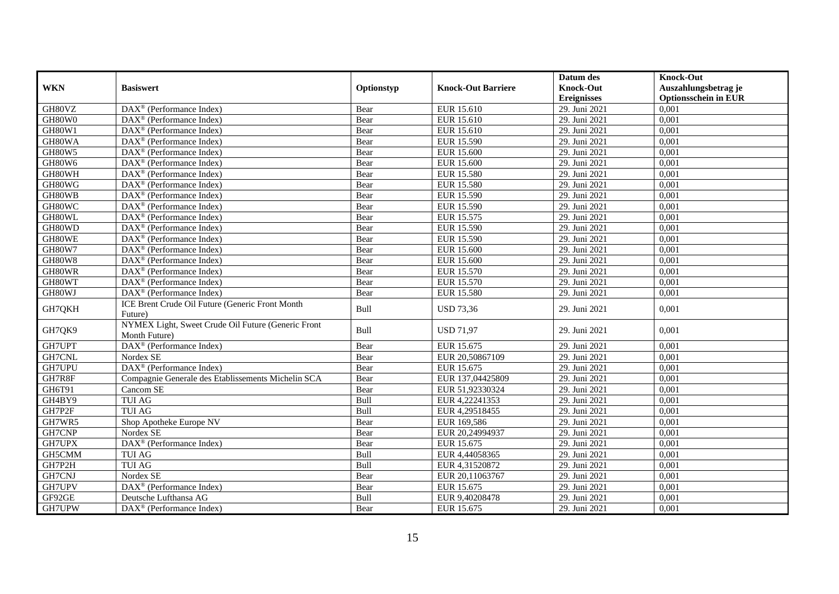|               |                                                                     |            |                           | Datum des          | <b>Knock-Out</b>            |
|---------------|---------------------------------------------------------------------|------------|---------------------------|--------------------|-----------------------------|
| <b>WKN</b>    | <b>Basiswert</b>                                                    | Optionstyp | <b>Knock-Out Barriere</b> | <b>Knock-Out</b>   | Auszahlungsbetrag je        |
|               |                                                                     |            |                           | <b>Ereignisses</b> | <b>Optionsschein in EUR</b> |
| GH80VZ        | $\overline{\text{DAX}}^{\textcirc}$ (Performance Index)             | Bear       | EUR 15.610                | 29. Juni 2021      | 0,001                       |
| GH80W0        | $DAX^{\circledast}$ (Performance Index)                             | Bear       | EUR 15.610                | 29. Juni 2021      | 0,001                       |
| GH80W1        | $\text{DAX}^{\circledR}$ (Performance Index)                        | Bear       | EUR 15.610                | 29. Juni 2021      | 0,001                       |
| GH80WA        | DAX <sup>®</sup> (Performance Index)                                | Bear       | <b>EUR 15.590</b>         | 29. Juni 2021      | 0,001                       |
| <b>GH80W5</b> | DAX <sup>®</sup> (Performance Index)                                | Bear       | <b>EUR 15.600</b>         | 29. Juni 2021      | 0,001                       |
| GH80W6        | $\overline{\text{DAX}^{\otimes}}$ (Performance Index)               | Bear       | <b>EUR 15.600</b>         | 29. Juni 2021      | 0,001                       |
| GH80WH        | $\text{DAX}^{\circledast}$ (Performance Index)                      | Bear       | <b>EUR 15.580</b>         | 29. Juni 2021      | 0,001                       |
| GH80WG        | $DAX^{\circledast}$ (Performance Index)                             | Bear       | <b>EUR 15.580</b>         | 29. Juni 2021      | 0,001                       |
| GH80WB        | $DAX^{\circledcirc}$ (Performance Index)                            | Bear       | EUR 15.590                | 29. Juni 2021      | 0,001                       |
| GH80WC        | DAX <sup>®</sup> (Performance Index)                                | Bear       | EUR 15.590                | 29. Juni 2021      | 0,001                       |
| GH80WL        | DAX <sup>®</sup> (Performance Index)                                | Bear       | EUR 15.575                | 29. Juni 2021      | 0,001                       |
| GH80WD        | $\overline{\text{DAX}^{\otimes}}$ (Performance Index)               | Bear       | EUR 15.590                | 29. Juni 2021      | 0,001                       |
| GH80WE        | $DAX^{\circledast}$ (Performance Index)                             | Bear       | <b>EUR 15.590</b>         | 29. Juni 2021      | 0,001                       |
| <b>GH80W7</b> | $\text{DAX}^{\circledast}$ (Performance Index)                      | Bear       | EUR 15.600                | 29. Juni 2021      | 0,001                       |
| GH80W8        | DAX <sup>®</sup> (Performance Index)                                | Bear       | EUR 15.600                | 29. Juni 2021      | 0,001                       |
| GH80WR        | DAX <sup>®</sup> (Performance Index)                                | Bear       | <b>EUR 15.570</b>         | 29. Juni 2021      | 0,001                       |
| GH80WT        | $\overline{\text{DAX}^{\otimes}}$ (Performance Index)               | Bear       | <b>EUR 15.570</b>         | 29. Juni 2021      | 0,001                       |
| GH80WJ        | $\overline{\text{DAX}^{\otimes}}$ (Performance Index)               | Bear       | <b>EUR 15.580</b>         | 29. Juni 2021      | 0,001                       |
| GH7QKH        | ICE Brent Crude Oil Future (Generic Front Month<br>Future)          | Bull       | <b>USD 73,36</b>          | 29. Juni 2021      | 0,001                       |
| GH7QK9        | NYMEX Light, Sweet Crude Oil Future (Generic Front<br>Month Future) | Bull       | <b>USD 71,97</b>          | 29. Juni 2021      | 0,001                       |
| GH7UPT        | DAX <sup>®</sup> (Performance Index)                                | Bear       | EUR 15.675                | 29. Juni 2021      | 0,001                       |
| GH7CNL        | Nordex SE                                                           | Bear       | EUR 20,50867109           | 29. Juni 2021      | 0,001                       |
| GH7UPU        | DAX <sup>®</sup> (Performance Index)                                | Bear       | EUR 15.675                | 29. Juni 2021      | 0,001                       |
| GH7R8F        | Compagnie Generale des Etablissements Michelin SCA                  | Bear       | EUR 137,04425809          | 29. Juni 2021      | 0,001                       |
| GH6T91        | Cancom SE                                                           | Bear       | EUR 51,92330324           | 29. Juni 2021      | 0,001                       |
| GH4BY9        | <b>TUI AG</b>                                                       | Bull       | EUR 4,22241353            | 29. Juni 2021      | 0,001                       |
| GH7P2F        | <b>TUI AG</b>                                                       | Bull       | EUR 4,29518455            | 29. Juni 2021      | 0,001                       |
| GH7WR5        | Shop Apotheke Europe NV                                             | Bear       | EUR 169,586               | 29. Juni 2021      | 0,001                       |
| GH7CNP        | Nordex SE                                                           | Bear       | EUR 20,24994937           | 29. Juni 2021      | 0,001                       |
| GH7UPX        | $\overline{\text{DAX}^{\otimes}}$ (Performance Index)               | Bear       | EUR 15.675                | 29. Juni 2021      | 0,001                       |
| GH5CMM        | <b>TUI AG</b>                                                       | Bull       | EUR 4,44058365            | 29. Juni 2021      | 0,001                       |
| GH7P2H        | <b>TUI AG</b>                                                       | Bull       | EUR 4,31520872            | 29. Juni 2021      | 0,001                       |
| GH7CNJ        | Nordex SE                                                           | Bear       | EUR 20,11063767           | 29. Juni 2021      | 0,001                       |
| GH7UPV        | DAX <sup>®</sup> (Performance Index)                                | Bear       | EUR 15.675                | 29. Juni 2021      | 0,001                       |
| GF92GE        | Deutsche Lufthansa AG                                               | Bull       | EUR 9,40208478            | 29. Juni 2021      | 0,001                       |
| GH7UPW        | DAX <sup>®</sup> (Performance Index)                                | Bear       | EUR 15.675                | 29. Juni 2021      | 0,001                       |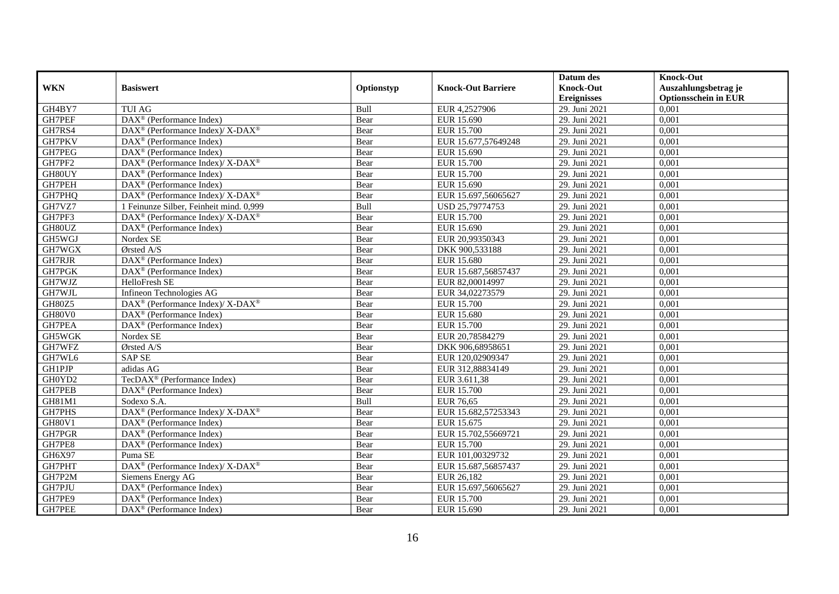|               |                                                              |            |                           | Datum des          | <b>Knock-Out</b>            |
|---------------|--------------------------------------------------------------|------------|---------------------------|--------------------|-----------------------------|
| <b>WKN</b>    | <b>Basiswert</b>                                             | Optionstyp | <b>Knock-Out Barriere</b> | <b>Knock-Out</b>   | Auszahlungsbetrag je        |
|               |                                                              |            |                           | <b>Ereignisses</b> | <b>Optionsschein in EUR</b> |
| GH4BY7        | <b>TUI AG</b>                                                | Bull       | EUR 4,2527906             | 29. Juni 2021      | 0,001                       |
| GH7PEF        | DAX <sup>®</sup> (Performance Index)                         | Bear       | EUR 15.690                | 29. Juni 2021      | 0,001                       |
| GH7RS4        | DAX <sup>®</sup> (Performance Index)/ X-DAX <sup>®</sup>     | Bear       | <b>EUR 15.700</b>         | 29. Juni 2021      | 0,001                       |
| GH7PKV        | $DAX^{\circledast}$ (Performance Index)                      | Bear       | EUR 15.677,57649248       | 29. Juni 2021      | 0,001                       |
| GH7PEG        | DAX <sup>®</sup> (Performance Index)                         | Bear       | EUR 15.690                | 29. Juni 2021      | 0,001                       |
| GH7PF2        | DAX <sup>®</sup> (Performance Index)/X-DAX <sup>®</sup>      | Bear       | <b>EUR 15.700</b>         | 29. Juni 2021      | 0,001                       |
| GH80UY        | $DAX^{\circledR}$ (Performance Index)                        | Bear       | EUR 15.700                | 29. Juni 2021      | 0,001                       |
| GH7PEH        | $DAX^{\circledR}$ (Performance Index)                        | Bear       | EUR 15.690                | 29. Juni 2021      | 0,001                       |
| GH7PHQ        | DAX <sup>®</sup> (Performance Index)/ X-DAX <sup>®</sup>     | Bear       | EUR 15.697,56065627       | 29. Juni 2021      | 0,001                       |
| GH7VZ7        | 1 Feinunze Silber, Feinheit mind. 0,999                      | Bull       | USD 25,79774753           | 29. Juni 2021      | 0,001                       |
| GH7PF3        | DAX <sup>®</sup> (Performance Index)/X-DAX <sup>®</sup>      | Bear       | <b>EUR 15.700</b>         | 29. Juni 2021      | 0,001                       |
| GH80UZ        | $\overline{\text{DAX}}^{\textcircled{}}$ (Performance Index) | Bear       | EUR 15.690                | 29. Juni 2021      | 0,001                       |
| GH5WGJ        | Nordex SE                                                    | Bear       | EUR 20,99350343           | 29. Juni 2021      | 0,001                       |
| GH7WGX        | $O$ rsted $A/S$                                              | Bear       | DKK 900.533188            | 29. Juni 2021      | 0,001                       |
| GH7RJR        | DAX <sup>®</sup> (Performance Index)                         | Bear       | EUR 15.680                | 29. Juni 2021      | 0,001                       |
| GH7PGK        | DAX <sup>®</sup> (Performance Index)                         | Bear       | EUR 15.687,56857437       | 29. Juni 2021      | 0,001                       |
| GH7WJZ        | HelloFresh SE                                                | Bear       | EUR 82,00014997           | 29. Juni 2021      | 0,001                       |
| GH7WJL        | Infineon Technologies AG                                     | Bear       | EUR 34,02273579           | 29. Juni 2021      | 0,001                       |
| GH80Z5        | DAX <sup>®</sup> (Performance Index)/ X-DAX <sup>®</sup>     | Bear       | EUR 15.700                | 29. Juni 2021      | 0,001                       |
| GH80V0        | $DAX^{\circledast}$ (Performance Index)                      | Bear       | EUR 15.680                | 29. Juni 2021      | 0,001                       |
| GH7PEA        | $DAX^{\circledast}$ (Performance Index)                      | Bear       | <b>EUR 15.700</b>         | 29. Juni 2021      | 0,001                       |
| <b>GH5WGK</b> | Nordex SE                                                    | Bear       | EUR 20,78584279           | 29. Juni 2021      | 0,001                       |
| GH7WFZ        | Ørsted A/S                                                   | Bear       | DKK 906,68958651          | 29. Juni 2021      | 0,001                       |
| GH7WL6        | <b>SAP SE</b>                                                | Bear       | EUR 120,02909347          | 29. Juni 2021      | 0,001                       |
| <b>GH1PJP</b> | adidas AG                                                    | Bear       | EUR 312,88834149          | 29. Juni 2021      | 0,001                       |
| GH0YD2        | TecDAX <sup>®</sup> (Performance Index)                      | Bear       | EUR 3.611,38              | 29. Juni 2021      | 0,001                       |
| GH7PEB        | $DAX^{\circledast}$ (Performance Index)                      | Bear       | <b>EUR 15.700</b>         | 29. Juni 2021      | 0,001                       |
| GH81M1        | Sodexo S.A.                                                  | Bull       | <b>EUR 76,65</b>          | 29. Juni 2021      | 0,001                       |
| GH7PHS        | DAX <sup>®</sup> (Performance Index)/ X-DAX <sup>®</sup>     | Bear       | EUR 15.682,57253343       | 29. Juni 2021      | 0,001                       |
| GH80V1        | $DAX^{\circledast}$ (Performance Index)                      | Bear       | EUR 15.675                | 29. Juni 2021      | 0,001                       |
| GH7PGR        | $DAX^{\circledR}$ (Performance Index)                        | Bear       | EUR 15.702,55669721       | 29. Juni 2021      | 0,001                       |
| GH7PE8        | DAX <sup>®</sup> (Performance Index)                         | Bear       | <b>EUR 15.700</b>         | 29. Juni 2021      | 0,001                       |
| GH6X97        | Puma SE                                                      | Bear       | EUR 101,00329732          | 29. Juni 2021      | 0,001                       |
| GH7PHT        | DAX <sup>®</sup> (Performance Index)/X-DAX <sup>®</sup>      | Bear       | EUR 15.687,56857437       | 29. Juni 2021      | 0,001                       |
| GH7P2M        | Siemens Energy AG                                            | Bear       | EUR 26,182                | 29. Juni 2021      | 0,001                       |
| GH7PJU        | $DAX^{\circledast}$ (Performance Index)                      | Bear       | EUR 15.697,56065627       | 29. Juni 2021      | 0,001                       |
| GH7PE9        | $DAX^{\circledast}$ (Performance Index)                      | Bear       | EUR 15.700                | 29. Juni 2021      | 0,001                       |
| <b>GH7PEE</b> | DAX <sup>®</sup> (Performance Index)                         | Bear       | EUR 15.690                | 29. Juni 2021      | 0,001                       |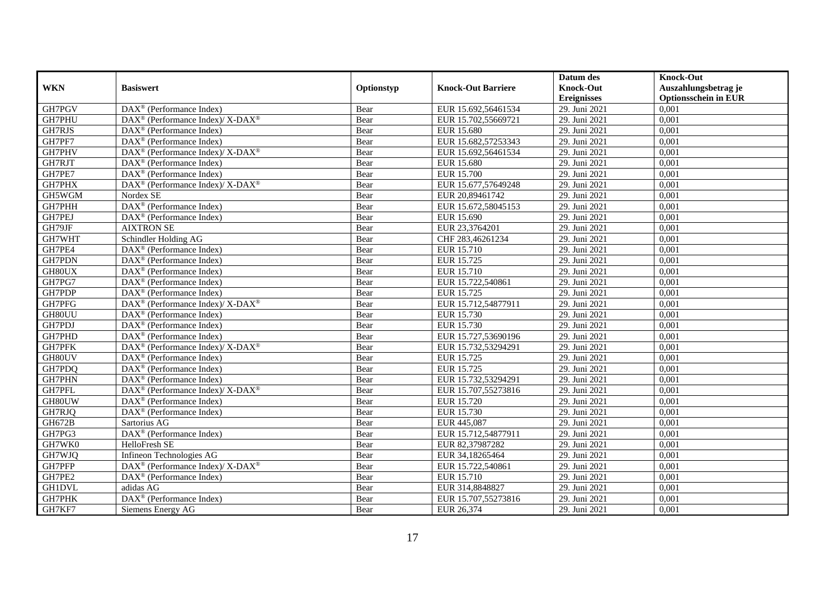|               |                                                                    |            |                           | Datum des          | <b>Knock-Out</b>            |
|---------------|--------------------------------------------------------------------|------------|---------------------------|--------------------|-----------------------------|
| <b>WKN</b>    | <b>Basiswert</b>                                                   | Optionstyp | <b>Knock-Out Barriere</b> | <b>Knock-Out</b>   | Auszahlungsbetrag je        |
|               |                                                                    |            |                           | <b>Ereignisses</b> | <b>Optionsschein in EUR</b> |
| GH7PGV        | $\overline{\text{DAX}^{\otimes}}$ (Performance Index)              | Bear       | EUR 15.692,56461534       | 29. Juni 2021      | 0,001                       |
| GH7PHU        | DAX <sup>®</sup> (Performance Index)/X-DAX <sup>®</sup>            | Bear       | EUR 15.702,55669721       | 29. Juni 2021      | 0,001                       |
| GH7RJS        | $DAX^{\circledast}$ (Performance Index)                            | Bear       | EUR 15.680                | 29. Juni 2021      | 0,001                       |
| GH7PF7        | $DAX^{\circledast}$ (Performance Index)                            | Bear       | EUR 15.682,57253343       | 29. Juni 2021      | 0,001                       |
| GH7PHV        | DAX <sup>®</sup> (Performance Index)/ X-DAX <sup>®</sup>           | Bear       | EUR 15.692,56461534       | 29. Juni 2021      | 0,001                       |
| GH7RJT        | $\text{DAX}^{\textcircled{}}$ (Performance Index)                  | Bear       | <b>EUR 15.680</b>         | 29. Juni 2021      | 0,001                       |
| GH7PE7        | $\text{DAX}^{\circledR}$ (Performance Index)                       | Bear       | EUR 15.700                | 29. Juni 2021      | 0,001                       |
| GH7PHX        | DAX <sup>®</sup> (Performance Index)/ X-DAX <sup>®</sup>           | Bear       | EUR 15.677,57649248       | 29. Juni 2021      | 0,001                       |
| GH5WGM        | Nordex SE                                                          | Bear       | EUR 20,89461742           | 29. Juni 2021      | 0,001                       |
| GH7PHH        | DAX <sup>®</sup> (Performance Index)                               | Bear       | EUR 15.672,58045153       | 29. Juni 2021      | 0,001                       |
| GH7PEJ        | DAX <sup>®</sup> (Performance Index)                               | Bear       | EUR 15.690                | 29. Juni 2021      | 0,001                       |
| GH79JF        | <b>AIXTRON SE</b>                                                  | Bear       | EUR 23,3764201            | 29. Juni 2021      | 0,001                       |
| GH7WHT        | Schindler Holding AG                                               | Bear       | CHF 283,46261234          | 29. Juni 2021      | 0,001                       |
| GH7PE4        | $DAX^{\circledcirc}$ (Performance Index)                           | Bear       | EUR 15.710                | 29. Juni 2021      | 0,001                       |
| GH7PDN        | $DAX^{\circledast}$ (Performance Index)                            | Bear       | EUR 15.725                | 29. Juni 2021      | 0,001                       |
| GH80UX        | $DAX^{\circledR}$ (Performance Index)                              | Bear       | <b>EUR 15.710</b>         | 29. Juni 2021      | 0,001                       |
| GH7PG7        | $DAX^{\circledR}$ (Performance Index)                              | Bear       | EUR 15.722,540861         | 29. Juni 2021      | 0,001                       |
| GH7PDP        | $DAX^{\circledR}$ (Performance Index)                              | Bear       | EUR 15.725                | 29. Juni 2021      | 0,001                       |
| GH7PFG        | $\text{DAX}^{\circledast}$ (Performance Index)/ X-DAX <sup>®</sup> | Bear       | EUR 15.712,54877911       | 29. Juni 2021      | 0,001                       |
| GH80UU        | $\text{DAX}^{\textcircled{}}$ (Performance Index)                  | Bear       | EUR 15.730                | 29. Juni 2021      | 0,001                       |
| GH7PDJ        | DAX <sup>®</sup> (Performance Index)                               | Bear       | EUR 15.730                | 29. Juni 2021      | 0,001                       |
| GH7PHD        | $DAX^{\circledcirc}$ (Performance Index)                           | Bear       | EUR 15.727,53690196       | 29. Juni 2021      | 0,001                       |
| <b>GH7PFK</b> | DAX <sup>®</sup> (Performance Index)/ X-DAX <sup>®</sup>           | Bear       | EUR 15.732,53294291       | 29. Juni 2021      | 0,001                       |
| GH80UV        | $DAX^{\circledR}$ (Performance Index)                              | Bear       | EUR 15.725                | 29. Juni 2021      | 0,001                       |
| GH7PDQ        | $DAX^{\circledR}$ (Performance Index)                              | Bear       | EUR 15.725                | 29. Juni 2021      | 0,001                       |
| GH7PHN        | DAX <sup>®</sup> (Performance Index)                               | Bear       | EUR 15.732,53294291       | 29. Juni 2021      | 0,001                       |
| GH7PFL        | DAX <sup>®</sup> (Performance Index)/ X-DAX <sup>®</sup>           | Bear       | EUR 15.707,55273816       | 29. Juni 2021      | 0,001                       |
| GH80UW        | $\overline{\text{DAX}^{\otimes}}$ (Performance Index)              | Bear       | EUR 15.720                | 29. Juni 2021      | 0,001                       |
| GH7RJQ        | $DAX^{\circledast}$ (Performance Index)                            | Bear       | EUR 15.730                | 29. Juni 2021      | 0,001                       |
| GH672B        | Sartorius AG                                                       | Bear       | EUR 445,087               | 29. Juni 2021      | 0,001                       |
| GH7PG3        | DAX <sup>®</sup> (Performance Index)                               | Bear       | EUR 15.712,54877911       | 29. Juni 2021      | 0,001                       |
| GH7WK0        | <b>HelloFresh SE</b>                                               | Bear       | EUR 82,37987282           | 29. Juni 2021      | 0,001                       |
| GH7WJQ        | Infineon Technologies AG                                           | Bear       | EUR 34,18265464           | 29. Juni 2021      | 0,001                       |
| GH7PFP        | DAX <sup>®</sup> (Performance Index)/ X-DAX <sup>®</sup>           | Bear       | EUR 15.722,540861         | 29. Juni 2021      | 0,001                       |
| GH7PE2        | DAX <sup>®</sup> (Performance Index)                               | Bear       | EUR 15.710                | 29. Juni 2021      | 0,001                       |
| <b>GH1DVL</b> | adidas AG                                                          | Bear       | EUR 314,8848827           | 29. Juni 2021      | 0,001                       |
| GH7PHK        | DAX <sup>®</sup> (Performance Index)                               | Bear       | EUR 15.707,55273816       | 29. Juni 2021      | 0,001                       |
| GH7KF7        | Siemens Energy AG                                                  | Bear       | EUR 26,374                | 29. Juni 2021      | 0,001                       |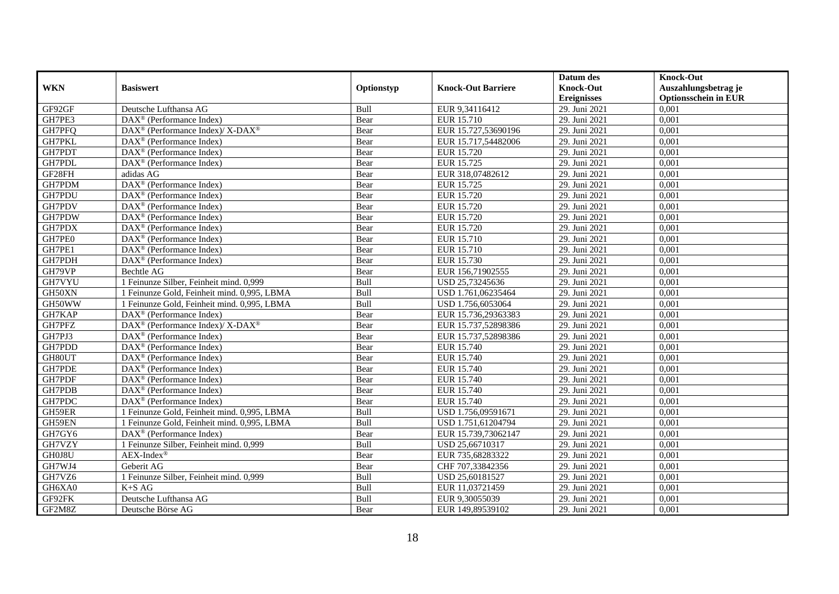|            |                                                            |            |                           | Datum des          | <b>Knock-Out</b>            |
|------------|------------------------------------------------------------|------------|---------------------------|--------------------|-----------------------------|
| <b>WKN</b> | <b>Basiswert</b>                                           | Optionstyp | <b>Knock-Out Barriere</b> | <b>Knock-Out</b>   | Auszahlungsbetrag je        |
|            |                                                            |            |                           | <b>Ereignisses</b> | <b>Optionsschein in EUR</b> |
| GF92GF     | Deutsche Lufthansa AG                                      | Bull       | EUR 9,34116412            | 29. Juni 2021      | 0,001                       |
| GH7PE3     | $\text{DAX}^{\textcircled{}}$ (Performance Index)          | Bear       | EUR 15.710                | 29. Juni 2021      | 0,001                       |
| GH7PFQ     | $DAX^{\circledast}$ (Performance Index)/X-DAX <sup>®</sup> | Bear       | EUR 15.727,53690196       | 29. Juni 2021      | 0,001                       |
| GH7PKL     | $DAX^{\circledast}$ (Performance Index)                    | Bear       | EUR 15.717,54482006       | 29. Juni 2021      | 0,001                       |
| GH7PDT     | $DAX^{\circledast}$ (Performance Index)                    | Bear       | EUR 15.720                | 29. Juni 2021      | 0,001                       |
| GH7PDL     | $DAX^{\circledR}$ (Performance Index)                      | Bear       | EUR 15.725                | 29. Juni 2021      | 0,001                       |
| GF28FH     | adidas AG                                                  | Bear       | EUR 318,07482612          | 29. Juni 2021      | 0,001                       |
| GH7PDM     | DAX <sup>®</sup> (Performance Index)                       | Bear       | EUR 15.725                | 29. Juni 2021      | 0,001                       |
| GH7PDU     | $\overline{\text{DAX}^{\otimes}}$ (Performance Index)      | Bear       | EUR 15.720                | 29. Juni 2021      | 0,001                       |
| GH7PDV     | DAX <sup>®</sup> (Performance Index)                       | Bear       | <b>EUR 15.720</b>         | 29. Juni 2021      | 0,001                       |
| GH7PDW     | $DAX^{\circledR}$ (Performance Index)                      | Bear       | EUR 15.720                | 29. Juni 2021      | 0,001                       |
| GH7PDX     | DAX <sup>®</sup> (Performance Index)                       | Bear       | EUR 15.720                | 29. Juni 2021      | 0,001                       |
| GH7PE0     | $DAX^{\circledast}$ (Performance Index)                    | Bear       | EUR 15.710                | 29. Juni 2021      | 0,001                       |
| GH7PE1     | DAX <sup>®</sup> (Performance Index)                       | Bear       | EUR 15.710                | 29. Juni 2021      | 0.001                       |
| GH7PDH     | DAX <sup>®</sup> (Performance Index)                       | Bear       | EUR 15.730                | 29. Juni 2021      | 0,001                       |
| GH79VP     | Bechtle AG                                                 | Bear       | EUR 156,71902555          | 29. Juni 2021      | 0,001                       |
| GH7VYU     | 1 Feinunze Silber, Feinheit mind. 0,999                    | Bull       | USD 25,73245636           | 29. Juni 2021      | 0,001                       |
| GH50XN     | 1 Feinunze Gold, Feinheit mind. 0,995, LBMA                | Bull       | USD 1.761,06235464        | 29. Juni 2021      | 0,001                       |
| GH50WW     | 1 Feinunze Gold, Feinheit mind. 0,995, LBMA                | Bull       | USD 1.756,6053064         | 29. Juni 2021      | 0,001                       |
| GH7KAP     | $\text{DAX}^{\textcircled{}}$ (Performance Index)          | Bear       | EUR 15.736,29363383       | 29. Juni 2021      | 0,001                       |
| GH7PFZ     | DAX <sup>®</sup> (Performance Index)/ X-DAX <sup>®</sup>   | Bear       | EUR 15.737,52898386       | 29. Juni 2021      | 0,001                       |
| GH7PJ3     | $DAX^{\circledcirc}$ (Performance Index)                   | Bear       | EUR 15.737,52898386       | 29. Juni 2021      | 0,001                       |
| GH7PDD     | $\overline{\text{DAX}}^{\textcirc}$ (Performance Index)    | Bear       | EUR 15.740                | 29. Juni 2021      | 0,001                       |
| GH80UT     | $DAX^{\circledR}$ (Performance Index)                      | Bear       | EUR 15.740                | 29. Juni 2021      | 0,001                       |
| GH7PDE     | $DAX^{\circledcirc}$ (Performance Index)                   | Bear       | EUR 15.740                | 29. Juni 2021      | 0,001                       |
| GH7PDF     | $\text{DAX}^{\circledast}$ (Performance Index)             | Bear       | EUR 15.740                | 29. Juni 2021      | 0,001                       |
| GH7PDB     | DAX <sup>®</sup> (Performance Index)                       | Bear       | EUR 15.740                | 29. Juni 2021      | 0,001                       |
| GH7PDC     | $\overline{\text{DAX}^{\otimes}}$ (Performance Index)      | Bear       | EUR 15.740                | 29. Juni 2021      | 0,001                       |
| GH59ER     | 1 Feinunze Gold, Feinheit mind. 0,995, LBMA                | Bull       | USD 1.756,09591671        | 29. Juni 2021      | 0,001                       |
| GH59EN     | 1 Feinunze Gold, Feinheit mind. 0,995, LBMA                | Bull       | USD 1.751,61204794        | 29. Juni 2021      | 0,001                       |
| GH7GY6     | $\overline{\text{DAX}}^{\textcirc}$ (Performance Index)    | Bear       | EUR 15.739,73062147       | 29. Juni 2021      | 0,001                       |
| GH7VZY     | 1 Feinunze Silber, Feinheit mind. 0,999                    | Bull       | USD 25,66710317           | 29. Juni 2021      | 0,001                       |
| GH0J8U     | $AEX-Index^{\circledR}$                                    | Bear       | EUR 735,68283322          | 29. Juni 2021      | 0,001                       |
| GH7WJ4     | Geberit AG                                                 | Bear       | CHF 707,33842356          | 29. Juni 2021      | 0,001                       |
| GH7VZ6     | 1 Feinunze Silber, Feinheit mind. 0,999                    | Bull       | USD 25,60181527           | 29. Juni 2021      | 0,001                       |
| GH6XA0     | $K+SAG$                                                    | Bull       | EUR 11,03721459           | 29. Juni 2021      | 0,001                       |
| GF92FK     | Deutsche Lufthansa AG                                      | Bull       | EUR 9,30055039            | 29. Juni 2021      | 0,001                       |
| GF2M8Z     | Deutsche Börse AG                                          | Bear       | EUR 149,89539102          | 29. Juni 2021      | 0,001                       |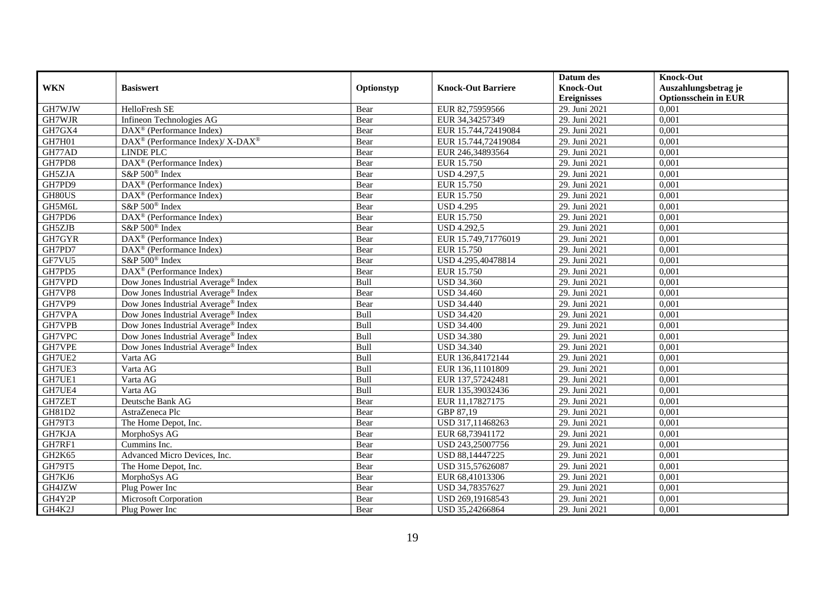|                                 |                                                         |            |                           | Datum des          | <b>Knock-Out</b>            |
|---------------------------------|---------------------------------------------------------|------------|---------------------------|--------------------|-----------------------------|
| <b>WKN</b>                      | <b>Basiswert</b>                                        | Optionstyp | <b>Knock-Out Barriere</b> | <b>Knock-Out</b>   | Auszahlungsbetrag je        |
|                                 |                                                         |            |                           | <b>Ereignisses</b> | <b>Optionsschein in EUR</b> |
| GH7WJW                          | HelloFresh SE                                           | Bear       | EUR 82,75959566           | 29. Juni 2021      | 0,001                       |
| GH7WJR                          | Infineon Technologies AG                                | Bear       | EUR 34,34257349           | 29. Juni 2021      | 0,001                       |
| GH7GX4                          | DAX <sup>®</sup> (Performance Index)                    | Bear       | EUR 15.744,72419084       | 29. Juni 2021      | 0,001                       |
| GH7H01                          | DAX <sup>®</sup> (Performance Index)/X-DAX <sup>®</sup> | Bear       | EUR 15.744,72419084       | 29. Juni 2021      | 0,001                       |
| GH77AD                          | LINDE PLC                                               | Bear       | EUR 246,34893564          | 29. Juni 2021      | 0,001                       |
| GH7PD8                          | $\overline{\text{DAX}^{\otimes}}$ (Performance Index)   | Bear       | <b>EUR 15.750</b>         | 29. Juni 2021      | 0,001                       |
| GH5ZJA                          | S&P 500 <sup>®</sup> Index                              | Bear       | <b>USD 4.297,5</b>        | 29. Juni 2021      | 0,001                       |
| GH7PD9                          | DAX <sup>®</sup> (Performance Index)                    | Bear       | EUR 15.750                | 29. Juni 2021      | 0,001                       |
| GH80US                          | DAX <sup>®</sup> (Performance Index)                    | Bear       | EUR 15.750                | 29. Juni 2021      | 0,001                       |
| GH5M6L                          | S&P 500 <sup>®</sup> Index                              | Bear       | <b>USD 4.295</b>          | 29. Juni 2021      | 0,001                       |
| GH7PD6                          | DAX <sup>®</sup> (Performance Index)                    | Bear       | <b>EUR 15.750</b>         | 29. Juni 2021      | 0,001                       |
| GH5ZJB                          | S&P 500 <sup>®</sup> Index                              | Bear       | <b>USD 4.292,5</b>        | 29. Juni 2021      | 0,001                       |
| GH7GYR                          | $DAX^{\circledast}$ (Performance Index)                 | Bear       | EUR 15.749,71776019       | 29. Juni 2021      | 0,001                       |
| GH7PD7                          | $DAX^{\circledcirc}$ (Performance Index)                | Bear       | EUR 15.750                | 29. Juni 2021      | 0,001                       |
| GF7VU5                          | S&P 500 <sup>®</sup> Index                              | Bear       | USD 4.295,40478814        | 29. Juni 2021      | 0,001                       |
| GH7PD5                          | DAX <sup>®</sup> (Performance Index)                    | Bear       | <b>EUR 15.750</b>         | 29. Juni 2021      | 0,001                       |
| GH7VPD                          | Dow Jones Industrial Average® Index                     | Bull       | <b>USD 34.360</b>         | 29. Juni 2021      | 0,001                       |
| GH7VP8                          | Dow Jones Industrial Average® Index                     | Bear       | <b>USD 34.460</b>         | 29. Juni 2021      | 0,001                       |
| GH7VP9                          | Dow Jones Industrial Average <sup>®</sup> Index         | Bear       | <b>USD 34.440</b>         | 29. Juni 2021      | 0,001                       |
| GH7VPA                          | Dow Jones Industrial Average® Index                     | Bull       | <b>USD 34.420</b>         | 29. Juni 2021      | 0,001                       |
| GH7VPB                          | Dow Jones Industrial Average <sup>®</sup> Index         | Bull       | <b>USD 34.400</b>         | 29. Juni 2021      | 0,001                       |
| GH7VPC                          | Dow Jones Industrial Average <sup>®</sup> Index         | Bull       | <b>USD 34.380</b>         | 29. Juni 2021      | 0,001                       |
| GH7VPE                          | Dow Jones Industrial Average® Index                     | Bull       | <b>USD 34.340</b>         | 29. Juni 2021      | 0,001                       |
| GH7UE2                          | Varta AG                                                | Bull       | EUR 136,84172144          | 29. Juni 2021      | 0,001                       |
| GH7UE3                          | Varta AG                                                | Bull       | EUR 136,11101809          | 29. Juni 2021      | 0,001                       |
| GH7UE1                          | Varta AG                                                | Bull       | EUR 137,57242481          | 29. Juni 2021      | 0,001                       |
| GH7UE4                          | Varta AG                                                | Bull       | EUR 135,39032436          | 29. Juni 2021      | 0,001                       |
| GH7ZET                          | Deutsche Bank AG                                        | Bear       | EUR 11,17827175           | 29. Juni 2021      | 0,001                       |
| GH81D2                          | AstraZeneca Plc                                         | Bear       | GBP 87,19                 | 29. Juni 2021      | 0,001                       |
| GH79T3                          | The Home Depot, Inc.                                    | Bear       | USD 317,11468263          | 29. Juni 2021      | 0,001                       |
| GH7KJA                          | MorphoSys AG                                            | Bear       | EUR 68,73941172           | 29. Juni 2021      | 0,001                       |
| GH7RF1                          | Cummins Inc.                                            | Bear       | USD 243,25007756          | 29. Juni 2021      | 0,001                       |
| GH <sub>2</sub> K <sub>65</sub> | Advanced Micro Devices, Inc.                            | Bear       | USD 88,14447225           | 29. Juni 2021      | 0,001                       |
| GH79T5                          | The Home Depot, Inc.                                    | Bear       | USD 315,57626087          | 29. Juni 2021      | 0,001                       |
| GH7KJ6                          | MorphoSys AG                                            | Bear       | EUR 68,41013306           | 29. Juni 2021      | 0,001                       |
| GH4JZW                          | Plug Power Inc                                          | Bear       | USD 34,78357627           | 29. Juni 2021      | 0,001                       |
| GH4Y2P                          | Microsoft Corporation                                   | Bear       | USD 269,19168543          | 29. Juni 2021      | 0,001                       |
| GH4K2J                          | Plug Power Inc                                          | Bear       | USD 35,24266864           | 29. Juni 2021      | 0,001                       |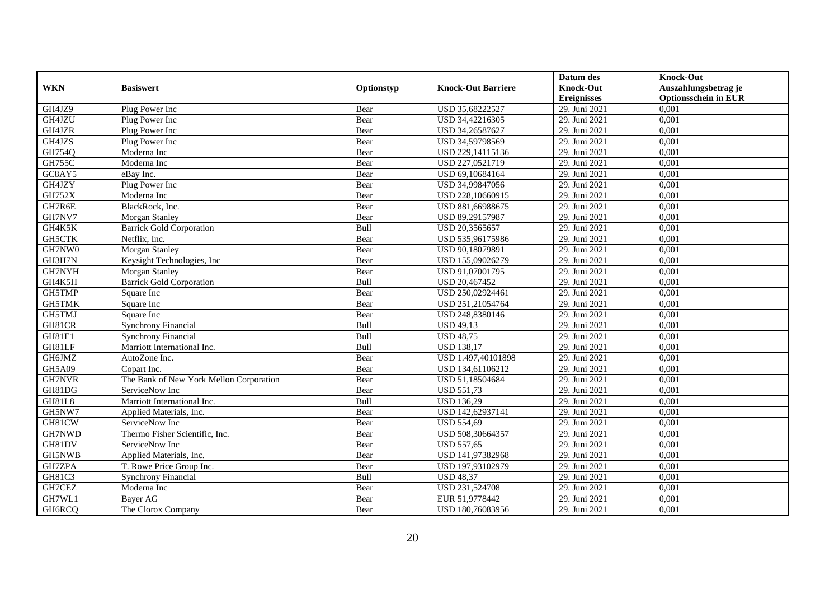|               |                                         |            |                           | Datum des          | <b>Knock-Out</b>            |
|---------------|-----------------------------------------|------------|---------------------------|--------------------|-----------------------------|
| <b>WKN</b>    | <b>Basiswert</b>                        | Optionstyp | <b>Knock-Out Barriere</b> | <b>Knock-Out</b>   | Auszahlungsbetrag je        |
|               |                                         |            |                           | <b>Ereignisses</b> | <b>Optionsschein in EUR</b> |
| GH4JZ9        | Plug Power Inc                          | Bear       | USD 35,68222527           | 29. Juni 2021      | 0,001                       |
| GH4JZU        | Plug Power Inc                          | Bear       | USD 34,42216305           | 29. Juni 2021      | 0,001                       |
| GH4JZR        | Plug Power Inc                          | Bear       | USD 34,26587627           | 29. Juni 2021      | 0,001                       |
| GH4JZS        | Plug Power Inc                          | Bear       | USD 34,59798569           | 29. Juni 2021      | 0,001                       |
| GH754Q        | Moderna Inc                             | Bear       | USD 229,14115136          | 29. Juni 2021      | 0,001                       |
| <b>GH755C</b> | Moderna Inc                             | Bear       | USD 227,0521719           | 29. Juni 2021      | 0,001                       |
| GC8AY5        | eBav Inc.                               | Bear       | USD 69,10684164           | 29. Juni 2021      | 0,001                       |
| GH4JZY        | Plug Power Inc                          | Bear       | USD 34,99847056           | 29. Juni 2021      | 0,001                       |
| <b>GH752X</b> | Moderna Inc                             | Bear       | USD 228,10660915          | 29. Juni 2021      | 0,001                       |
| GH7R6E        | BlackRock, Inc.                         | Bear       | USD 881,66988675          | 29. Juni 2021      | 0,001                       |
| GH7NV7        | Morgan Stanley                          | Bear       | USD 89,29157987           | 29. Juni 2021      | 0,001                       |
| GH4K5K        | <b>Barrick Gold Corporation</b>         | Bull       | USD 20,3565657            | 29. Juni 2021      | 0,001                       |
| GH5CTK        | Netflix, Inc.                           | Bear       | USD 535,96175986          | 29. Juni 2021      | 0,001                       |
| GH7NW0        | <b>Morgan Stanley</b>                   | Bear       | USD 90.18079891           | 29. Juni 2021      | 0.001                       |
| GH3H7N        | Keysight Technologies, Inc.             | Bear       | USD 155,09026279          | 29. Juni 2021      | 0,001                       |
| GH7NYH        | Morgan Stanley                          | Bear       | USD 91,07001795           | 29. Juni 2021      | 0,001                       |
| GH4K5H        | <b>Barrick Gold Corporation</b>         | Bull       | USD 20,467452             | 29. Juni 2021      | 0,001                       |
| GH5TMP        | Square Inc                              | Bear       | USD 250,02924461          | 29. Juni 2021      | 0,001                       |
| GH5TMK        | Square Inc                              | Bear       | USD 251,21054764          | 29. Juni 2021      | 0,001                       |
| GH5TMJ        | Square Inc                              | Bear       | USD 248,8380146           | 29. Juni 2021      | 0,001                       |
| GH81CR        | <b>Synchrony Financial</b>              | Bull       | <b>USD 49,13</b>          | 29. Juni 2021      | 0,001                       |
| GH81E1        | Synchrony Financial                     | Bull       | <b>USD 48,75</b>          | 29. Juni 2021      | 0,001                       |
| GH81LF        | Marriott International Inc.             | Bull       | <b>USD 138,17</b>         | 29. Juni 2021      | 0,001                       |
| GH6JMZ        | AutoZone Inc.                           | Bear       | USD 1.497,40101898        | 29. Juni 2021      | 0,001                       |
| GH5A09        | Copart Inc.                             | Bear       | USD 134,61106212          | 29. Juni 2021      | 0,001                       |
| GH7NVR        | The Bank of New York Mellon Corporation | Bear       | USD 51,18504684           | 29. Juni 2021      | 0,001                       |
| GH81DG        | ServiceNow Inc                          | Bear       | <b>USD 551,73</b>         | 29. Juni 2021      | 0,001                       |
| GH81L8        | Marriott International Inc.             | Bull       | <b>USD 136,29</b>         | 29. Juni 2021      | 0,001                       |
| GH5NW7        | Applied Materials, Inc.                 | Bear       | USD 142,62937141          | 29. Juni 2021      | 0,001                       |
| GH81CW        | ServiceNow Inc                          | Bear       | <b>USD 554,69</b>         | 29. Juni 2021      | 0,001                       |
| GH7NWD        | Thermo Fisher Scientific, Inc.          | Bear       | USD 508,30664357          | 29. Juni 2021      | 0,001                       |
| GH81DV        | ServiceNow Inc                          | Bear       | <b>USD 557,65</b>         | 29. Juni 2021      | 0,001                       |
| GH5NWB        | Applied Materials, Inc.                 | Bear       | USD 141,97382968          | 29. Juni 2021      | 0,001                       |
| GH7ZPA        | T. Rowe Price Group Inc.                | Bear       | USD 197,93102979          | 29. Juni 2021      | 0,001                       |
| GH81C3        | <b>Synchrony Financial</b>              | Bull       | <b>USD 48,37</b>          | 29. Juni 2021      | 0,001                       |
| GH7CEZ        | Moderna Inc                             | Bear       | USD 231,524708            | 29. Juni 2021      | 0,001                       |
| GH7WL1        | Bayer AG                                | Bear       | EUR 51,9778442            | 29. Juni 2021      | 0,001                       |
| GH6RCQ        | The Clorox Company                      | Bear       | USD 180,76083956          | 29. Juni 2021      | 0,001                       |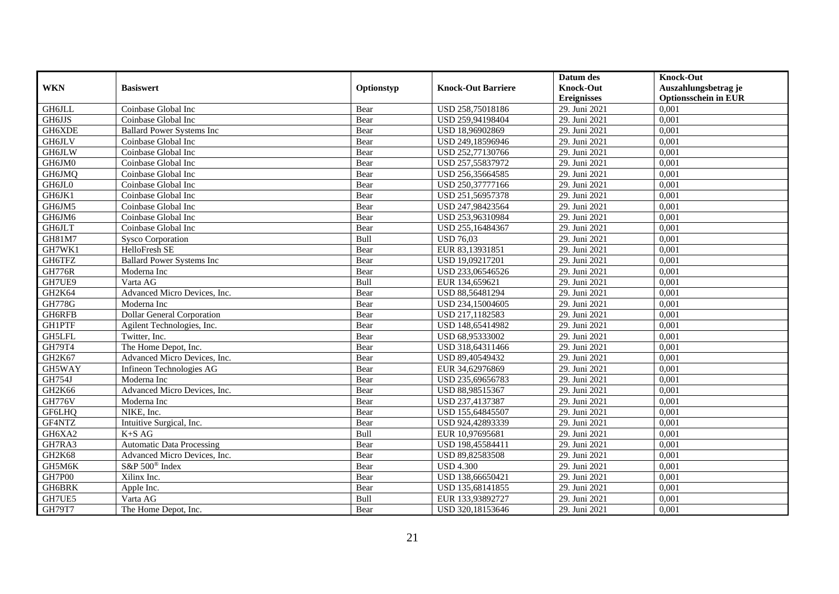|                     |                                   |            |                           | Datum des          | <b>Knock-Out</b>            |
|---------------------|-----------------------------------|------------|---------------------------|--------------------|-----------------------------|
| <b>WKN</b>          | <b>Basiswert</b>                  | Optionstyp | <b>Knock-Out Barriere</b> | <b>Knock-Out</b>   | Auszahlungsbetrag je        |
|                     |                                   |            |                           | <b>Ereignisses</b> | <b>Optionsschein in EUR</b> |
| GH6JLL              | Coinbase Global Inc               | Bear       | USD 258,75018186          | 29. Juni 2021      | 0,001                       |
| <b>GH6JJS</b>       | Coinbase Global Inc               | Bear       | USD 259,94198404          | 29. Juni 2021      | 0,001                       |
| GH6XDE              | <b>Ballard Power Systems Inc</b>  | Bear       | USD 18,96902869           | 29. Juni 2021      | 0,001                       |
| <b>GH6JLV</b>       | Coinbase Global Inc               | Bear       | USD 249,18596946          | 29. Juni 2021      | 0,001                       |
| <b>GH6JLW</b>       | Coinbase Global Inc               | Bear       | USD 252,77130766          | 29. Juni 2021      | 0,001                       |
| GH6JM0              | Coinbase Global Inc               | Bear       | USD 257,55837972          | 29. Juni 2021      | 0,001                       |
| GH6JMQ              | Coinbase Global Inc               | Bear       | USD 256,35664585          | 29. Juni 2021      | 0,001                       |
| GH6JL0              | Coinbase Global Inc               | Bear       | USD 250,37777166          | 29. Juni 2021      | 0,001                       |
| GH6JK1              | Coinbase Global Inc               | Bear       | USD 251,56957378          | 29. Juni 2021      | 0,001                       |
| GH6JM5              | Coinbase Global Inc               | Bear       | USD 247,98423564          | 29. Juni 2021      | 0,001                       |
| GH6JM6              | Coinbase Global Inc               | Bear       | USD 253,96310984          | 29. Juni 2021      | 0,001                       |
| GH6JLT              | Coinbase Global Inc               | Bear       | USD 255,16484367          | 29. Juni 2021      | 0,001                       |
| GH81M7              | <b>Sysco Corporation</b>          | Bull       | <b>USD 76,03</b>          | 29. Juni 2021      | 0,001                       |
| GH7WK1              | HelloFresh SE                     | Bear       | EUR 83,13931851           | 29. Juni 2021      | 0.001                       |
| GH6TFZ              | <b>Ballard Power Systems Inc</b>  | Bear       | USD 19,09217201           | 29. Juni 2021      | 0,001                       |
| <b>GH776R</b>       | Moderna Inc                       | Bear       | USD 233,06546526          | 29. Juni 2021      | 0,001                       |
| GH7UE9              | Varta AG                          | Bull       | EUR 134,659621            | 29. Juni 2021      | 0,001                       |
| GH2K64              | Advanced Micro Devices, Inc.      | Bear       | USD 88,56481294           | 29. Juni 2021      | 0,001                       |
| <b>GH778G</b>       | Moderna Inc                       | Bear       | USD 234,15004605          | 29. Juni 2021      | 0,001                       |
| GH6RFB              | <b>Dollar General Corporation</b> | Bear       | USD 217,1182583           | 29. Juni 2021      | 0,001                       |
| <b>GH1PTF</b>       | Agilent Technologies, Inc.        | Bear       | USD 148,65414982          | 29. Juni 2021      | 0,001                       |
| GH5LFL              | Twitter, Inc.                     | Bear       | USD 68,95333002           | 29. Juni 2021      | 0,001                       |
| GH79T4              | The Home Depot, Inc.              | Bear       | USD 318,64311466          | 29. Juni 2021      | 0,001                       |
| GH <sub>2</sub> K67 | Advanced Micro Devices, Inc.      | Bear       | USD 89,40549432           | 29. Juni 2021      | 0,001                       |
| GH5WAY              | Infineon Technologies AG          | Bear       | EUR 34,62976869           | 29. Juni 2021      | 0,001                       |
| GH754J              | Moderna Inc                       | Bear       | USD 235,69656783          | 29. Juni 2021      | 0,001                       |
| GH2K66              | Advanced Micro Devices, Inc.      | Bear       | USD 88,98515367           | 29. Juni 2021      | 0,001                       |
| <b>GH776V</b>       | Moderna Inc                       | Bear       | USD 237,4137387           | 29. Juni 2021      | 0,001                       |
| GF6LHQ              | NIKE, Inc.                        | Bear       | USD 155,64845507          | 29. Juni 2021      | 0,001                       |
| GF4NTZ              | Intuitive Surgical, Inc.          | Bear       | USD 924,42893339          | 29. Juni 2021      | 0,001                       |
| GH6XA2              | $K+SAG$                           | Bull       | EUR 10,97695681           | 29. Juni 2021      | 0,001                       |
| GH7RA3              | <b>Automatic Data Processing</b>  | Bear       | USD 198,45584411          | 29. Juni 2021      | 0,001                       |
| GH2K68              | Advanced Micro Devices, Inc.      | Bear       | USD 89,82583508           | 29. Juni 2021      | 0,001                       |
| GH5M6K              | S&P 500 <sup>®</sup> Index        | Bear       | <b>USD 4.300</b>          | 29. Juni 2021      | 0,001                       |
| <b>GH7P00</b>       | Xilinx Inc.                       | Bear       | USD 138,66650421          | 29. Juni 2021      | 0,001                       |
| GH6BRK              | Apple Inc.                        | Bear       | USD 135,68141855          | 29. Juni 2021      | 0,001                       |
| GH7UE5              | Varta AG                          | Bull       | EUR 133,93892727          | 29. Juni 2021      | 0,001                       |
| GH79T7              | The Home Depot, Inc.              | Bear       | USD 320,18153646          | 29. Juni 2021      | 0,001                       |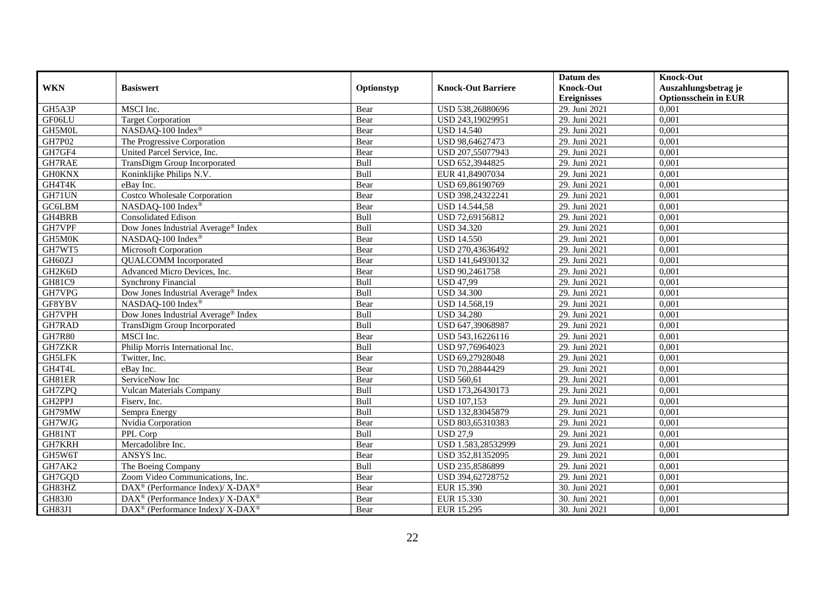|               |                                                                  |            |                           | Datum des          | <b>Knock-Out</b>            |
|---------------|------------------------------------------------------------------|------------|---------------------------|--------------------|-----------------------------|
| <b>WKN</b>    | <b>Basiswert</b>                                                 | Optionstyp | <b>Knock-Out Barriere</b> | <b>Knock-Out</b>   | Auszahlungsbetrag je        |
|               |                                                                  |            |                           | <b>Ereignisses</b> | <b>Optionsschein in EUR</b> |
| GH5A3P        | MSCI Inc.                                                        | Bear       | USD 538,26880696          | 29. Juni 2021      | 0,001                       |
| GF06LU        | <b>Target Corporation</b>                                        | Bear       | USD 243,19029951          | 29. Juni 2021      | 0,001                       |
| GH5M0L        | NASDAQ-100 Index®                                                | Bear       | <b>USD 14.540</b>         | 29. Juni 2021      | 0,001                       |
| GH7P02        | The Progressive Corporation                                      | Bear       | USD 98,64627473           | 29. Juni 2021      | 0,001                       |
| GH7GF4        | United Parcel Service, Inc.                                      | Bear       | USD 207,55077943          | 29. Juni 2021      | 0,001                       |
| <b>GH7RAE</b> | TransDigm Group Incorporated                                     | Bull       | USD 652,3944825           | 29. Juni 2021      | 0,001                       |
| <b>GH0KNX</b> | Koninklijke Philips N.V.                                         | Bull       | EUR 41,84907034           | 29. Juni 2021      | 0,001                       |
| GH4T4K        | eBay Inc.                                                        | Bear       | USD 69,86190769           | 29. Juni 2021      | 0,001                       |
| GH71UN        | <b>Costco Wholesale Corporation</b>                              | Bear       | USD 398,24322241          | 29. Juni 2021      | 0,001                       |
| GC6LBM        | NASDAQ-100 Index®                                                | Bear       | <b>USD 14.544,58</b>      | 29. Juni 2021      | 0,001                       |
| GH4BRB        | <b>Consolidated Edison</b>                                       | Bull       | USD 72,69156812           | 29. Juni 2021      | 0,001                       |
| GH7VPF        | Dow Jones Industrial Average® Index                              | Bull       | <b>USD 34.320</b>         | 29. Juni 2021      | 0,001                       |
| GH5M0K        | NASDAQ-100 Index®                                                | Bear       | <b>USD 14.550</b>         | 29. Juni 2021      | 0,001                       |
| GH7WT5        | Microsoft Corporation                                            | Bear       | USD 270,43636492          | 29. Juni 2021      | 0.001                       |
| GH60ZJ        | <b>QUALCOMM</b> Incorporated                                     | Bear       | USD 141,64930132          | 29. Juni 2021      | 0,001                       |
| GH2K6D        | Advanced Micro Devices, Inc.                                     | Bear       | USD 90,2461758            | 29. Juni 2021      | 0,001                       |
| GH81C9        | <b>Synchrony Financial</b>                                       | Bull       | <b>USD 47,99</b>          | 29. Juni 2021      | 0,001                       |
| GH7VPG        | Dow Jones Industrial Average® Index                              | Bull       | <b>USD 34.300</b>         | 29. Juni 2021      | 0,001                       |
| GF8YBV        | NASDAQ-100 Index®                                                | Bear       | USD 14.568,19             | 29. Juni 2021      | 0,001                       |
| GH7VPH        | Dow Jones Industrial Average® Index                              | Bull       | <b>USD 34.280</b>         | 29. Juni 2021      | 0,001                       |
| GH7RAD        | TransDigm Group Incorporated                                     | Bull       | USD 647,39068987          | 29. Juni 2021      | 0,001                       |
| <b>GH7R80</b> | MSCI Inc.                                                        | Bear       | USD 543,16226116          | 29. Juni 2021      | 0,001                       |
| <b>GH7ZKR</b> | Philip Morris International Inc.                                 | Bull       | USD 97,76964023           | 29. Juni 2021      | 0,001                       |
| <b>GH5LFK</b> | Twitter, Inc.                                                    | Bear       | USD 69,27928048           | 29. Juni 2021      | 0,001                       |
| GH4T4L        | eBay Inc.                                                        | Bear       | USD 70,28844429           | 29. Juni 2021      | 0,001                       |
| GH81ER        | ServiceNow Inc                                                   | Bear       | <b>USD 560,61</b>         | 29. Juni 2021      | 0,001                       |
| GH7ZPQ        | Vulcan Materials Company                                         | Bull       | USD 173,26430173          | 29. Juni 2021      | 0,001                       |
| GH2PPJ        | Fiserv, Inc.                                                     | Bull       | <b>USD 107,153</b>        | 29. Juni 2021      | 0,001                       |
| GH79MW        | Sempra Energy                                                    | Bull       | USD 132,83045879          | 29. Juni 2021      | 0,001                       |
| GH7WJG        | Nvidia Corporation                                               | Bear       | USD 803,65310383          | 29. Juni 2021      | 0,001                       |
| GH81NT        | PPL Corp                                                         | Bull       | <b>USD 27,9</b>           | 29. Juni 2021      | 0,001                       |
| GH7KRH        | Mercadolibre Inc.                                                | Bear       | USD 1.583,28532999        | 29. Juni 2021      | 0,001                       |
| GH5W6T        | ANSYS Inc.                                                       | Bear       | USD 352,81352095          | 29. Juni 2021      | 0,001                       |
| GH7AK2        | The Boeing Company                                               | Bull       | USD 235,8586899           | 29. Juni 2021      | 0,001                       |
| GH7GQD        | Zoom Video Communications, Inc.                                  | Bear       | USD 394,62728752          | 29. Juni 2021      | 0,001                       |
| GH83HZ        | $\text{DAX}^{\otimes}$ (Performance Index)/X-DAX <sup>®</sup>    | Bear       | EUR 15.390                | 30. Juni 2021      | 0,001                       |
| <b>GH83J0</b> | DAX <sup>®</sup> (Performance Index)/ X-DAX <sup>®</sup>         | Bear       | EUR 15.330                | 30. Juni 2021      | 0,001                       |
| GH83J1        | $\text{DAX}^{\circledR}$ (Performance Index)/ X-DAX <sup>®</sup> | Bear       | EUR 15.295                | 30. Juni 2021      | 0,001                       |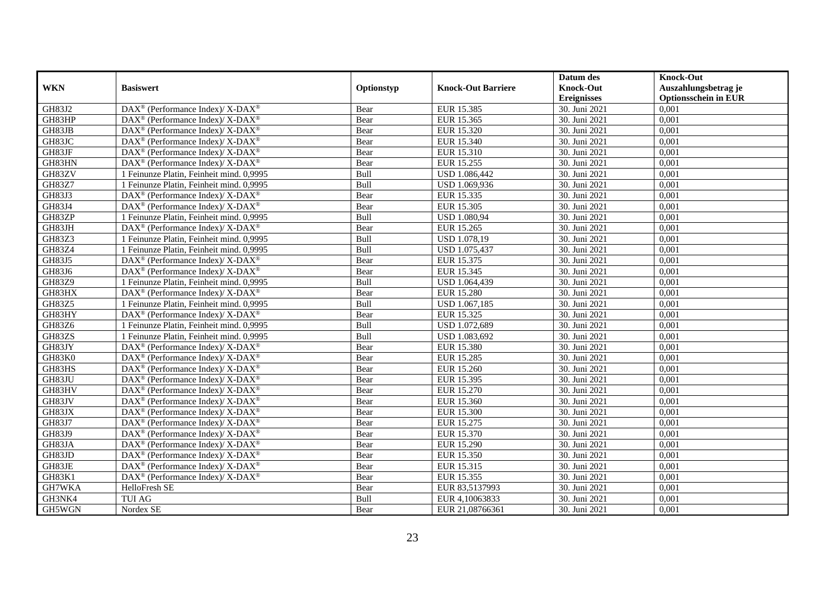|               |                                                                    |             |                           | Datum des          | <b>Knock-Out</b>            |
|---------------|--------------------------------------------------------------------|-------------|---------------------------|--------------------|-----------------------------|
| <b>WKN</b>    | <b>Basiswert</b>                                                   | Optionstyp  | <b>Knock-Out Barriere</b> | <b>Knock-Out</b>   | Auszahlungsbetrag je        |
|               |                                                                    |             |                           | <b>Ereignisses</b> | <b>Optionsschein in EUR</b> |
| GH83J2        | DAX <sup>®</sup> (Performance Index)/X-DAX <sup>®</sup>            | Bear        | EUR 15.385                | 30. Juni 2021      | 0.001                       |
| GH83HP        | $DAX^{\circledast}$ (Performance Index)/ X-DAX <sup>®</sup>        | Bear        | EUR 15.365                | 30. Juni 2021      | 0,001                       |
| GH83JB        | $DAX^{\circledcirc}$ (Performance Index)/X-DAX <sup>®</sup>        | Bear        | EUR 15.320                | 30. Juni 2021      | 0,001                       |
| GH83JC        | DAX <sup>®</sup> (Performance Index)/ X-DAX <sup>®</sup>           | Bear        | EUR 15.340                | 30. Juni 2021      | 0,001                       |
| GH83JF        | $DAX^{\circledast}$ (Performance Index)/ X-DAX <sup>®</sup>        | Bear        | EUR 15.310                | 30. Juni 2021      | 0,001                       |
| GH83HN        | DAX <sup>®</sup> (Performance Index)/X-DAX <sup>®</sup>            | Bear        | EUR 15.255                | 30. Juni 2021      | 0,001                       |
| GH83ZV        | 1 Feinunze Platin, Feinheit mind. 0,9995                           | Bull        | USD 1.086,442             | 30. Juni 2021      | 0,001                       |
| GH83Z7        | 1 Feinunze Platin, Feinheit mind. 0,9995                           | Bull        | USD 1.069,936             | 30. Juni 2021      | 0,001                       |
| GH83J3        | $DAX^{\circledast}$ (Performance Index)/ X-DAX <sup>®</sup>        | Bear        | EUR 15.335                | 30. Juni 2021      | 0,001                       |
| GH83J4        | DAX <sup>®</sup> (Performance Index)/X-DAX <sup>®</sup>            | Bear        | EUR 15.305                | 30. Juni 2021      | 0,001                       |
| GH83ZP        | 1 Feinunze Platin, Feinheit mind. 0,9995                           | Bull        | <b>USD 1.080,94</b>       | 30. Juni 2021      | 0,001                       |
| GH83JH        | $\text{DAX}^{\circledast}$ (Performance Index)/ X-DAX <sup>®</sup> | Bear        | EUR 15.265                | 30. Juni 2021      | 0,001                       |
| GH83Z3        | 1 Feinunze Platin, Feinheit mind. 0,9995                           | Bull        | USD 1.078,19              | 30. Juni 2021      | 0,001                       |
| GH83Z4        | 1 Feinunze Platin, Feinheit mind. 0,9995                           | Bull        | USD 1.075,437             | 30. Juni 2021      | 0,001                       |
| GH83J5        | $DAX^{\circledast}$ (Performance Index)/ X-DAX <sup>®</sup>        | Bear        | EUR 15.375                | 30. Juni 2021      | 0,001                       |
| GH83J6        | DAX <sup>®</sup> (Performance Index)/X-DAX <sup>®</sup>            | Bear        | EUR 15.345                | 30. Juni 2021      | 0,001                       |
| <b>GH83Z9</b> | 1 Feinunze Platin, Feinheit mind. 0.9995                           | Bull        | USD 1.064,439             | 30. Juni 2021      | 0,001                       |
| GH83HX        | $DAX^{\circledast}$ (Performance Index)/ X-DAX <sup>®</sup>        | Bear        | <b>EUR 15.280</b>         | 30. Juni 2021      | 0,001                       |
| GH83Z5        | 1 Feinunze Platin, Feinheit mind. 0,9995                           | Bull        | USD 1.067,185             | 30. Juni 2021      | 0,001                       |
| GH83HY        | DAX <sup>®</sup> (Performance Index)/ X-DAX <sup>®</sup>           | Bear        | EUR 15.325                | 30. Juni 2021      | 0,001                       |
| GH83Z6        | 1 Feinunze Platin, Feinheit mind. 0.9995                           | <b>Bull</b> | USD 1.072,689             | 30. Juni 2021      | 0,001                       |
| GH83ZS        | 1 Feinunze Platin, Feinheit mind. 0,9995                           | Bull        | USD 1.083,692             | 30. Juni 2021      | 0,001                       |
| GH83JY        | $\text{DAX}^{\circledast}$ (Performance Index)/ X-DAX <sup>®</sup> | Bear        | <b>EUR 15.380</b>         | 30. Juni 2021      | 0,001                       |
| GH83K0        | DAX <sup>®</sup> (Performance Index)/ X-DAX <sup>®</sup>           | Bear        | EUR 15.285                | 30. Juni 2021      | 0,001                       |
| GH83HS        | $\text{DAX}^{\circledast}$ (Performance Index)/ X-DAX <sup>®</sup> | Bear        | EUR 15.260                | 30. Juni 2021      | 0,001                       |
| GH83JU        | $DAX^{\circledast}$ (Performance Index)/ X-DAX <sup>®</sup>        | Bear        | EUR 15.395                | 30. Juni 2021      | 0,001                       |
| GH83HV        | $DAX^{\circledcirc}$ (Performance Index)/X-DAX <sup>®</sup>        | Bear        | EUR 15.270                | 30. Juni 2021      | 0,001                       |
| GH83JV        | DAX <sup>®</sup> (Performance Index)/X-DAX <sup>®</sup>            | Bear        | EUR 15.360                | 30. Juni 2021      | 0,001                       |
| GH83JX        | DAX <sup>®</sup> (Performance Index)/ X-DAX <sup>®</sup>           | Bear        | <b>EUR 15.300</b>         | 30. Juni 2021      | 0,001                       |
| GH83J7        | $\text{DAX}^{\circledast}$ (Performance Index)/ X-DAX <sup>®</sup> | Bear        | EUR 15.275                | 30. Juni 2021      | 0,001                       |
| GH83J9        | $DAX^{\circledast}$ (Performance Index)/ X-DAX <sup>®</sup>        | Bear        | EUR 15.370                | 30. Juni 2021      | 0,001                       |
| GH83JA        | DAX <sup>®</sup> (Performance Index)/ X-DAX <sup>®</sup>           | Bear        | EUR 15.290                | 30. Juni 2021      | 0,001                       |
| GH83JD        | $DAX^{\circledast}$ (Performance Index)/X-DAX <sup>®</sup>         | Bear        | EUR 15.350                | 30. Juni 2021      | 0,001                       |
| GH83JE        | DAX <sup>®</sup> (Performance Index)/ X-DAX <sup>®</sup>           | Bear        | EUR 15.315                | 30. Juni 2021      | 0,001                       |
| GH83K1        | DAX <sup>®</sup> (Performance Index)/ X-DAX <sup>®</sup>           | Bear        | EUR 15.355                | 30. Juni 2021      | 0,001                       |
| GH7WKA        | HelloFresh SE                                                      | Bear        | EUR 83,5137993            | 30. Juni 2021      | 0,001                       |
| GH3NK4        | <b>TUI AG</b>                                                      | Bull        | EUR 4,10063833            | 30. Juni 2021      | 0,001                       |
| GH5WGN        | Nordex SE                                                          | Bear        | EUR 21,08766361           | 30. Juni 2021      | 0,001                       |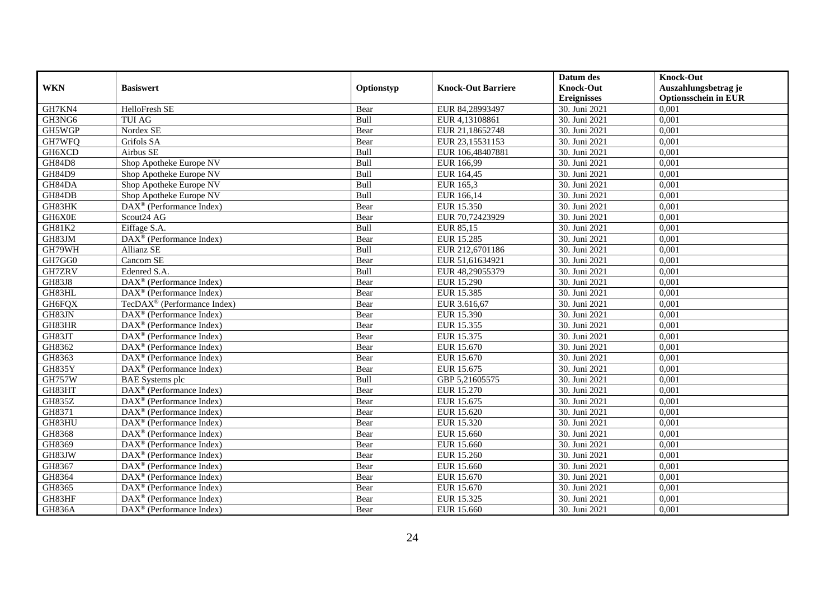|               |                                                         |            |                           | Datum des          | <b>Knock-Out</b>            |
|---------------|---------------------------------------------------------|------------|---------------------------|--------------------|-----------------------------|
| <b>WKN</b>    | <b>Basiswert</b>                                        | Optionstyp | <b>Knock-Out Barriere</b> | <b>Knock-Out</b>   | Auszahlungsbetrag je        |
|               |                                                         |            |                           | <b>Ereignisses</b> | <b>Optionsschein in EUR</b> |
| GH7KN4        | HelloFresh SE                                           | Bear       | EUR 84,28993497           | 30. Juni 2021      | 0,001                       |
| GH3NG6        | <b>TUI AG</b>                                           | Bull       | EUR 4,13108861            | 30. Juni 2021      | 0,001                       |
| GH5WGP        | Nordex SE                                               | Bear       | EUR 21,18652748           | 30. Juni 2021      | 0,001                       |
| GH7WFQ        | Grifols SA                                              | Bear       | EUR 23,15531153           | 30. Juni 2021      | 0,001                       |
| GH6XCD        | Airbus SE                                               | Bull       | EUR 106,48407881          | 30. Juni 2021      | 0,001                       |
| <b>GH84D8</b> | Shop Apotheke Europe NV                                 | Bull       | EUR 166,99                | 30. Juni 2021      | 0,001                       |
| <b>GH84D9</b> | Shop Apotheke Europe NV                                 | Bull       | EUR 164,45                | 30. Juni 2021      | 0,001                       |
| GH84DA        | Shop Apotheke Europe NV                                 | Bull       | EUR 165,3                 | 30. Juni 2021      | 0,001                       |
| GH84DB        | Shop Apotheke Europe NV                                 | Bull       | EUR 166,14                | 30. Juni 2021      | 0,001                       |
| GH83HK        | DAX <sup>®</sup> (Performance Index)                    | Bear       | EUR 15.350                | 30. Juni 2021      | 0,001                       |
| GH6X0E        | Scout24 AG                                              | Bear       | EUR 70,72423929           | 30. Juni 2021      | 0,001                       |
| GH81K2        | Eiffage S.A.                                            | Bull       | EUR 85,15                 | 30. Juni 2021      | 0,001                       |
| GH83JM        | DAX <sup>®</sup> (Performance Index)                    | Bear       | <b>EUR 15.285</b>         | 30. Juni 2021      | 0,001                       |
| GH79WH        | <b>Allianz SE</b>                                       | Bull       | EUR 212,6701186           | 30. Juni 2021      | 0,001                       |
| GH7GG0        | Cancom SE                                               | Bear       | EUR 51,61634921           | 30. Juni 2021      | 0,001                       |
| GH7ZRV        | Edenred S.A.                                            | Bull       | EUR 48,29055379           | 30. Juni 2021      | 0,001                       |
| GH83J8        | DAX <sup>®</sup> (Performance Index)                    | Bear       | <b>EUR 15.290</b>         | 30. Juni 2021      | 0,001                       |
| GH83HL        | $\overline{\text{DAX}^{\otimes}}$ (Performance Index)   | Bear       | EUR 15.385                | 30. Juni 2021      | 0,001                       |
| GH6FQX        | TecDAX <sup>®</sup> (Performance Index)                 | Bear       | EUR 3.616,67              | 30. Juni 2021      | 0,001                       |
| GH83JN        | $DAX^{\circledast}$ (Performance Index)                 | Bear       | EUR 15.390                | 30. Juni 2021      | 0,001                       |
| GH83HR        | DAX <sup>®</sup> (Performance Index)                    | Bear       | EUR 15.355                | 30. Juni 2021      | 0,001                       |
| GH83JT        | $DAX^{\circledcirc}$ (Performance Index)                | Bear       | EUR 15.375                | 30. Juni 2021      | 0,001                       |
| GH8362        | $\overline{\text{DAX}}^{\textcirc}$ (Performance Index) | Bear       | EUR 15.670                | 30. Juni 2021      | 0,001                       |
| GH8363        | DAX <sup>®</sup> (Performance Index)                    | Bear       | EUR 15.670                | 30. Juni 2021      | 0,001                       |
| GH835Y        | $DAX^{\circledcirc}$ (Performance Index)                | Bear       | EUR 15.675                | 30. Juni 2021      | 0,001                       |
| <b>GH757W</b> | <b>BAE</b> Systems plc                                  | Bull       | GBP 5,21605575            | 30. Juni 2021      | 0,001                       |
| GH83HT        | $\overline{\text{DAX}^{\otimes}}$ (Performance Index)   | Bear       | EUR 15.270                | 30. Juni 2021      | 0,001                       |
| <b>GH835Z</b> | DAX <sup>®</sup> (Performance Index)                    | Bear       | EUR 15.675                | 30. Juni 2021      | 0,001                       |
| GH8371        | $DAX^{\circledast}$ (Performance Index)                 | Bear       | EUR 15.620                | 30. Juni 2021      | 0,001                       |
| GH83HU        | $DAX^{\circledast}$ (Performance Index)                 | Bear       | EUR 15.320                | 30. Juni 2021      | 0,001                       |
| GH8368        | DAX <sup>®</sup> (Performance Index)                    | Bear       | EUR 15.660                | 30. Juni 2021      | 0,001                       |
| GH8369        | DAX <sup>®</sup> (Performance Index)                    | Bear       | EUR 15.660                | 30. Juni 2021      | 0,001                       |
| GH83JW        | $DAX^{\circledR}$ (Performance Index)                   | Bear       | EUR 15.260                | 30. Juni 2021      | 0,001                       |
| GH8367        | DAX <sup>®</sup> (Performance Index)                    | Bear       | EUR 15.660                | 30. Juni 2021      | 0,001                       |
| GH8364        | DAX <sup>®</sup> (Performance Index)                    | Bear       | EUR 15.670                | 30. Juni 2021      | 0,001                       |
| GH8365        | DAX <sup>®</sup> (Performance Index)                    | Bear       | EUR 15.670                | 30. Juni 2021      | 0,001                       |
| GH83HF        | $\text{DAX}^{\circledast}$ (Performance Index)          | Bear       | EUR 15.325                | 30. Juni 2021      | 0,001                       |
| <b>GH836A</b> | $DAX^{\circledast}$ (Performance Index)                 | Bear       | EUR 15.660                | 30. Juni 2021      | 0,001                       |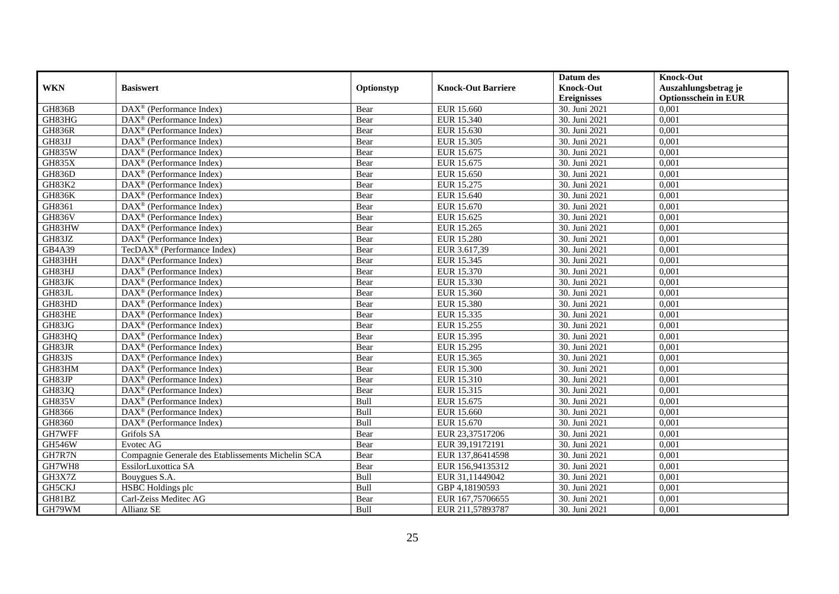|               |                                                         |            |                           | Datum des          | <b>Knock-Out</b>            |
|---------------|---------------------------------------------------------|------------|---------------------------|--------------------|-----------------------------|
| <b>WKN</b>    | <b>Basiswert</b>                                        | Optionstyp | <b>Knock-Out Barriere</b> | <b>Knock-Out</b>   | Auszahlungsbetrag je        |
|               |                                                         |            |                           | <b>Ereignisses</b> | <b>Optionsschein in EUR</b> |
| <b>GH836B</b> | $\overline{\text{DAX}}^{\textcirc}$ (Performance Index) | Bear       | EUR 15.660                | 30. Juni 2021      | 0,001                       |
| GH83HG        | $DAX^{\circledR}$ (Performance Index)                   | Bear       | EUR 15.340                | 30. Juni 2021      | 0,001                       |
| <b>GH836R</b> | DAX <sup>®</sup> (Performance Index)                    | Bear       | EUR 15.630                | 30. Juni 2021      | 0,001                       |
| GH83JJ        | DAX <sup>®</sup> (Performance Index)                    | Bear       | EUR 15.305                | 30. Juni 2021      | 0,001                       |
| GH835W        | $DAX^{\circledast}$ (Performance Index)                 | Bear       | EUR 15.675                | 30. Juni 2021      | 0,001                       |
| <b>GH835X</b> | $DAX^{\circledR}$ (Performance Index)                   | Bear       | EUR 15.675                | 30. Juni 2021      | 0,001                       |
| <b>GH836D</b> | $DAX^{\circledR}$ (Performance Index)                   | Bear       | EUR 15.650                | 30. Juni 2021      | 0,001                       |
| <b>GH83K2</b> | $DAX^{\circledast}$ (Performance Index)                 | Bear       | EUR 15.275                | 30. Juni 2021      | 0,001                       |
| <b>GH836K</b> | $DAX^{\circledast}$ (Performance Index)                 | Bear       | EUR 15.640                | 30. Juni 2021      | 0,001                       |
| GH8361        | DAX <sup>®</sup> (Performance Index)                    | Bear       | EUR 15.670                | 30. Juni 2021      | 0,001                       |
| <b>GH836V</b> | $\overline{\text{DAX}^{\otimes}}$ (Performance Index)   | Bear       | EUR 15.625                | 30. Juni 2021      | 0,001                       |
| GH83HW        | DAX <sup>®</sup> (Performance Index)                    | Bear       | EUR 15.265                | 30. Juni 2021      | 0,001                       |
| GH83JZ        | $DAX^{\circledast}$ (Performance Index)                 | Bear       | <b>EUR 15.280</b>         | 30. Juni 2021      | 0,001                       |
| GB4A39        | TecDAX <sup>®</sup> (Performance Index)                 | Bear       | EUR 3.617,39              | 30. Juni 2021      | 0,001                       |
| GH83HH        | DAX <sup>®</sup> (Performance Index)                    | Bear       | EUR 15.345                | 30. Juni 2021      | 0,001                       |
| GH83HJ        | DAX <sup>®</sup> (Performance Index)                    | Bear       | EUR 15.370                | 30. Juni 2021      | 0,001                       |
| GH83JK        | $DAX^{\circledR}$ (Performance Index)                   | Bear       | EUR 15.330                | 30. Juni 2021      | 0,001                       |
| GH83JL        | $\overline{\text{DAX}^{\otimes}}$ (Performance Index)   | Bear       | EUR 15.360                | 30. Juni 2021      | 0,001                       |
| GH83HD        | $DAX^{\circledast}$ (Performance Index)                 | Bear       | EUR 15.380                | 30. Juni 2021      | 0,001                       |
| GH83HE        | $DAX^{\circledast}$ (Performance Index)                 | Bear       | EUR 15.335                | 30. Juni 2021      | 0,001                       |
| GH83JG        | DAX <sup>®</sup> (Performance Index)                    | Bear       | EUR 15.255                | 30. Juni 2021      | 0,001                       |
| GH83HQ        | $DAX^{\circledcirc}$ (Performance Index)                | Bear       | EUR 15.395                | 30. Juni 2021      | 0,001                       |
| GH83JR        | $\overline{\text{DAX}}^{\textcirc}$ (Performance Index) | Bear       | EUR 15.295                | 30. Juni 2021      | 0,001                       |
| GH83JS        | DAX <sup>®</sup> (Performance Index)                    | Bear       | EUR 15.365                | 30. Juni 2021      | 0,001                       |
| GH83HM        | $DAX^{\circledcirc}$ (Performance Index)                | Bear       | <b>EUR 15.300</b>         | 30. Juni 2021      | 0,001                       |
| GH83JP        | $\text{DAX}^{\circledast}$ (Performance Index)          | Bear       | EUR 15.310                | 30. Juni 2021      | 0,001                       |
| GH83JQ        | DAX <sup>®</sup> (Performance Index)                    | Bear       | EUR 15.315                | 30. Juni 2021      | 0,001                       |
| <b>GH835V</b> | DAX <sup>®</sup> (Performance Index)                    | Bull       | EUR 15.675                | 30. Juni 2021      | 0,001                       |
| GH8366        | $DAX^{\circledast}$ (Performance Index)                 | Bull       | EUR 15.660                | 30. Juni 2021      | 0,001                       |
| GH8360        | $DAX^{\circledast}$ (Performance Index)                 | Bull       | EUR 15.670                | 30. Juni 2021      | 0,001                       |
| GH7WFF        | Grifols SA                                              | Bear       | EUR 23,37517206           | 30. Juni 2021      | 0,001                       |
| <b>GH546W</b> | Evotec AG                                               | Bear       | EUR 39,19172191           | 30. Juni 2021      | 0,001                       |
| GH7R7N        | Compagnie Generale des Etablissements Michelin SCA      | Bear       | EUR 137,86414598          | 30. Juni 2021      | 0,001                       |
| GH7WH8        | EssilorLuxottica SA                                     | Bear       | EUR 156,94135312          | 30. Juni 2021      | 0,001                       |
| GH3X7Z        | Bouygues S.A.                                           | Bull       | EUR 31,11449042           | 30. Juni 2021      | 0,001                       |
| GH5CKJ        | <b>HSBC</b> Holdings plc                                | Bull       | GBP 4,18190593            | 30. Juni 2021      | 0,001                       |
| GH81BZ        | Carl-Zeiss Meditec AG                                   | Bear       | EUR 167,75706655          | 30. Juni 2021      | 0,001                       |
| GH79WM        | Allianz SE                                              | Bull       | EUR 211,57893787          | 30. Juni 2021      | 0,001                       |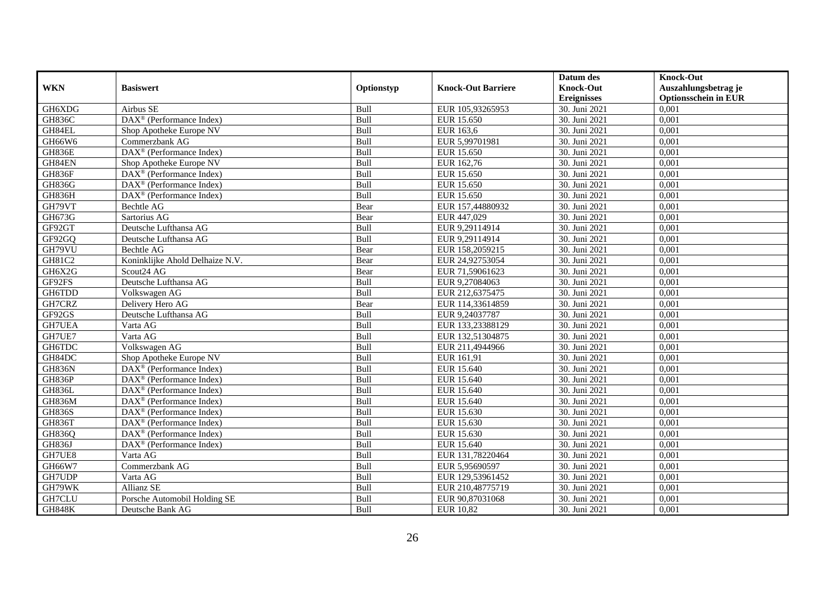|               |                                                         |             |                           | Datum des          | <b>Knock-Out</b>            |
|---------------|---------------------------------------------------------|-------------|---------------------------|--------------------|-----------------------------|
| <b>WKN</b>    | <b>Basiswert</b>                                        | Optionstyp  | <b>Knock-Out Barriere</b> | <b>Knock-Out</b>   | Auszahlungsbetrag je        |
|               |                                                         |             |                           | <b>Ereignisses</b> | <b>Optionsschein in EUR</b> |
| GH6XDG        | Airbus SE                                               | Bull        | EUR 105,93265953          | 30. Juni 2021      | 0,001                       |
| <b>GH836C</b> | DAX <sup>®</sup> (Performance Index)                    | Bull        | EUR 15.650                | 30. Juni 2021      | 0,001                       |
| GH84EL        | Shop Apotheke Europe NV                                 | Bull        | EUR 163,6                 | 30. Juni 2021      | 0,001                       |
| GH66W6        | Commerzbank AG                                          | Bull        | EUR 5,99701981            | 30. Juni 2021      | 0,001                       |
| GH836E        | DAX <sup>®</sup> (Performance Index)                    | Bull        | EUR 15.650                | 30. Juni 2021      | 0,001                       |
| GH84EN        | Shop Apotheke Europe NV                                 | Bull        | EUR 162,76                | 30. Juni 2021      | 0,001                       |
| GH836F        | $\text{DAX}^{\circledR}$ (Performance Index)            | Bull        | EUR 15.650                | 30. Juni 2021      | 0,001                       |
| GH836G        | $\text{DAX}^{\textcircled{}}$ (Performance Index)       | Bull        | EUR 15.650                | 30. Juni 2021      | 0,001                       |
| GH836H        | $\text{DAX}^{\circledast}$ (Performance Index)          | Bull        | EUR 15.650                | 30. Juni 2021      | 0,001                       |
| GH79VT        | Bechtle AG                                              | Bear        | EUR 157,44880932          | 30. Juni 2021      | 0,001                       |
| GH673G        | Sartorius AG                                            | Bear        | EUR 447,029               | 30. Juni 2021      | 0,001                       |
| GF92GT        | Deutsche Lufthansa AG                                   | Bull        | EUR 9,29114914            | 30. Juni 2021      | 0,001                       |
| GF92GQ        | Deutsche Lufthansa AG                                   | Bull        | EUR 9,29114914            | 30. Juni 2021      | 0,001                       |
| GH79VU        | Bechtle AG                                              | Bear        | EUR 158,2059215           | 30. Juni 2021      | 0,001                       |
| GH81C2        | Koninklijke Ahold Delhaize N.V.                         | Bear        | EUR 24,92753054           | 30. Juni 2021      | 0,001                       |
| GH6X2G        | Scout24 AG                                              | Bear        | EUR 71,59061623           | 30. Juni 2021      | 0,001                       |
| GF92FS        | Deutsche Lufthansa AG                                   | Bull        | EUR 9,27084063            | 30. Juni 2021      | 0,001                       |
| GH6TDD        | Volkswagen AG                                           | <b>Bull</b> | EUR 212,6375475           | 30. Juni 2021      | 0,001                       |
| GH7CRZ        | Delivery Hero AG                                        | Bear        | EUR 114,33614859          | 30. Juni 2021      | 0,001                       |
| GF92GS        | Deutsche Lufthansa AG                                   | Bull        | EUR 9,24037787            | 30. Juni 2021      | 0,001                       |
| GH7UEA        | Varta AG                                                | Bull        | EUR 133,23388129          | 30. Juni 2021      | 0,001                       |
| GH7UE7        | Varta AG                                                | Bull        | EUR 132,51304875          | 30. Juni 2021      | 0,001                       |
| <b>GH6TDC</b> | Volkswagen AG                                           | Bull        | EUR 211,4944966           | 30. Juni 2021      | 0,001                       |
| GH84DC        | Shop Apotheke Europe NV                                 | Bull        | EUR 161,91                | 30. Juni 2021      | 0,001                       |
| <b>GH836N</b> | $DAX^{\circledR}$ (Performance Index)                   | Bull        | EUR 15.640                | 30. Juni 2021      | 0,001                       |
| GH836P        | $DAX^{\otimes}$ (Performance Index)                     | Bull        | EUR 15.640                | 30. Juni 2021      | 0,001                       |
| GH836L        | $\overline{\text{DAX}}^{\textcirc}$ (Performance Index) | Bull        | EUR 15.640                | 30. Juni 2021      | 0,001                       |
| GH836M        | DAX <sup>®</sup> (Performance Index)                    | Bull        | EUR 15.640                | 30. Juni 2021      | 0,001                       |
| <b>GH836S</b> | $\text{DAX}^{\textcircled{}}$ (Performance Index)       | Bull        | EUR 15.630                | 30. Juni 2021      | 0,001                       |
| GH836T        | DAX <sup>®</sup> (Performance Index)                    | Bull        | EUR 15.630                | 30. Juni 2021      | 0,001                       |
| <b>GH836Q</b> | $\text{DAX}^{\otimes}$ (Performance Index)              | Bull        | EUR 15.630                | 30. Juni 2021      | 0,001                       |
| <b>GH836J</b> | $\text{DAX}^{\circledast}$ (Performance Index)          | Bull        | EUR 15.640                | 30. Juni 2021      | 0.001                       |
| GH7UE8        | Varta AG                                                | Bull        | EUR 131,78220464          | 30. Juni 2021      | 0,001                       |
| GH66W7        | Commerzbank AG                                          | Bull        | EUR 5,95690597            | 30. Juni 2021      | 0,001                       |
| GH7UDP        | Varta AG                                                | Bull        | EUR 129,53961452          | 30. Juni 2021      | 0,001                       |
| GH79WK        | Allianz SE                                              | Bull        | EUR 210,48775719          | 30. Juni 2021      | 0,001                       |
| GH7CLU        | Porsche Automobil Holding SE                            | Bull        | EUR 90,87031068           | 30. Juni 2021      | 0,001                       |
| <b>GH848K</b> | Deutsche Bank AG                                        | Bull        | EUR 10,82                 | 30. Juni 2021      | 0,001                       |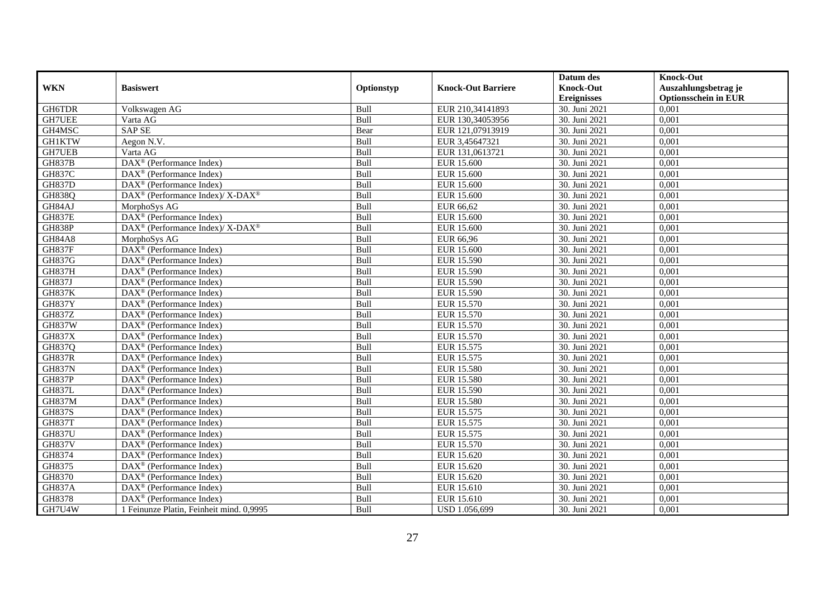|               |                                                          |             |                           | Datum des          | <b>Knock-Out</b>            |
|---------------|----------------------------------------------------------|-------------|---------------------------|--------------------|-----------------------------|
| <b>WKN</b>    | <b>Basiswert</b>                                         | Optionstyp  | <b>Knock-Out Barriere</b> | <b>Knock-Out</b>   | Auszahlungsbetrag je        |
|               |                                                          |             |                           | <b>Ereignisses</b> | <b>Optionsschein in EUR</b> |
| GH6TDR        | Volkswagen AG                                            | Bull        | EUR 210,34141893          | 30. Juni 2021      | 0,001                       |
| <b>GH7UEE</b> | Varta AG                                                 | Bull        | EUR 130,34053956          | 30. Juni 2021      | 0,001                       |
| GH4MSC        | <b>SAP SE</b>                                            | Bear        | EUR 121,07913919          | 30. Juni 2021      | 0,001                       |
| <b>GH1KTW</b> | Aegon N.V.                                               | Bull        | EUR 3,45647321            | 30. Juni 2021      | 0,001                       |
| <b>GH7UEB</b> | Varta AG                                                 | Bull        | EUR 131,0613721           | 30. Juni 2021      | 0,001                       |
| <b>GH837B</b> | DAX <sup>®</sup> (Performance Index)                     | Bull        | <b>EUR 15.600</b>         | 30. Juni 2021      | 0,001                       |
| <b>GH837C</b> | DAX <sup>®</sup> (Performance Index)                     | Bull        | <b>EUR 15.600</b>         | 30. Juni 2021      | 0,001                       |
| <b>GH837D</b> | $\text{DAX}^{\textcircled{}}$ (Performance Index)        | Bull        | EUR 15.600                | 30. Juni 2021      | 0,001                       |
| <b>GH838Q</b> | DAX <sup>®</sup> (Performance Index)/ X-DAX <sup>®</sup> | Bull        | EUR 15.600                | 30. Juni 2021      | 0,001                       |
| GH84AJ        | MorphoSys AG                                             | <b>Bull</b> | EUR 66,62                 | 30. Juni 2021      | 0,001                       |
| <b>GH837E</b> | DAX <sup>®</sup> (Performance Index)                     | Bull        | EUR 15.600                | 30. Juni 2021      | 0,001                       |
| <b>GH838P</b> | DAX <sup>®</sup> (Performance Index)/ X-DAX <sup>®</sup> | Bull        | <b>EUR 15.600</b>         | 30. Juni 2021      | 0,001                       |
| <b>GH84A8</b> | MorphoSys AG                                             | Bull        | EUR 66,96                 | 30. Juni 2021      | 0,001                       |
| <b>GH837F</b> | DAX <sup>®</sup> (Performance Index)                     | Bull        | EUR 15.600                | 30. Juni 2021      | 0,001                       |
| GH837G        | $\text{DAX}^{\textcircled{}}$ (Performance Index)        | Bull        | EUR 15.590                | 30. Juni 2021      | 0,001                       |
| <b>GH837H</b> | DAX <sup>®</sup> (Performance Index)                     | Bull        | <b>EUR 15.590</b>         | 30. Juni 2021      | 0,001                       |
| <b>GH837J</b> | $\text{DAX}^{\textcircled{p}}$ (Performance Index)       | Bull        | EUR 15.590                | 30. Juni 2021      | 0,001                       |
| <b>GH837K</b> | DAX <sup>®</sup> (Performance Index)                     | Bull        | EUR 15.590                | 30. Juni 2021      | 0,001                       |
| <b>GH837Y</b> | $\text{DAX}^{\textcircled{}}$ (Performance Index)        | Bull        | EUR 15.570                | 30. Juni 2021      | 0,001                       |
| <b>GH837Z</b> | $\text{DAX}^{\textcircled{}}$ (Performance Index)        | Bull        | EUR 15.570                | 30. Juni 2021      | 0,001                       |
| GH837W        | DAX <sup>®</sup> (Performance Index)                     | Bull        | EUR 15.570                | 30. Juni 2021      | 0,001                       |
| <b>GH837X</b> | DAX <sup>®</sup> (Performance Index)                     | Bull        | <b>EUR 15.570</b>         | 30. Juni 2021      | 0,001                       |
| <b>GH837Q</b> | DAX <sup>®</sup> (Performance Index)                     | Bull        | EUR 15.575                | 30. Juni 2021      | 0,001                       |
| <b>GH837R</b> | DAX <sup>®</sup> (Performance Index)                     | Bull        | EUR 15.575                | 30. Juni 2021      | 0,001                       |
| <b>GH837N</b> | $DAX^{\circledR}$ (Performance Index)                    | Bull        | EUR 15.580                | 30. Juni 2021      | 0,001                       |
| <b>GH837P</b> | DAX <sup>®</sup> (Performance Index)                     | Bull        | EUR 15.580                | 30. Juni 2021      | 0,001                       |
| <b>GH837L</b> | $\text{DAX}^{\textcircled{}}$ (Performance Index)        | Bull        | EUR 15.590                | 30. Juni 2021      | 0,001                       |
| <b>GH837M</b> | $\text{DAX}^{\textcircled{p}}$ (Performance Index)       | Bull        | <b>EUR 15.580</b>         | 30. Juni 2021      | 0,001                       |
| <b>GH837S</b> | $\text{DAX}^{\circledast}$ (Performance Index)           | Bull        | EUR 15.575                | 30. Juni 2021      | 0,001                       |
| <b>GH837T</b> | DAX <sup>®</sup> (Performance Index)                     | Bull        | EUR 15.575                | 30. Juni 2021      | 0,001                       |
| <b>GH837U</b> | $\text{DAX}^{\textcircled{}}$ (Performance Index)        | Bull        | EUR 15.575                | 30. Juni 2021      | 0,001                       |
| <b>GH837V</b> | DAX <sup>®</sup> (Performance Index)                     | Bull        | EUR 15.570                | 30. Juni 2021      | 0,001                       |
| GH8374        | $\text{DAX}^{\textcircled{p}}$ (Performance Index)       | Bull        | EUR 15.620                | 30. Juni 2021      | 0,001                       |
| GH8375        | $\overline{\text{DAX}^{\otimes}}$ (Performance Index)    | Bull        | EUR 15.620                | 30. Juni 2021      | 0,001                       |
| GH8370        | $\overline{\text{DAX}^{\otimes}}$ (Performance Index)    | Bull        | EUR 15.620                | 30. Juni 2021      | 0,001                       |
| <b>GH837A</b> | $\text{DAX}^{\textcircled{}}$ (Performance Index)        | Bull        | EUR 15.610                | 30. Juni 2021      | 0,001                       |
| GH8378        | $\text{DAX}^{\otimes}$ (Performance Index)               | Bull        | EUR 15.610                | 30. Juni 2021      | 0,001                       |
| GH7U4W        | 1 Feinunze Platin, Feinheit mind. 0,9995                 | Bull        | USD 1.056,699             | 30. Juni 2021      | 0,001                       |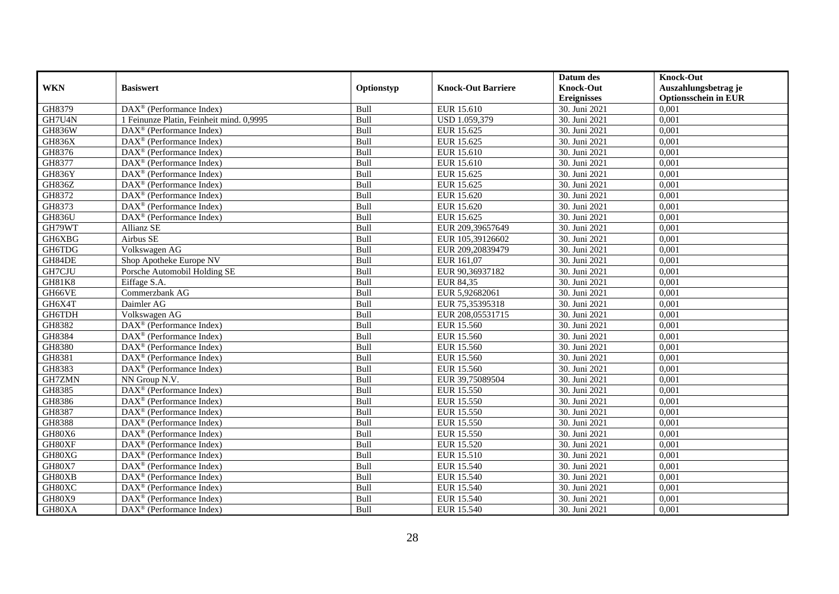|               |                                                         |            |                           | Datum des          | <b>Knock-Out</b>            |
|---------------|---------------------------------------------------------|------------|---------------------------|--------------------|-----------------------------|
| <b>WKN</b>    | <b>Basiswert</b>                                        | Optionstyp | <b>Knock-Out Barriere</b> | <b>Knock-Out</b>   | Auszahlungsbetrag je        |
|               |                                                         |            |                           | <b>Ereignisses</b> | <b>Optionsschein in EUR</b> |
| GH8379        | $\overline{\text{DAX}^{\otimes}}$ (Performance Index)   | Bull       | EUR 15.610                | 30. Juni 2021      | 0,001                       |
| GH7U4N        | 1 Feinunze Platin, Feinheit mind. 0,9995                | Bull       | USD 1.059,379             | 30. Juni 2021      | 0,001                       |
| <b>GH836W</b> | DAX <sup>®</sup> (Performance Index)                    | Bull       | EUR 15.625                | 30. Juni 2021      | 0,001                       |
| <b>GH836X</b> | DAX <sup>®</sup> (Performance Index)                    | Bull       | EUR 15.625                | 30. Juni 2021      | 0,001                       |
| GH8376        | DAX <sup>®</sup> (Performance Index)                    | Bull       | EUR 15.610                | 30. Juni 2021      | 0,001                       |
| GH8377        | $\text{DAX}^{\textcircled{}}$ (Performance Index)       | Bull       | EUR 15.610                | 30. Juni 2021      | 0,001                       |
| GH836Y        | $\text{DAX}^{\circledR}$ (Performance Index)            | Bull       | EUR 15.625                | 30. Juni 2021      | 0,001                       |
| <b>GH836Z</b> | $\overline{\text{DAX}}^{\textcirc}$ (Performance Index) | Bull       | EUR 15.625                | 30. Juni 2021      | 0,001                       |
| GH8372        | DAX <sup>®</sup> (Performance Index)                    | Bull       | EUR 15.620                | 30. Juni 2021      | 0,001                       |
| GH8373        | $\overline{\text{DAX}^{\otimes}}$ (Performance Index)   | Bull       | EUR 15.620                | 30. Juni 2021      | 0,001                       |
| <b>GH836U</b> | DAX <sup>®</sup> (Performance Index)                    | Bull       | EUR 15.625                | 30. Juni 2021      | 0,001                       |
| GH79WT        | Allianz SE                                              | Bull       | EUR 209,39657649          | 30. Juni 2021      | 0,001                       |
| GH6XBG        | Airbus SE                                               | Bull       | EUR 105,39126602          | 30. Juni 2021      | 0,001                       |
| GH6TDG        | Volkswagen AG                                           | Bull       | EUR 209,20839479          | 30. Juni 2021      | 0,001                       |
| GH84DE        | Shop Apotheke Europe NV                                 | Bull       | EUR 161,07                | 30. Juni 2021      | 0,001                       |
| GH7CJU        | Porsche Automobil Holding SE                            | Bull       | EUR 90,36937182           | 30. Juni 2021      | 0,001                       |
| GH81K8        | Eiffage S.A.                                            | Bull       | EUR 84,35                 | 30. Juni 2021      | 0,001                       |
| GH66VE        | Commerzbank AG                                          | Bull       | EUR 5,92682061            | 30. Juni 2021      | 0,001                       |
| GH6X4T        | Daimler AG                                              | Bull       | EUR 75,35395318           | 30. Juni 2021      | 0,001                       |
| GH6TDH        | Volkswagen AG                                           | Bull       | EUR 208,05531715          | 30. Juni 2021      | 0,001                       |
| GH8382        | DAX <sup>®</sup> (Performance Index)                    | Bull       | EUR 15.560                | 30. Juni 2021      | 0,001                       |
| GH8384        | $\overline{\text{DAX}}^{\textcirc}$ (Performance Index) | Bull       | EUR 15.560                | 30. Juni 2021      | 0,001                       |
| GH8380        | $DAX^{\circledR}$ (Performance Index)                   | Bull       | EUR 15.560                | 30. Juni 2021      | 0,001                       |
| GH8381        | DAX <sup>®</sup> (Performance Index)                    | Bull       | EUR 15.560                | 30. Juni 2021      | 0,001                       |
| GH8383        | $DAX^{\circledR}$ (Performance Index)                   | Bull       | EUR 15.560                | 30. Juni 2021      | 0,001                       |
| GH7ZMN        | NN Group N.V.                                           | Bull       | EUR 39,75089504           | 30. Juni 2021      | 0,001                       |
| GH8385        | DAX <sup>®</sup> (Performance Index)                    | Bull       | EUR 15.550                | 30. Juni 2021      | 0,001                       |
| GH8386        | DAX <sup>®</sup> (Performance Index)                    | Bull       | EUR 15.550                | 30. Juni 2021      | 0,001                       |
| GH8387        | $DAX^{\circledast}$ (Performance Index)                 | Bull       | EUR 15.550                | 30. Juni 2021      | 0,001                       |
| GH8388        | $DAX^{\circledast}$ (Performance Index)                 | Bull       | EUR 15.550                | 30. Juni 2021      | 0,001                       |
| GH80X6        | $\overline{\text{DAX}^{\otimes}}$ (Performance Index)   | Bull       | EUR 15.550                | 30. Juni 2021      | 0,001                       |
| GH80XF        | DAX <sup>®</sup> (Performance Index)                    | Bull       | <b>EUR 15.520</b>         | 30. Juni 2021      | 0,001                       |
| GH80XG        | $DAX^{\circledR}$ (Performance Index)                   | Bull       | <b>EUR 15.510</b>         | 30. Juni 2021      | 0,001                       |
| GH80X7        | $\overline{\text{DAX}}^{\textcirc}$ (Performance Index) | Bull       | EUR 15.540                | 30. Juni 2021      | 0,001                       |
| GH80XB        | DAX <sup>®</sup> (Performance Index)                    | Bull       | <b>EUR 15.540</b>         | 30. Juni 2021      | 0,001                       |
| GH80XC        | DAX <sup>®</sup> (Performance Index)                    | Bull       | EUR 15.540                | 30. Juni 2021      | 0,001                       |
| GH80X9        | $\text{DAX}^{\circledast}$ (Performance Index)          | Bull       | EUR 15.540                | 30. Juni 2021      | 0,001                       |
| GH80XA        | $\overline{\text{DAX}^{\otimes}}$ (Performance Index)   | Bull       | EUR 15.540                | 30. Juni 2021      | 0,001                       |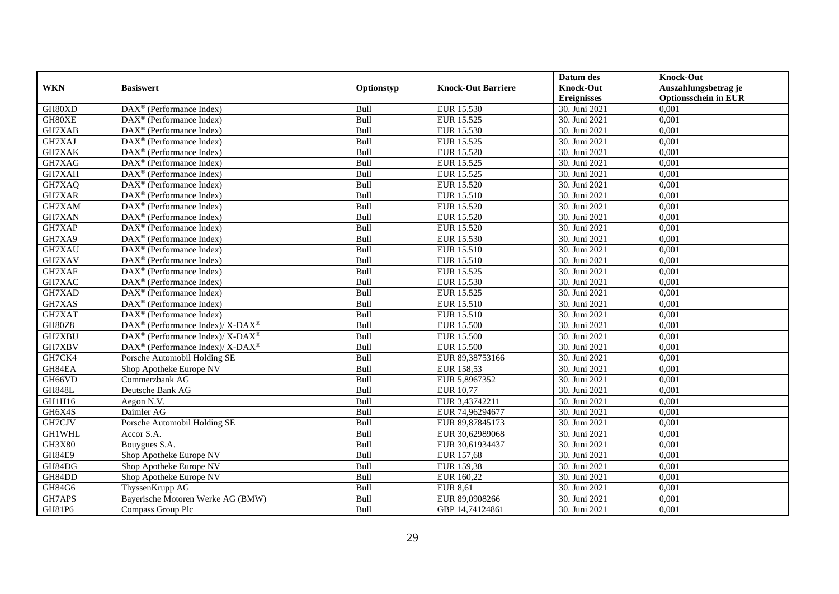|               |                                                                  |            |                           | Datum des          | <b>Knock-Out</b>            |
|---------------|------------------------------------------------------------------|------------|---------------------------|--------------------|-----------------------------|
| <b>WKN</b>    | <b>Basiswert</b>                                                 | Optionstyp | <b>Knock-Out Barriere</b> | <b>Knock-Out</b>   | Auszahlungsbetrag je        |
|               |                                                                  |            |                           | <b>Ereignisses</b> | <b>Optionsschein in EUR</b> |
| GH80XD        | DAX <sup>®</sup> (Performance Index)                             | Bull       | EUR 15.530                | 30. Juni 2021      | 0,001                       |
| GH80XE        | $\text{DAX}^{\circledast}$ (Performance Index)                   | Bull       | EUR 15.525                | 30. Juni 2021      | 0,001                       |
| GH7XAB        | $\text{DAX}^{\textcircled{}}$ (Performance Index)                | Bull       | EUR 15.530                | 30. Juni 2021      | 0,001                       |
| GH7XAJ        | $\text{DAX}^{\otimes}$ (Performance Index)                       | Bull       | EUR 15.525                | 30. Juni 2021      | 0,001                       |
| GH7XAK        | DAX <sup>®</sup> (Performance Index)                             | Bull       | EUR 15.520                | 30. Juni 2021      | 0,001                       |
| GH7XAG        | $\overline{\text{DAX}^{\otimes}}$ (Performance Index)            | Bull       | EUR 15.525                | 30. Juni 2021      | 0,001                       |
| GH7XAH        | $\text{DAX}^{\textcircled{n}}$ (Performance Index)               | Bull       | EUR 15.525                | 30. Juni 2021      | 0,001                       |
| GH7XAQ        | $\text{DAX}^{\textcircled{}}$ (Performance Index)                | Bull       | EUR 15.520                | 30. Juni 2021      | 0,001                       |
| GH7XAR        | $\text{DAX}^{\circledast}$ (Performance Index)                   | Bull       | EUR 15.510                | 30. Juni 2021      | 0,001                       |
| GH7XAM        | DAX <sup>®</sup> (Performance Index)                             | Bull       | EUR 15.520                | 30. Juni 2021      | 0,001                       |
| GH7XAN        | $DAX^{\circledR}$ (Performance Index)                            | Bull       | EUR 15.520                | 30. Juni 2021      | 0,001                       |
| GH7XAP        | $\text{DAX}^{\textcircled{p}}$ (Performance Index)               | Bull       | EUR 15.520                | 30. Juni 2021      | 0,001                       |
| GH7XA9        | $\text{DAX}^{\textcircled{p}}$ (Performance Index)               | Bull       | EUR 15.530                | 30. Juni 2021      | 0,001                       |
| GH7XAU        | $\text{DAX}^{\textcircled{p}}$ (Performance Index)               | Bull       | EUR 15.510                | 30. Juni 2021      | 0,001                       |
| GH7XAV        | DAX <sup>®</sup> (Performance Index)                             | Bull       | EUR 15.510                | 30. Juni 2021      | 0,001                       |
| GH7XAF        | $\overline{\text{DAX}}^{\textcircled{}}$ (Performance Index)     | Bull       | EUR 15.525                | 30. Juni 2021      | 0,001                       |
| GH7XAC        | DAX <sup>®</sup> (Performance Index)                             | Bull       | EUR 15.530                | 30. Juni 2021      | 0,001                       |
| GH7XAD        | $DAX^{\circledR}$ (Performance Index)                            | Bull       | EUR 15.525                | 30. Juni 2021      | 0,001                       |
| GH7XAS        | $\overline{\text{DAX}}^{\textcircled{}}$ (Performance Index)     | Bull       | EUR 15.510                | 30. Juni 2021      | 0,001                       |
| GH7XAT        | DAX <sup>®</sup> (Performance Index)                             | Bull       | EUR 15.510                | 30. Juni 2021      | 0,001                       |
| GH80Z8        | $\text{DAX}^{\circledR}$ (Performance Index)/ X-DAX <sup>®</sup> | Bull       | <b>EUR 15.500</b>         | 30. Juni 2021      | 0,001                       |
| GH7XBU        | DAX <sup>®</sup> (Performance Index)/ X-DAX <sup>®</sup>         | Bull       | <b>EUR 15.500</b>         | 30. Juni 2021      | 0,001                       |
| GH7XBV        | $\text{DAX}^{\circledR}$ (Performance Index)/ X-DAX <sup>®</sup> | Bull       | <b>EUR 15.500</b>         | 30. Juni 2021      | 0,001                       |
| GH7CK4        | Porsche Automobil Holding SE                                     | Bull       | EUR 89,38753166           | 30. Juni 2021      | 0,001                       |
| GH84EA        | Shop Apotheke Europe NV                                          | Bull       | EUR 158,53                | 30. Juni 2021      | 0,001                       |
| GH66VD        | Commerzbank AG                                                   | Bull       | EUR 5,8967352             | 30. Juni 2021      | 0,001                       |
| <b>GH848L</b> | Deutsche Bank AG                                                 | Bull       | EUR 10,77                 | 30. Juni 2021      | 0,001                       |
| GH1H16        | Aegon N.V.                                                       | Bull       | EUR 3,43742211            | 30. Juni 2021      | 0,001                       |
| GH6X4S        | Daimler AG                                                       | Bull       | EUR 74,96294677           | 30. Juni 2021      | 0,001                       |
| GH7CJV        | Porsche Automobil Holding SE                                     | Bull       | EUR 89,87845173           | 30. Juni 2021      | 0,001                       |
| GH1WHL        | Accor S.A.                                                       | Bull       | EUR 30,62989068           | 30. Juni 2021      | 0,001                       |
| GH3X80        | Bouygues S.A.                                                    | Bull       | EUR 30,61934437           | 30. Juni 2021      | 0.001                       |
| <b>GH84E9</b> | Shop Apotheke Europe NV                                          | Bull       | EUR 157,68                | 30. Juni 2021      | 0,001                       |
| GH84DG        | Shop Apotheke Europe NV                                          | Bull       | EUR 159,38                | 30. Juni 2021      | 0,001                       |
| GH84DD        | Shop Apotheke Europe NV                                          | Bull       | EUR 160,22                | 30. Juni 2021      | 0,001                       |
| GH84G6        | ThyssenKrupp AG                                                  | Bull       | <b>EUR 8,61</b>           | 30. Juni 2021      | 0,001                       |
| GH7APS        | Bayerische Motoren Werke AG (BMW)                                | Bull       | EUR 89,0908266            | 30. Juni 2021      | 0,001                       |
| GH81P6        | Compass Group Plc                                                | Bull       | GBP 14,74124861           | 30. Juni 2021      | 0,001                       |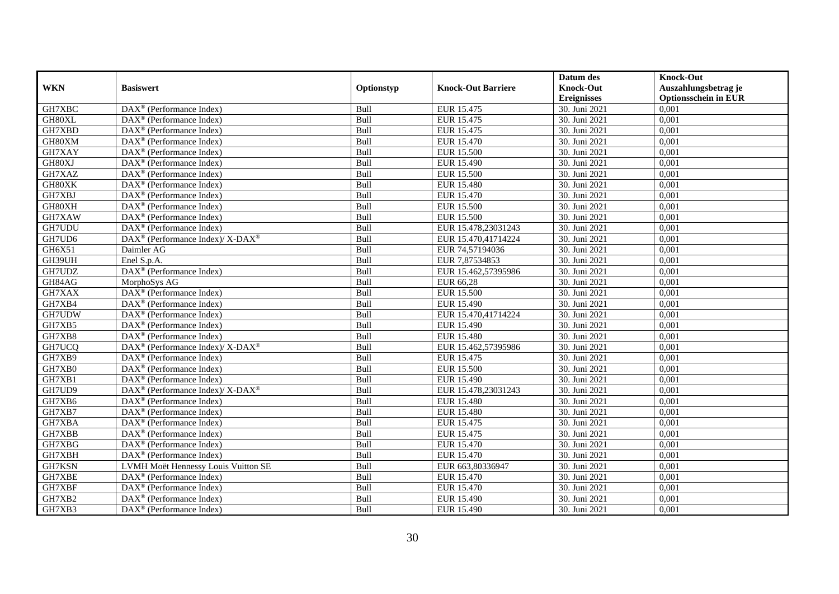|            |                                                          |            |                           | Datum des          | <b>Knock-Out</b>            |
|------------|----------------------------------------------------------|------------|---------------------------|--------------------|-----------------------------|
| <b>WKN</b> | <b>Basiswert</b>                                         | Optionstyp | <b>Knock-Out Barriere</b> | <b>Knock-Out</b>   | Auszahlungsbetrag je        |
|            |                                                          |            |                           | <b>Ereignisses</b> | <b>Optionsschein in EUR</b> |
| GH7XBC     | $\overline{\text{DAX}^{\otimes}}$ (Performance Index)    | Bull       | EUR 15.475                | 30. Juni 2021      | 0,001                       |
| GH80XL     | $DAX^{\circledR}$ (Performance Index)                    | Bull       | EUR 15.475                | 30. Juni 2021      | 0,001                       |
| GH7XBD     | $DAX^{\circledcirc}$ (Performance Index)                 | Bull       | EUR 15.475                | 30. Juni 2021      | 0,001                       |
| GH80XM     | $DAX^{\circledast}$ (Performance Index)                  | Bull       | EUR 15.470                | 30. Juni 2021      | 0,001                       |
| GH7XAY     | $DAX^{\circledast}$ (Performance Index)                  | Bull       | <b>EUR 15.500</b>         | 30. Juni 2021      | 0,001                       |
| GH80XJ     | $\text{DAX}^{\textcircled{}}$ (Performance Index)        | Bull       | EUR 15.490                | 30. Juni 2021      | 0,001                       |
| GH7XAZ     | $\text{DAX}^{\circledR}$ (Performance Index)             | Bull       | EUR 15.500                | 30. Juni 2021      | 0,001                       |
| GH80XK     | $DAX^{\circledR}$ (Performance Index)                    | Bull       | EUR 15.480                | 30. Juni 2021      | 0.001                       |
| GH7XBJ     | $\overline{\text{DAX}^{\otimes}}$ (Performance Index)    | Bull       | EUR 15.470                | 30. Juni 2021      | 0,001                       |
| GH80XH     | DAX <sup>®</sup> (Performance Index)                     | Bull       | <b>EUR 15.500</b>         | 30. Juni 2021      | 0,001                       |
| GH7XAW     | $DAX^{\circledR}$ (Performance Index)                    | Bull       | <b>EUR 15.500</b>         | 30. Juni 2021      | 0,001                       |
| GH7UDU     | $\overline{\text{DAX}}^{\textcirc}$ (Performance Index)  | Bull       | EUR 15.478,23031243       | 30. Juni 2021      | 0,001                       |
| GH7UD6     | DAX <sup>®</sup> (Performance Index)/ X-DAX <sup>®</sup> | Bull       | EUR 15.470,41714224       | 30. Juni 2021      | 0,001                       |
| GH6X51     | Daimler AG                                               | Bull       | EUR 74,57194036           | 30. Juni 2021      | 0,001                       |
| GH39UH     | Enel S.p.A.                                              | Bull       | EUR 7,87534853            | 30. Juni 2021      | 0,001                       |
| GH7UDZ     | DAX <sup>®</sup> (Performance Index)                     | Bull       | EUR 15.462,57395986       | 30. Juni 2021      | 0,001                       |
| GH84AG     | MorphoSys AG                                             | Bull       | EUR 66,28                 | 30. Juni 2021      | 0,001                       |
| GH7XAX     | $DAX^{\circledcirc}$ (Performance Index)                 | Bull       | EUR 15.500                | 30. Juni 2021      | 0,001                       |
| GH7XB4     | $DAX^{\circledR}$ (Performance Index)                    | Bull       | EUR 15.490                | 30. Juni 2021      | 0,001                       |
| GH7UDW     | DAX <sup>®</sup> (Performance Index)                     | Bull       | EUR 15.470,41714224       | 30. Juni 2021      | 0,001                       |
| GH7XB5     | DAX <sup>®</sup> (Performance Index)                     | Bull       | EUR 15.490                | 30. Juni 2021      | 0,001                       |
| GH7XB8     | $DAX^{\circledR}$ (Performance Index)                    | Bull       | <b>EUR 15.480</b>         | 30. Juni 2021      | 0,001                       |
| GH7UCQ     | DAX <sup>®</sup> (Performance Index)/ X-DAX <sup>®</sup> | Bull       | EUR 15.462,57395986       | 30. Juni 2021      | 0,001                       |
| GH7XB9     | $DAX^{\circledast}$ (Performance Index)                  | Bull       | EUR 15.475                | 30. Juni 2021      | 0,001                       |
| GH7XB0     | DAX <sup>®</sup> (Performance Index)                     | Bull       | <b>EUR 15.500</b>         | 30. Juni 2021      | 0,001                       |
| GH7XB1     | DAX <sup>®</sup> (Performance Index)                     | Bull       | EUR 15.490                | 30. Juni 2021      | 0,001                       |
| GH7UD9     | DAX <sup>®</sup> (Performance Index)/X-DAX <sup>®</sup>  | Bull       | EUR 15.478,23031243       | 30. Juni 2021      | 0,001                       |
| GH7XB6     | $DAX^{\circledR}$ (Performance Index)                    | Bull       | EUR 15.480                | 30. Juni 2021      | 0,001                       |
| GH7XB7     | $DAX^{\circledR}$ (Performance Index)                    | Bull       | <b>EUR 15.480</b>         | 30. Juni 2021      | 0,001                       |
| GH7XBA     | $DAX^{\circledcirc}$ (Performance Index)                 | Bull       | EUR 15.475                | 30. Juni 2021      | 0,001                       |
| GH7XBB     | $DAX^{\circledast}$ (Performance Index)                  | Bull       | EUR 15.475                | 30. Juni 2021      | 0,001                       |
| GH7XBG     | $\overline{\text{DAX}^{\otimes}}$ (Performance Index)    | Bull       | <b>EUR 15.470</b>         | 30. Juni 2021      | 0,001                       |
| GH7XBH     | $\text{DAX}^{\textcircled{}}$ (Performance Index)        | Bull       | EUR 15.470                | 30. Juni 2021      | 0,001                       |
| GH7KSN     | LVMH Moët Hennessy Louis Vuitton SE                      | Bull       | EUR 663,80336947          | 30. Juni 2021      | 0,001                       |
| GH7XBE     | $\text{DAX}^{\textcircled{}}$ (Performance Index)        | Bull       | EUR 15.470                | 30. Juni 2021      | 0,001                       |
| GH7XBF     | DAX <sup>®</sup> (Performance Index)                     | Bull       | EUR 15.470                | 30. Juni 2021      | 0,001                       |
| GH7XB2     | $\text{DAX}^{\circledast}$ (Performance Index)           | Bull       | EUR 15.490                | 30. Juni 2021      | 0,001                       |
| GH7XB3     | $\text{DAX}^{\textcircled{}}$ (Performance Index)        | Bull       | EUR 15.490                | 30. Juni 2021      | 0,001                       |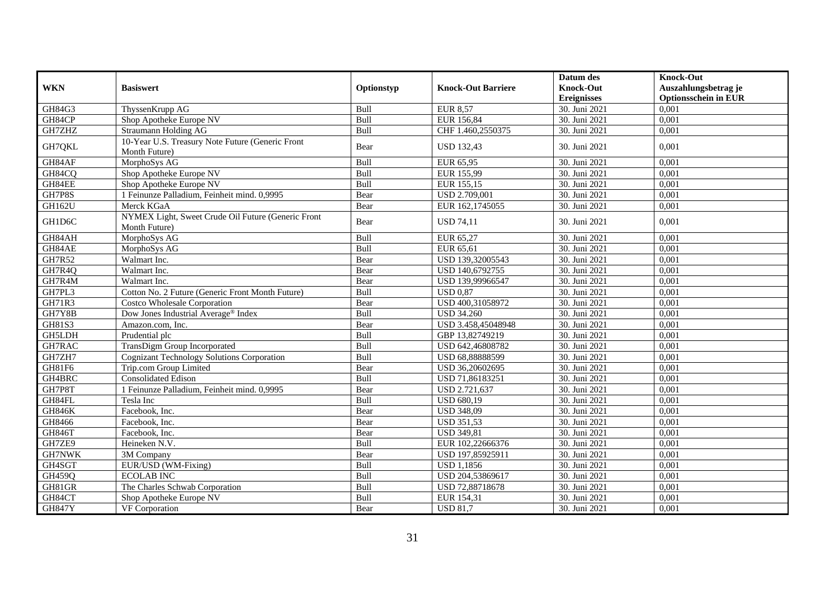|               |                                                                     |             |                           | Datum des          | <b>Knock-Out</b>            |
|---------------|---------------------------------------------------------------------|-------------|---------------------------|--------------------|-----------------------------|
| <b>WKN</b>    | <b>Basiswert</b>                                                    | Optionstyp  | <b>Knock-Out Barriere</b> | <b>Knock-Out</b>   | Auszahlungsbetrag je        |
|               |                                                                     |             |                           | <b>Ereignisses</b> | <b>Optionsschein in EUR</b> |
| GH84G3        | ThyssenKrupp AG                                                     | Bull        | <b>EUR 8,57</b>           | 30. Juni 2021      | 0,001                       |
| GH84CP        | Shop Apotheke Europe NV                                             | Bull        | EUR 156,84                | 30. Juni 2021      | 0,001                       |
| GH7ZHZ        | Straumann Holding AG                                                | Bull        | CHF 1.460,2550375         | 30. Juni 2021      | 0,001                       |
| GH7QKL        | 10-Year U.S. Treasury Note Future (Generic Front<br>Month Future)   | Bear        | <b>USD 132,43</b>         | 30. Juni 2021      | 0.001                       |
| GH84AF        | MorphoSys AG                                                        | Bull        | EUR 65,95                 | 30. Juni 2021      | 0,001                       |
| GH84CQ        | Shop Apotheke Europe NV                                             | Bull        | EUR 155,99                | 30. Juni 2021      | 0,001                       |
| GH84EE        | Shop Apotheke Europe NV                                             | <b>Bull</b> | EUR 155,15                | 30. Juni 2021      | 0.001                       |
| GH7P8S        | 1 Feinunze Palladium, Feinheit mind. 0,9995                         | Bear        | USD 2.709,001             | 30. Juni 2021      | 0,001                       |
| GH162U        | Merck KGaA                                                          | Bear        | EUR 162,1745055           | 30. Juni 2021      | 0,001                       |
| GH1D6C        | NYMEX Light, Sweet Crude Oil Future (Generic Front<br>Month Future) | Bear        | <b>USD 74,11</b>          | 30. Juni 2021      | 0,001                       |
| GH84AH        | MorphoSys AG                                                        | Bull        | EUR 65,27                 | 30. Juni 2021      | 0.001                       |
| GH84AE        | MorphoSys AG                                                        | Bull        | EUR 65,61                 | 30. Juni 2021      | 0,001                       |
| <b>GH7R52</b> | Walmart Inc.                                                        | Bear        | USD 139,32005543          | 30. Juni 2021      | 0,001                       |
| GH7R4Q        | Walmart Inc.                                                        | Bear        | USD 140,6792755           | 30. Juni 2021      | 0,001                       |
| GH7R4M        | Walmart Inc.                                                        | Bear        | USD 139,99966547          | 30. Juni 2021      | 0,001                       |
| GH7PL3        | Cotton No. 2 Future (Generic Front Month Future)                    | Bull        | <b>USD 0.87</b>           | 30. Juni 2021      | 0,001                       |
| <b>GH71R3</b> | <b>Costco Wholesale Corporation</b>                                 | Bear        | USD 400,31058972          | 30. Juni 2021      | 0,001                       |
| GH7Y8B        | Dow Jones Industrial Average® Index                                 | Bull        | <b>USD 34.260</b>         | 30. Juni 2021      | 0.001                       |
| GH81S3        | Amazon.com, Inc.                                                    | Bear        | USD 3.458,45048948        | 30. Juni 2021      | 0,001                       |
| <b>GH5LDH</b> | Prudential plc                                                      | Bull        | GBP 13,82749219           | 30. Juni 2021      | 0,001                       |
| GH7RAC        | TransDigm Group Incorporated                                        | Bull        | USD 642,46808782          | 30. Juni 2021      | 0.001                       |
| GH7ZH7        | <b>Cognizant Technology Solutions Corporation</b>                   | Bull        | USD 68,88888599           | 30. Juni 2021      | 0,001                       |
| GH81F6        | Trip.com Group Limited                                              | Bear        | USD 36,20602695           | 30. Juni 2021      | 0,001                       |
| GH4BRC        | Consolidated Edison                                                 | Bull        | USD 71,86183251           | 30. Juni 2021      | 0.001                       |
| GH7P8T        | 1 Feinunze Palladium, Feinheit mind. 0,9995                         | Bear        | USD 2.721,637             | 30. Juni 2021      | 0,001                       |
| GH84FL        | Tesla Inc                                                           | Bull        | <b>USD 680.19</b>         | 30. Juni 2021      | 0.001                       |
| <b>GH846K</b> | Facebook, Inc.                                                      | Bear        | <b>USD 348,09</b>         | 30. Juni 2021      | 0,001                       |
| GH8466        | Facebook, Inc.                                                      | Bear        | <b>USD 351.53</b>         | 30. Juni 2021      | 0,001                       |
| <b>GH846T</b> | Facebook, Inc.                                                      | Bear        | <b>USD 349,81</b>         | 30. Juni 2021      | 0,001                       |
| GH7ZE9        | Heineken N.V.                                                       | Bull        | EUR 102,22666376          | 30. Juni 2021      | 0,001                       |
| GH7NWK        | 3M Company                                                          | Bear        | USD 197,85925911          | 30. Juni 2021      | 0,001                       |
| GH4SGT        | EUR/USD (WM-Fixing)                                                 | Bull        | $\overline{USD}$ 1,1856   | 30. Juni 2021      | 0,001                       |
| GH459Q        | <b>ECOLAB INC</b>                                                   | Bull        | USD 204,53869617          | 30. Juni 2021      | 0,001                       |
| GH81GR        | The Charles Schwab Corporation                                      | Bull        | USD 72,88718678           | 30. Juni 2021      | 0,001                       |
| GH84CT        | Shop Apotheke Europe NV                                             | Bull        | EUR 154,31                | 30. Juni 2021      | 0,001                       |
| <b>GH847Y</b> | VF Corporation                                                      | Bear        | <b>USD 81,7</b>           | 30. Juni 2021      | 0,001                       |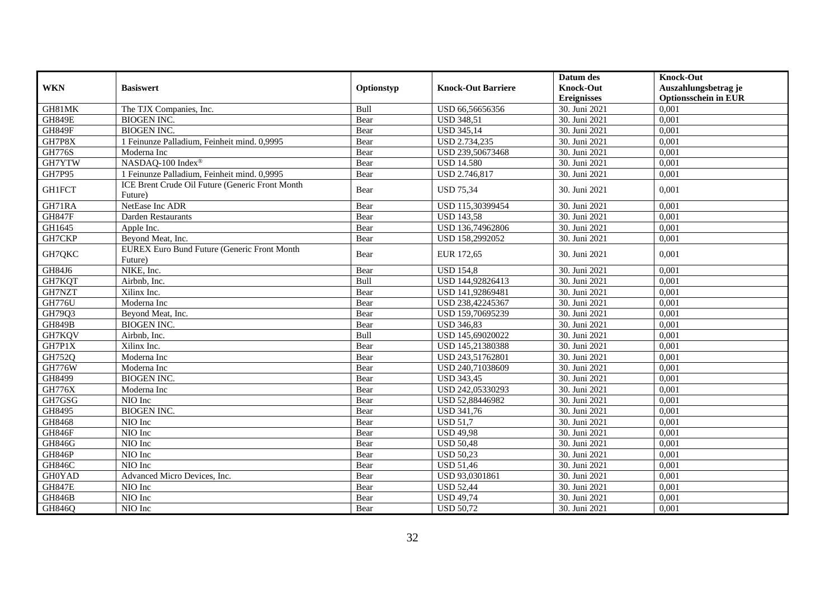|               |                                                               |            |                           | Datum des          | <b>Knock-Out</b>            |
|---------------|---------------------------------------------------------------|------------|---------------------------|--------------------|-----------------------------|
| <b>WKN</b>    | <b>Basiswert</b>                                              | Optionstyp | <b>Knock-Out Barriere</b> | <b>Knock-Out</b>   | Auszahlungsbetrag je        |
|               |                                                               |            |                           | <b>Ereignisses</b> | <b>Optionsschein in EUR</b> |
| GH81MK        | The TJX Companies, Inc.                                       | Bull       | USD 66,56656356           | 30. Juni 2021      | 0,001                       |
| <b>GH849E</b> | <b>BIOGEN INC.</b>                                            | Bear       | <b>USD 348,51</b>         | 30. Juni 2021      | 0,001                       |
| <b>GH849F</b> | <b>BIOGEN INC.</b>                                            | Bear       | <b>USD 345,14</b>         | 30. Juni 2021      | 0,001                       |
| GH7P8X        | 1 Feinunze Palladium, Feinheit mind. 0,9995                   | Bear       | USD 2.734,235             | 30. Juni 2021      | 0,001                       |
| <b>GH776S</b> | Moderna Inc                                                   | Bear       | USD 239,50673468          | 30. Juni 2021      | 0,001                       |
| GH7YTW        | NASDAQ-100 Index®                                             | Bear       | <b>USD 14.580</b>         | 30. Juni 2021      | 0,001                       |
| GH7P95        | 1 Feinunze Palladium, Feinheit mind. 0,9995                   | Bear       | USD 2.746,817             | 30. Juni 2021      | 0,001                       |
| <b>GH1FCT</b> | ICE Brent Crude Oil Future (Generic Front Month<br>Future)    | Bear       | <b>USD 75,34</b>          | 30. Juni 2021      | 0.001                       |
| GH71RA        | NetEase Inc ADR                                               | Bear       | USD 115,30399454          | 30. Juni 2021      | 0,001                       |
| <b>GH847F</b> | Darden Restaurants                                            | Bear       | <b>USD 143,58</b>         | 30. Juni 2021      | 0,001                       |
| GH1645        | Apple Inc.                                                    | Bear       | USD 136,74962806          | 30. Juni 2021      | 0,001                       |
| GH7CKP        | Beyond Meat, Inc.                                             | Bear       | USD 158,2992052           | 30. Juni 2021      | 0.001                       |
| GH7QKC        | <b>EUREX Euro Bund Future (Generic Front Month</b><br>Future) | Bear       | EUR 172,65                | 30. Juni 2021      | 0.001                       |
| GH84J6        | NIKE, Inc.                                                    | Bear       | <b>USD 154,8</b>          | 30. Juni 2021      | 0,001                       |
| GH7KQT        | Airbnb, Inc.                                                  | Bull       | USD 144,92826413          | 30. Juni 2021      | 0,001                       |
| GH7NZT        | Xilinx Inc.                                                   | Bear       | USD 141,92869481          | 30. Juni 2021      | 0,001                       |
| <b>GH776U</b> | Moderna Inc                                                   | Bear       | USD 238,42245367          | 30. Juni 2021      | 0,001                       |
| GH79Q3        | Beyond Meat, Inc.                                             | Bear       | USD 159,70695239          | 30. Juni 2021      | 0,001                       |
| <b>GH849B</b> | <b>BIOGEN INC.</b>                                            | Bear       | <b>USD 346,83</b>         | 30. Juni 2021      | 0,001                       |
| GH7KQV        | Airbnb, Inc.                                                  | Bull       | USD 145,69020022          | 30. Juni 2021      | 0,001                       |
| GH7P1X        | Xilinx Inc.                                                   | Bear       | USD 145,21380388          | 30. Juni 2021      | 0.001                       |
| GH752Q        | Moderna Inc                                                   | Bear       | USD 243,51762801          | 30. Juni 2021      | 0,001                       |
| <b>GH776W</b> | Moderna Inc                                                   | Bear       | USD 240,71038609          | 30. Juni 2021      | 0,001                       |
| GH8499        | <b>BIOGEN INC.</b>                                            | Bear       | <b>USD 343,45</b>         | 30. Juni 2021      | 0,001                       |
| <b>GH776X</b> | Moderna Inc                                                   | Bear       | USD 242,05330293          | 30. Juni 2021      | 0,001                       |
| GH7GSG        | NIO Inc                                                       | Bear       | USD 52,88446982           | 30. Juni 2021      | 0,001                       |
| GH8495        | <b>BIOGEN INC.</b>                                            | Bear       | <b>USD 341,76</b>         | 30. Juni 2021      | 0,001                       |
| GH8468        | NIO Inc                                                       | Bear       | <b>USD 51.7</b>           | 30. Juni 2021      | 0,001                       |
| GH846F        | NIO Inc                                                       | Bear       | <b>USD 49,98</b>          | 30. Juni 2021      | 0,001                       |
| GH846G        | NIO Inc                                                       | Bear       | <b>USD 50,48</b>          | 30. Juni 2021      | 0,001                       |
| <b>GH846P</b> | NIO Inc                                                       | Bear       | <b>USD 50,23</b>          | 30. Juni 2021      | 0,001                       |
| <b>GH846C</b> | NIO Inc                                                       | Bear       | <b>USD 51,46</b>          | 30. Juni 2021      | 0,001                       |
| <b>GH0YAD</b> | Advanced Micro Devices, Inc.                                  | Bear       | USD 93,0301861            | 30. Juni 2021      | 0,001                       |
| <b>GH847E</b> | NIO Inc                                                       | Bear       | <b>USD 52,44</b>          | 30. Juni 2021      | 0,001                       |
| <b>GH846B</b> | NIO Inc                                                       | Bear       | <b>USD 49,74</b>          | 30. Juni 2021      | 0,001                       |
| <b>GH846Q</b> | NIO Inc                                                       | Bear       | <b>USD 50,72</b>          | 30. Juni 2021      | 0,001                       |